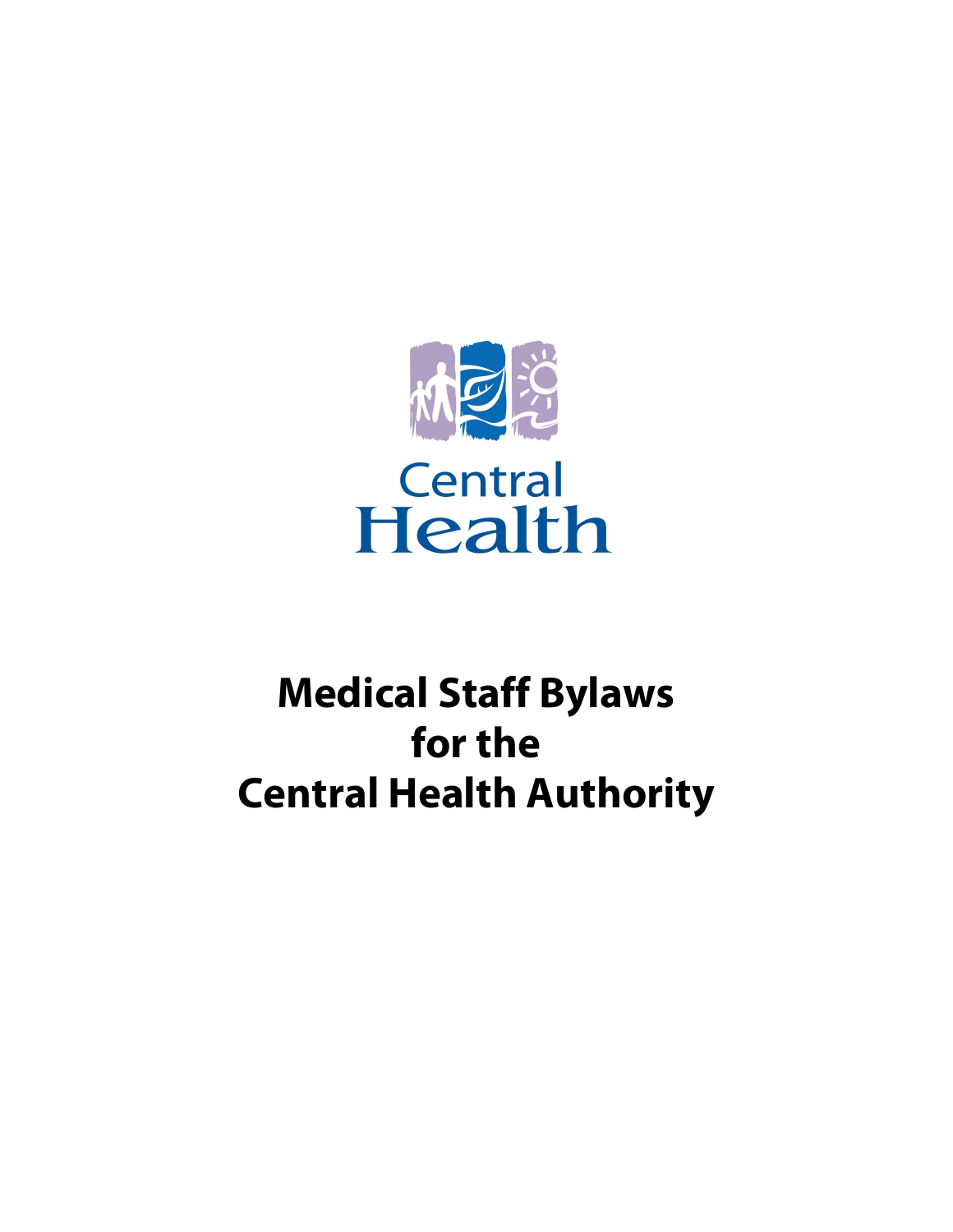

# **Medical Staff Bylaws forthe Central Health Authority**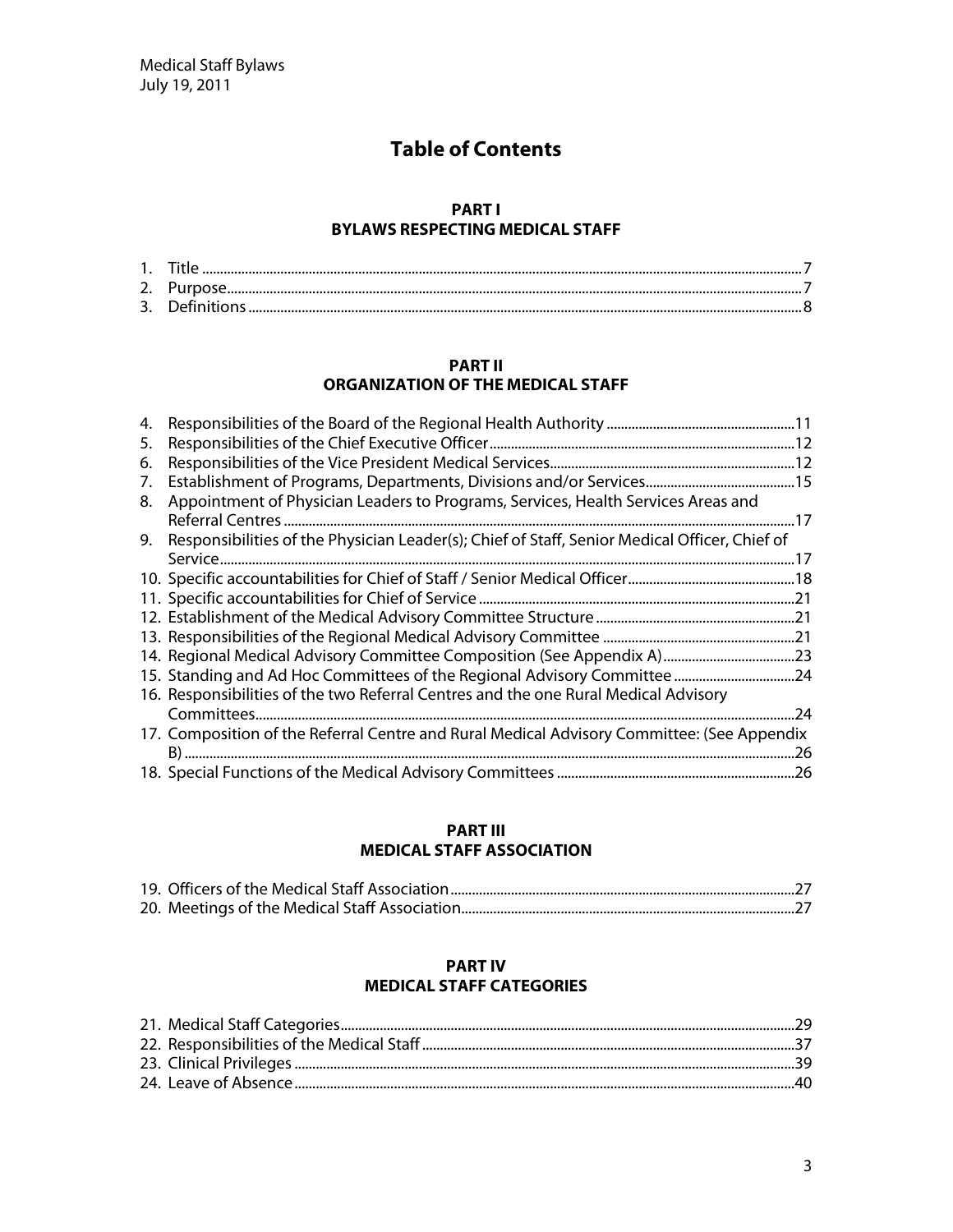# **Table of Contents**

#### **PART I BYLAW S RESPECTIN G M ED ICAL STAFF**

#### **PART II O RG AN IZATIO N O F TH E M ED ICAL STAFF**

| 4. |                                                                                                  |     |
|----|--------------------------------------------------------------------------------------------------|-----|
| 5. |                                                                                                  |     |
| 6. |                                                                                                  |     |
| 7. |                                                                                                  |     |
| 8. | Appointment of Physician Leaders to Programs, Services, Health Services Areas and                |     |
|    |                                                                                                  |     |
|    | 9. Responsibilities of the Physician Leader(s); Chief of Staff, Senior Medical Officer, Chief of |     |
|    |                                                                                                  |     |
|    |                                                                                                  |     |
|    |                                                                                                  |     |
|    |                                                                                                  |     |
|    |                                                                                                  |     |
|    |                                                                                                  |     |
|    |                                                                                                  |     |
|    | 16. Responsibilities of the two Referral Centres and the one Rural Medical Advisory              |     |
|    |                                                                                                  | .24 |
|    | 17. Composition of the Referral Centre and Rural Medical Advisory Committee: (See Appendix       |     |
|    |                                                                                                  | .26 |
|    |                                                                                                  |     |

#### **PART III MEDICAL STAFF ASSOCIATION**

#### **PART IV**

# **M ED ICAL STAFF CATEG O RIES**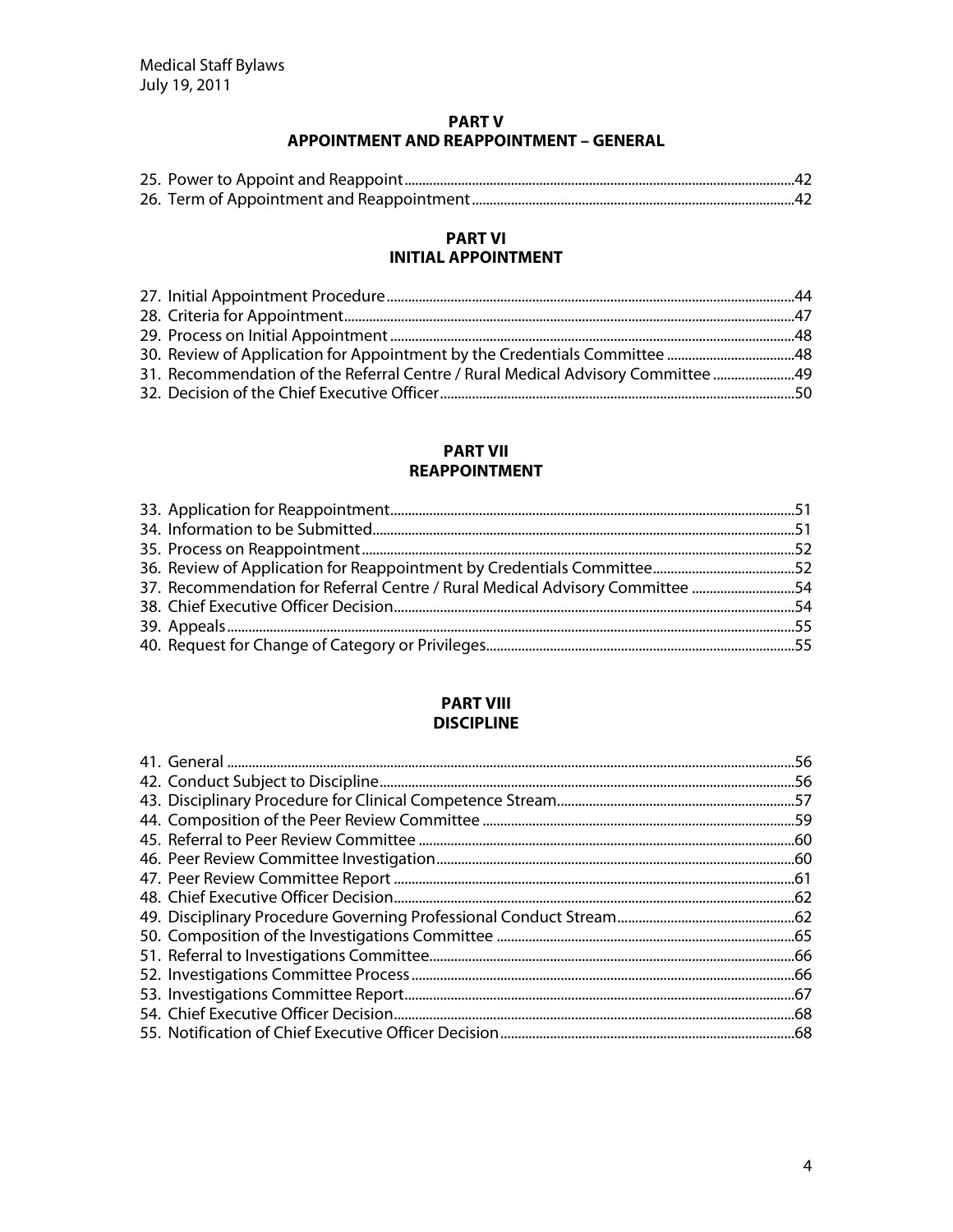#### **PART V APPOINTMENT AND REAPPOINTMENT - GENERAL**

#### **PART VI INITIAL APPOINTMENT**

| 31. Recommendation of the Referral Centre / Rural Medical Advisory Committee  49 |  |
|----------------------------------------------------------------------------------|--|
|                                                                                  |  |

#### **PART VII REAPPOINTMENT**

| 37. Recommendation for Referral Centre / Rural Medical Advisory Committee 54 |  |
|------------------------------------------------------------------------------|--|
|                                                                              |  |
|                                                                              |  |
|                                                                              |  |

#### **PART VIII DISCIPLINE**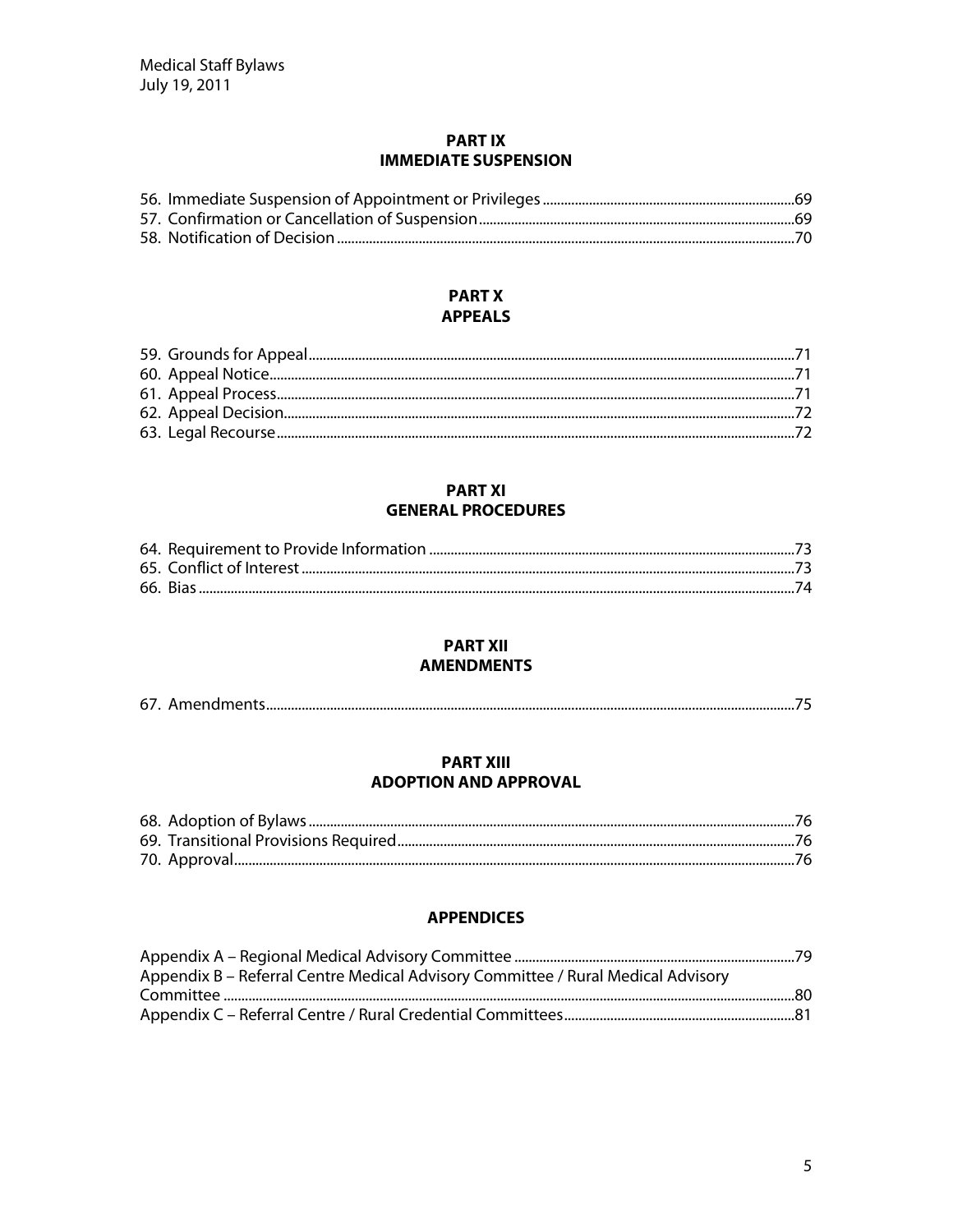#### **PARTIX IMMEDIATE SUSPENSION**

## **PART X APPEALS**

#### **PART XI GENERAL PROCEDURES**

#### **PART XII AMENDMENTS**

|--|--|

#### **PART XIII ADOPTION AND APPROVAL**

# **APPENDICES**

| Appendix B – Referral Centre Medical Advisory Committee / Rural Medical Advisory |  |
|----------------------------------------------------------------------------------|--|
|                                                                                  |  |
|                                                                                  |  |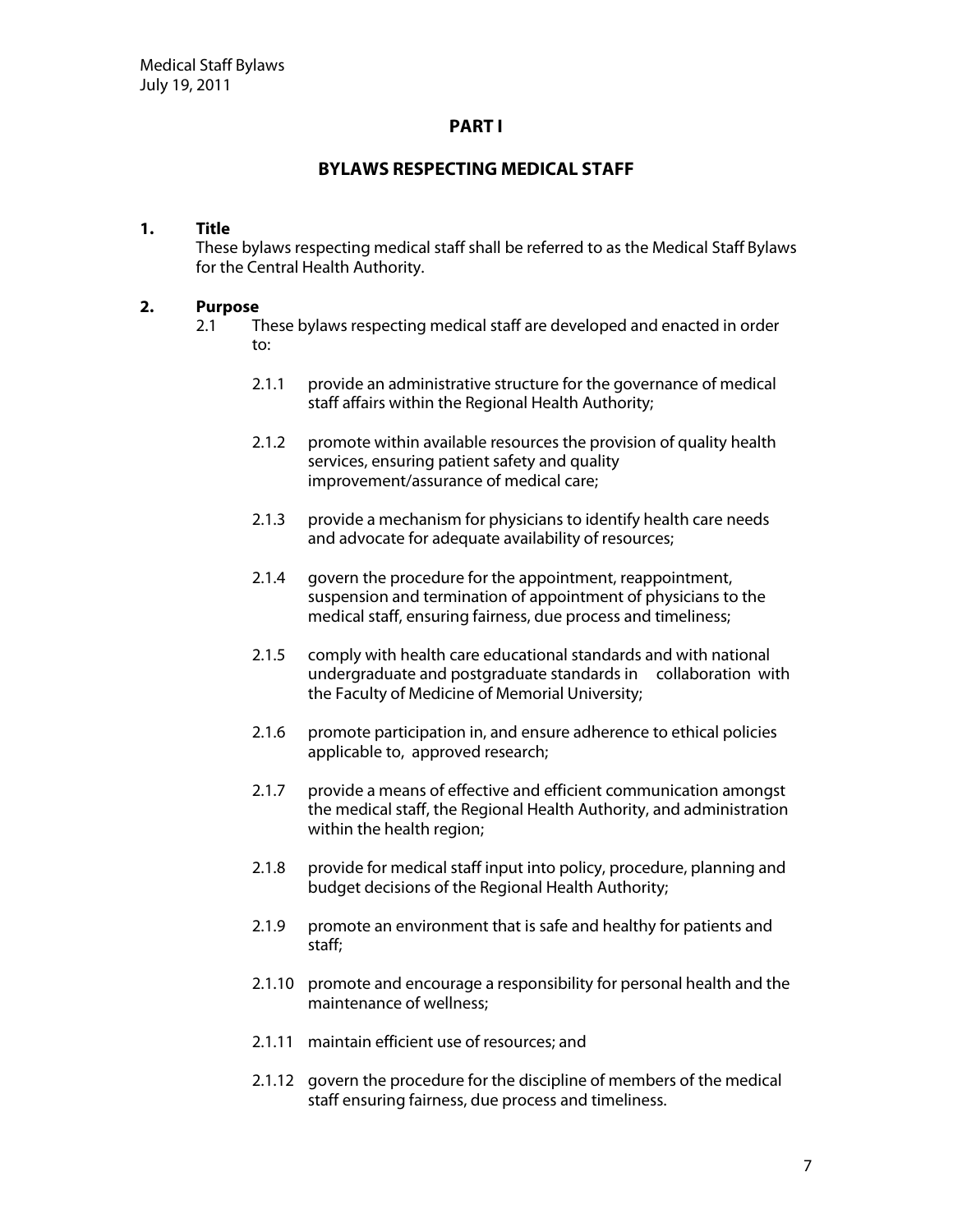#### **PART I**

#### **BYLAW S RESPECTIN G M ED ICAL STAFF**

#### **1. Title**

These bylaws respecting medical staff shall be referred to as the Medical Staff Bylaws for the Central Health Authority.

#### **2. Purpose**

- 2.1 These bylaws respecting medical staff are developed and enacted in order to:
	- 2.1.1 provide an administrative structure for the governance of medical staff affairs within the Regional Health Authority;
	- 2.1.2 promote within available resources the provision of quality health services, ensuring patient safety and quality improvement/assurance of medical care;
	- 2.1.3 provide a mechanism for physicians to identify health care needs and advocate for adequate availability of resources;
	- 2.1.4 govern the procedure for the appointment, reappointment, suspension and termination of appointment of physicians to the medical staff, ensuring fairness, due process and timeliness;
	- 2.1.5 comply with health care educational standards and with national undergraduate and postgraduate standards in collaboration with the Faculty of Medicine of Memorial University;
	- 2.1.6 promote participation in, and ensure adherence to ethical policies applicable to, approved research;
	- 2.1.7 provide a means of effective and efficient communication amongst the medical staff, the Regional Health Authority, and administration within the health region;
	- 2.1.8 provide for medical staff input into policy, procedure, planning and budget decisions of the Regional Health Authority;
	- 2.1.9 promote an environment that is safe and healthy for patients and staff;
	- 2.1.10 promote and encourage a responsibility for personal health and the maintenance of wellness;
	- 2.1.11 maintain efficient use of resources; and
	- 2.1.12 govern the procedure for the discipline of members of the medical staff ensuring fairness, due process and timeliness.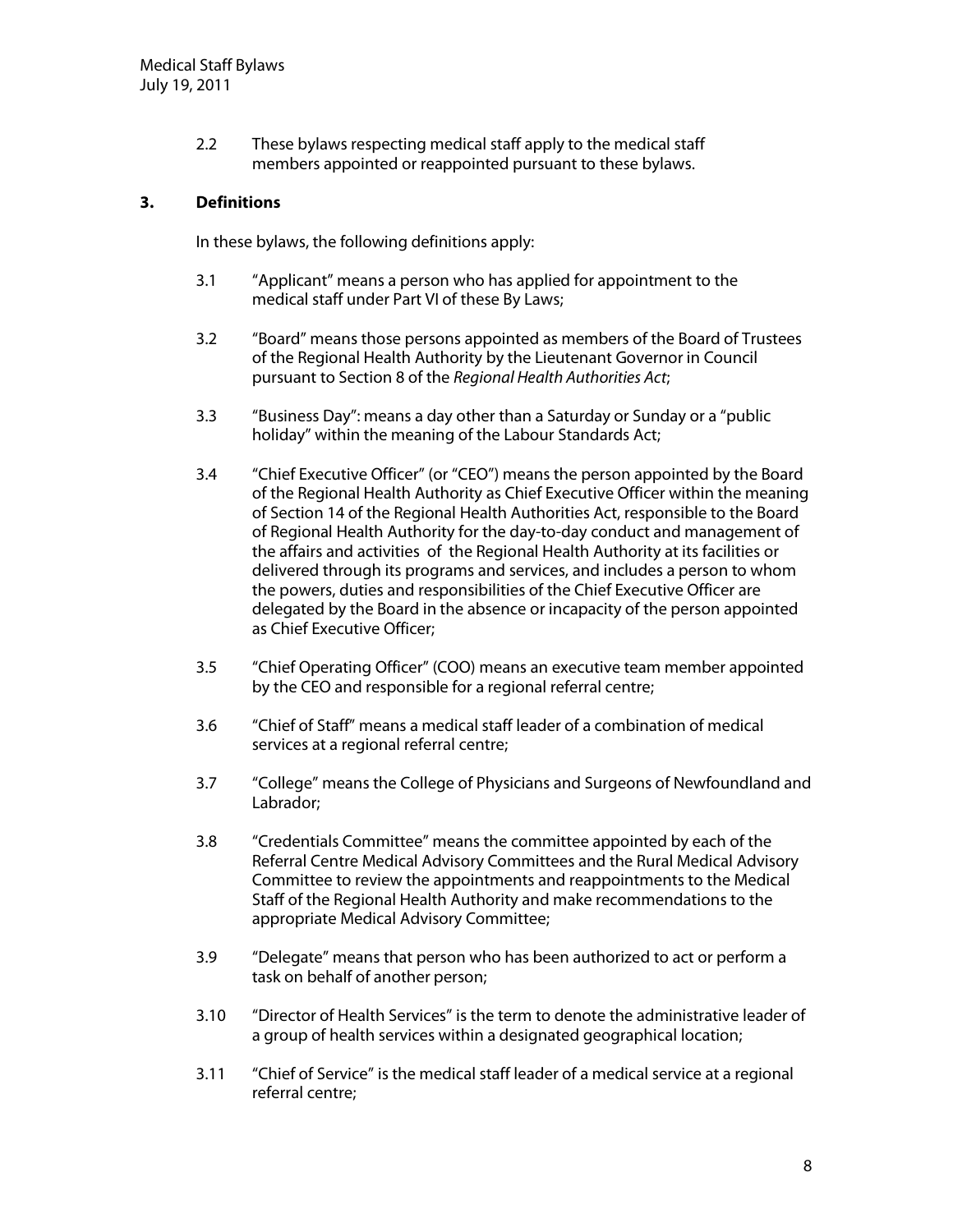2.2 These bylaws respecting medical staff apply to the medical staff members appointed or reappointed pursuant to these bylaws.

#### **3. D efinitions**

In these bylaws, the following definitions apply:

- 3.1 "Applicant" means a person who has applied for appointment to the medical staff under Part VI of these By Laws;
- 3.2 "Board" means those persons appointed as members of the Board of Trustees of the Regional Health Authority by the Lieutenant Governor in Council pursuant to Section 8 of the Regional Health Authorities Act;
- 3.3 "Business Day": means a day other than a Saturday or Sunday or a "public holiday" within the meaning of the Labour Standards Act;
- 3.4 "Chief Executive Officer" (or "CEO") means the person appointed by the Board of the Regional Health Authority as Chief Executive Officer within the meaning of Section 14 of the Regional Health Authorities Act, responsible to the Board of Regional Health Authority for the day-to-day conduct and management of the affairs and activities of the Regional Health Authority at its facilities or delivered through its programs and services, and includes a person to whom the powers, duties and responsibilities of the Chief Executive Officer are delegated by the Board in the absence or incapacity of the person appointed as Chief Executive Officer:
- 3.5 "Chief Operating Officer" (COO) means an executive team member appointed by the CEO and responsible for a regional referral centre;
- 3.6 "Chief of Staff" means a medical staff leader of a combination of medical services at a regional referral centre;
- 3.7 "College" means the College of Physicians and Surgeons of Newfoundland and Labrador;
- 3.8 "Credentials Committee" means the committee appointed by each of the Referral Centre Medical Advisory Committees and the Rural Medical Advisory Committee to review the appointments and reappointments to the Medical Staff of the Regional Health Authority and make recommendations to the appropriate Medical Advisory Committee;
- 3.9 "Delegate" means that person who has been authorized to act or perform a task on behalf of another person;
- 3.10 "Director of Health Services" is the term to denote the administrative leader of a group of health services within a designated geographical location;
- 3.11 "Chief of Service" is the medical staff leader of a medical service at a regional referral centre;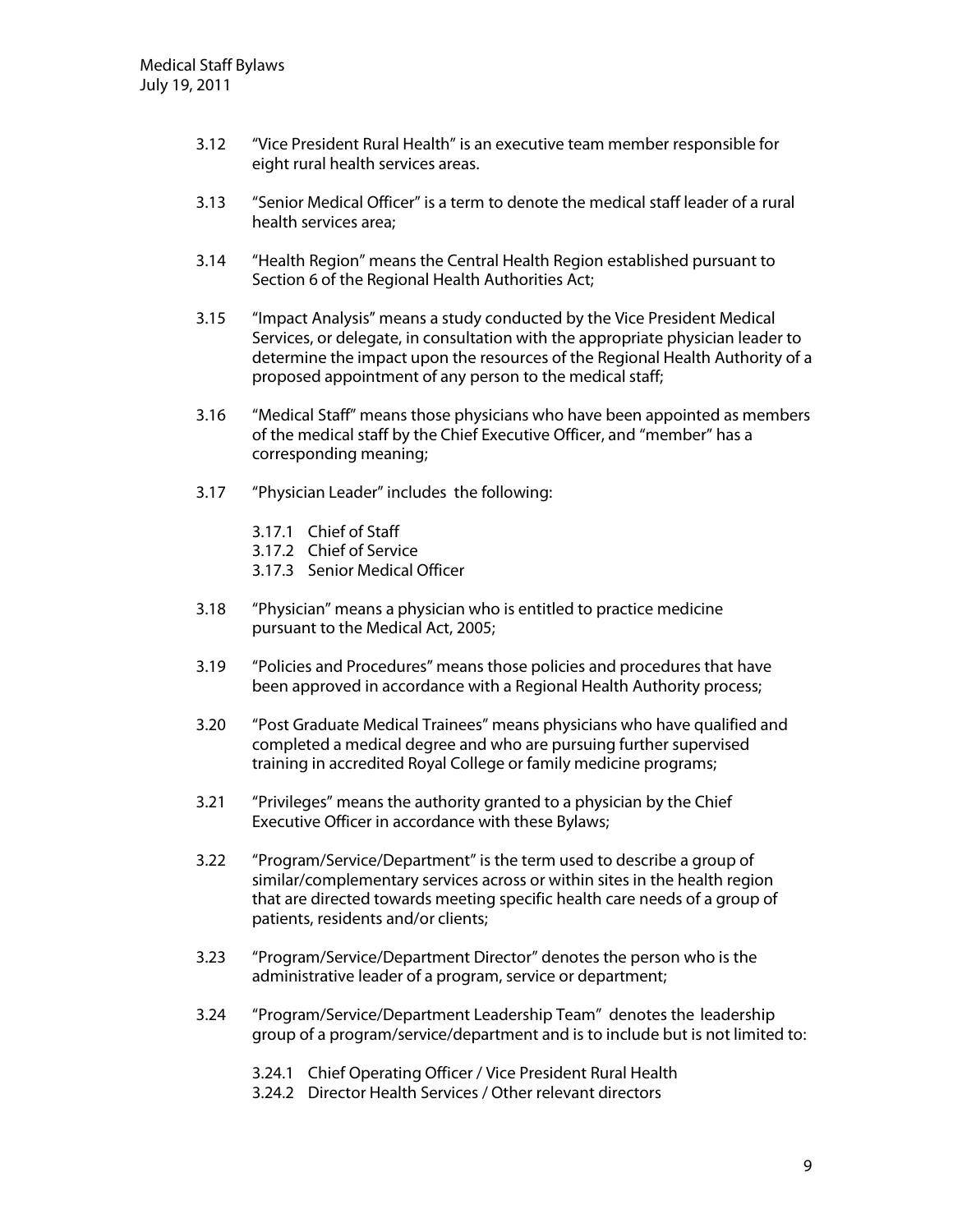- 3.12 "Vice President Rural Health" is an executive team member responsible for eight rural health services areas.
- 3.13 "Senior Medical Officer" is a term to denote the medical staff leader of a rural health services area;
- 3.14 "Health Region" means the Central Health Region established pursuant to Section 6 of the Regional Health Authorities Act;
- 3.15 "Impact Analysis" means a study conducted by the Vice President Medical Services, or delegate, in consultation with the appropriate physician leader to determine the impact upon the resources of the Regional Health Authority of a proposed appointment of any person to the medical staff;
- 3.16 "Medical Staff" means those physicians who have been appointed as members of the medical staff by the Chief Executive Officer, and "member" has a corresponding meaning;
- 3.17 "Physician Leader" includes the following:
	- 3.17.1 Chief of Staff
	- 3.17.2 Chief of Service
	- 3.17.3 Senior Medical Officer
- 3.18 "Physician" means a physician who is entitled to practice medicine pursuant to the Medical Act, 2005;
- 3.19 "Policies and Procedures" means those policies and procedures that have been approved in accordance with a Regional Health Authority process;
- 3.20 "Post Graduate Medical Trainees" means physicians who have qualified and completed a medical degree and who are pursuing further supervised training in accredited Royal College or family medicine programs;
- 3.21 "Privileges" means the authority granted to a physician by the Chief Executive Officer in accordance with these Bylaws;
- 3.22 "Program/Service/Department" is the term used to describe a group of similar/complementary services across or within sites in the health region that are directed towards meeting specific health care needs of a group of patients, residents and/or clients;
- 3.23 "Program/Service/Department Director" denotes the person who is the administrative leader of a program, service or department;
- 3.24 "Program/Service/Department Leadership Team" denotes the leadership group of a program/service/department and is to include but is not limited to:
	- 3.24.1 Chief Operating Officer / Vice President Rural Health
	- 3.24.2 Director Health Services / Other relevant directors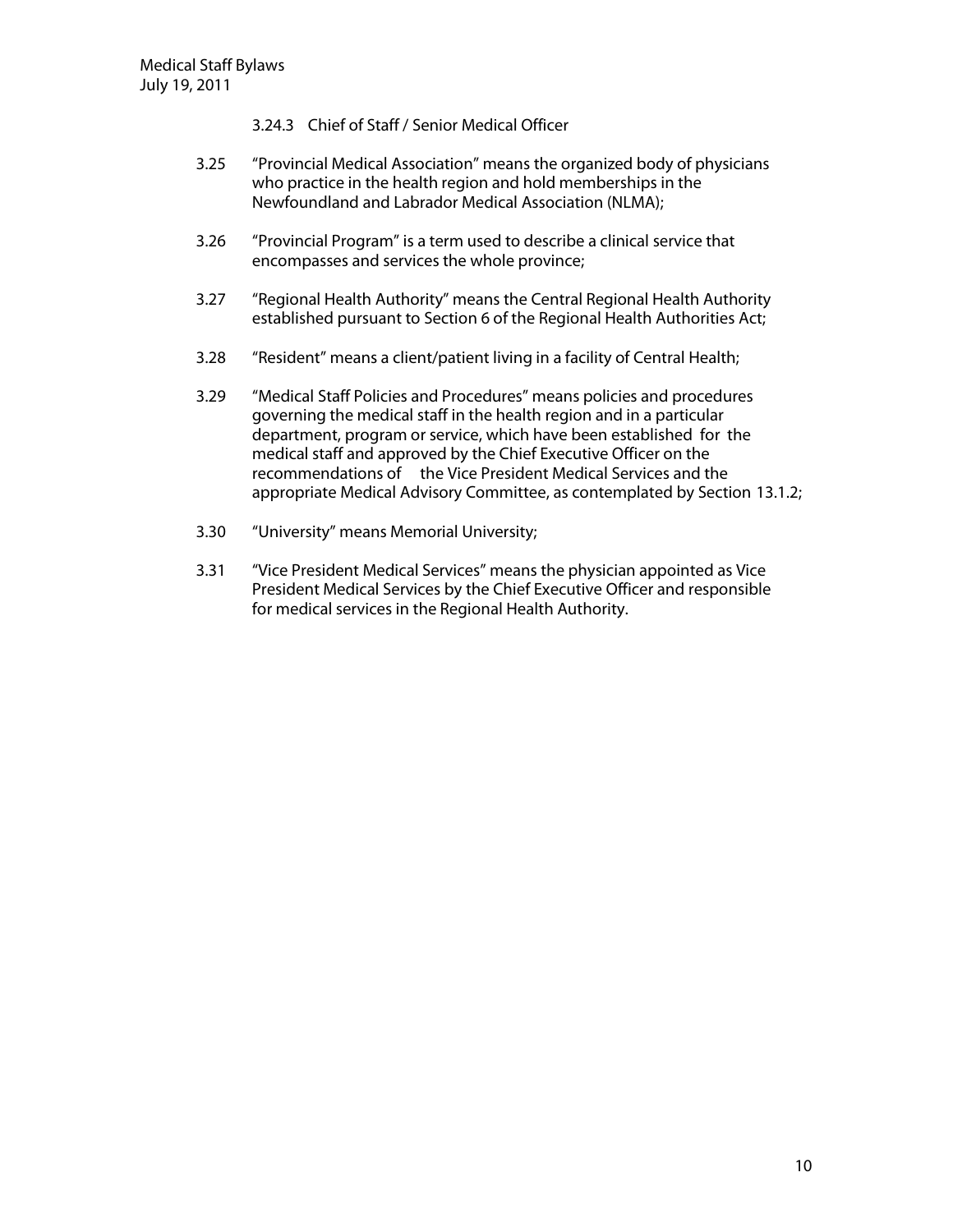- 3.24.3 Chief of Staff / Senior Medical Officer
- 3.25 "Provincial Medical Association" means the organized body of physicians who practice in the health region and hold memberships in the Newfoundland and Labrador Medical Association (NLMA);
- 3.26 "Provincial Program" is a term used to describe a clinical service that encompasses and services the whole province;
- 3.27 "Regional Health Authority" means the Central Regional Health Authority established pursuant to Section 6 of the Regional Health Authorities Act;
- 3.28 "Resident" means a client/patient living in a facility of Central Health;
- 3.29 "Medical Staff Policies and Procedures" means policies and procedures governing the medical staff in the health region and in a particular department, program or service, which have been established for the medical staff and approved by the Chief Executive Officer on the recommendations of the Vice President Medical Services and the appropriate Medical Advisory Committee, as contemplated by Section 13.1.2;
- 3.30 "University" means Memorial University;
- 3.31 "Vice President Medical Services" means the physician appointed as Vice President Medical Services by the Chief Executive Officer and responsible for medical services in the Regional Health Authority.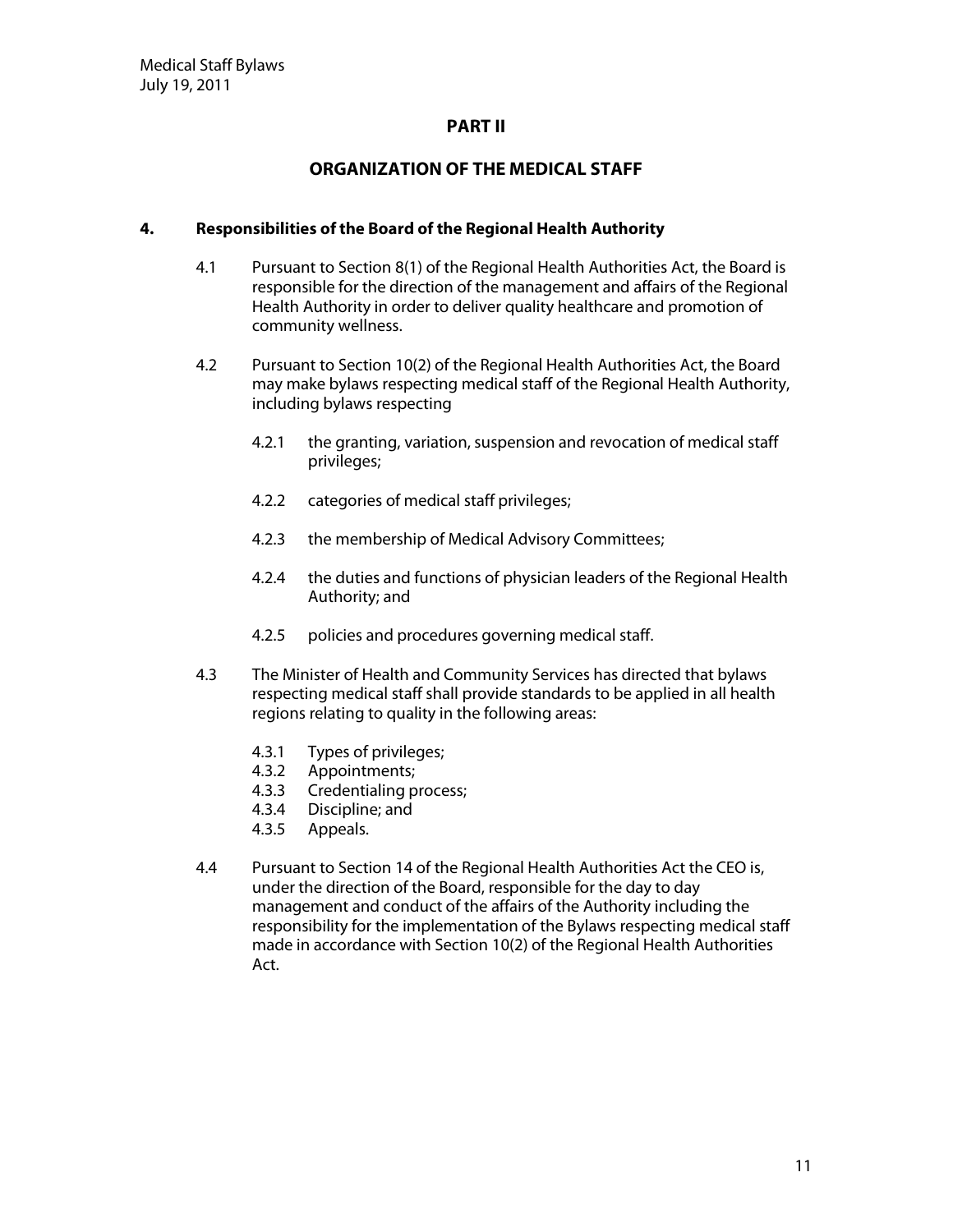#### **PART II**

## **O RG AN IZATIO N O F TH E M ED ICAL STAFF**

#### **4. Responsibilities ofthe Board ofthe RegionalH ealth Authority**

- 4.1 Pursuant to Section 8(1) of the Regional Health Authorities Act, the Board is responsible for the direction of the management and affairs of the Regional Health Authority in order to deliver quality healthcare and promotion of community wellness.
- 4.2 Pursuant to Section 10(2) of the Regional Health Authorities Act, the Board may make bylaws respecting medical staff of the Regional Health Authority, including bylaws respecting
	- 4.2.1 the granting, variation, suspension and revocation of medical staff privileges;
	- 4.2.2 categories of medical staff privileges;
	- 4.2.3 the membership of Medical Advisory Committees;
	- 4.2.4 the duties and functions of physician leaders of the Regional Health Authority; and
	- 4.2.5 policies and procedures governing medical staff.
- 4.3 The Minister of Health and Community Services has directed that bylaws respecting medical staff shall provide standards to be applied in all health regions relating to quality in the following areas:
	- 4.3.1 Types of privileges;
	- 4.3.2 Appointments;
	- 4.3.3 Credentialing process;
	- 4.3.4 Discipline; and
	- 4.3.5 Appeals.
- 4.4 Pursuant to Section 14 of the Regional Health Authorities Act the CEO is, under the direction of the Board, responsible for the day to day management and conduct of the affairs of the Authority including the responsibility for the implementation of the Bylaws respecting medical staff made in accordance with Section 10(2) of the Regional Health Authorities Act.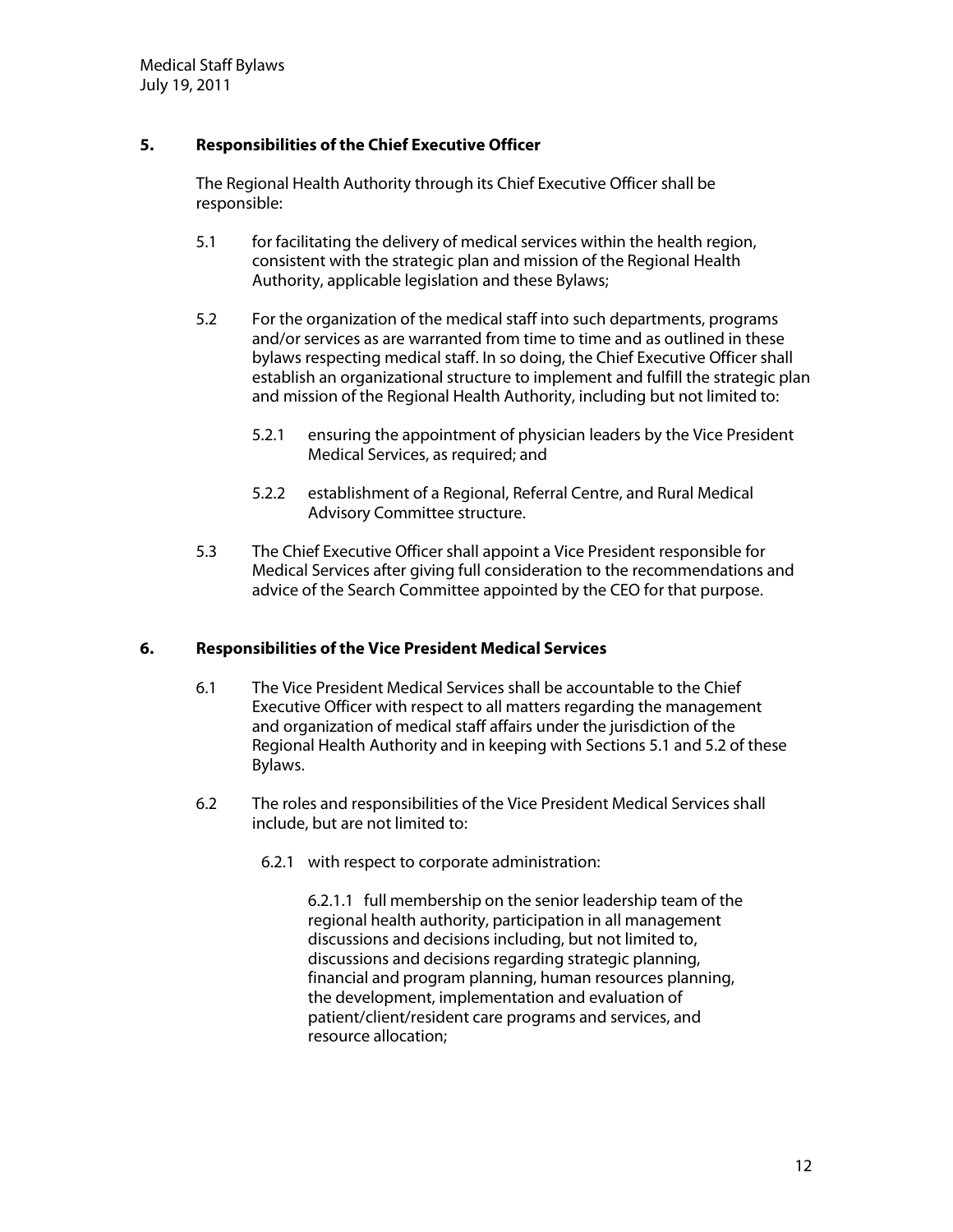# **5. Responsibilities ofthe ChiefExecutive O fficer**

The Regional Health Authority through its Chief Executive Officer shall be responsible:

- 5.1 for facilitating the delivery of medical services within the health region, consistent with the strategic plan and mission of the Regional Health Authority, applicable legislation and these Bylaws;
- 5.2 For the organization of the medical staff into such departments, programs and/or services as are warranted from time to time and as outlined in these bylaws respecting medical staff. In so doing, the Chief Executive Officer shall establish an organizational structure to implement and fulfill the strategic plan and mission of the Regional Health Authority, including but not limited to:
	- 5.2.1 ensuring the appointment of physician leaders by the Vice President Medical Services, as required; and
	- 5.2.2 establishment of a Regional, Referral Centre, and Rural Medical Advisory Committee structure.
- 5.3 The Chief Executive Officer shall appoint a Vice President responsible for Medical Services after giving full consideration to the recommendations and advice of the Search Committee appointed by the CEO for that purpose.

#### **6.** Responsibilities of the Vice President Medical Services

- 6.1 The Vice President Medical Services shall be accountable to the Chief Executive Officer with respect to all matters regarding the management and organization of medical staff affairs under the jurisdiction of the Regional Health Authority and in keeping with Sections 5.1 and 5.2 of these Bylaws.
- 6.2 The roles and responsibilities of the Vice President Medical Services shall include, but are not limited to:
	- 6.2.1 with respect to corporate administration:

6.2.1.1 full membership on the senior leadership team of the regional health authority, participation in all management discussions and decisions including, but not limited to, discussions and decisions regarding strategic planning, financial and program planning, human resources planning, the development, implementation and evaluation of patient/client/resident care programs and services, and resource allocation;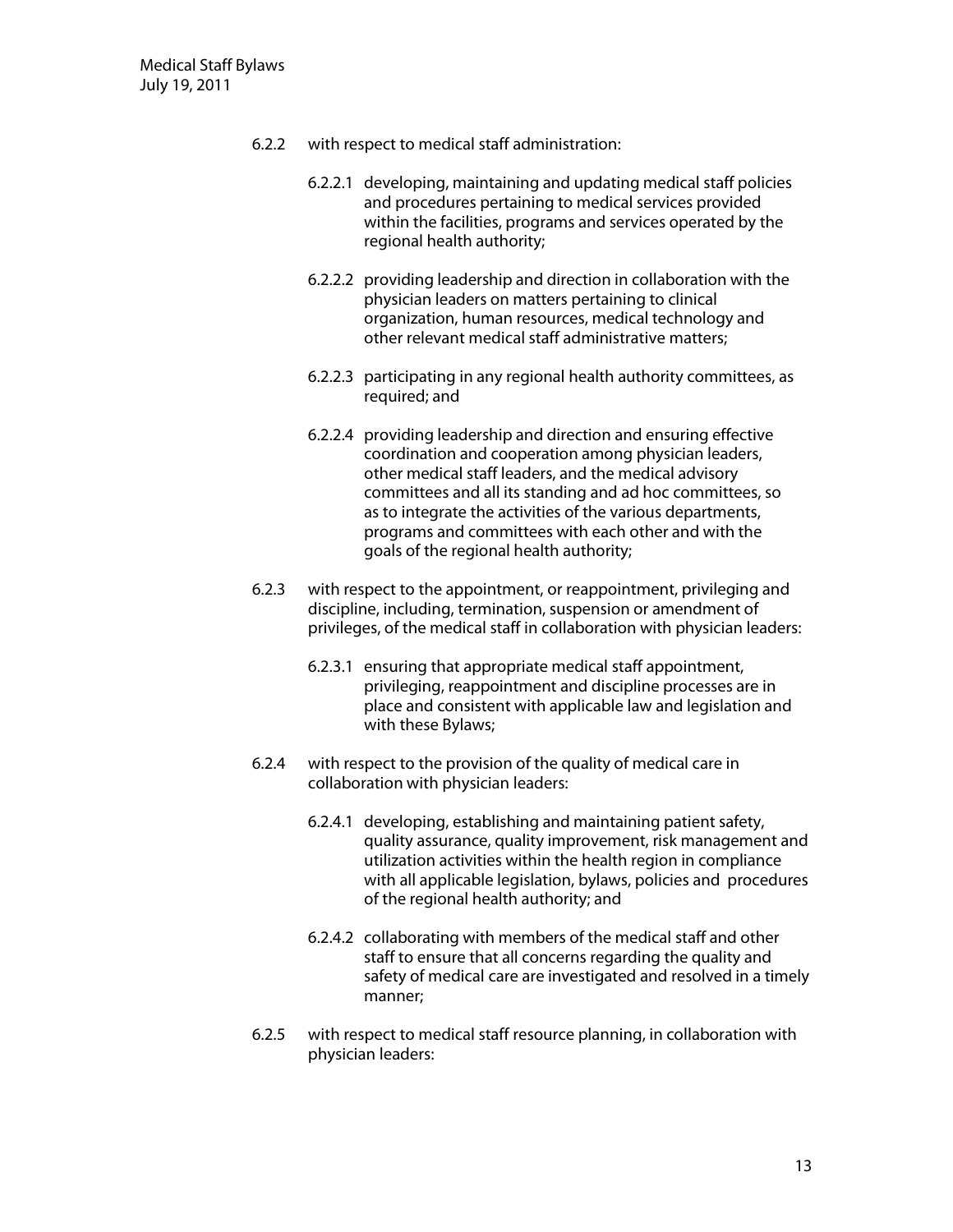- 6.2.2 with respect to medical staff administration:
	- 6.2.2.1 developing, maintaining and updating medical staff policies and procedures pertaining to medical services provided within the facilities, programs and services operated by the regional health authority;
	- 6.2.2.2 providing leadership and direction in collaboration with the physician leaders on matters pertaining to clinical organization, human resources, medical technology and other relevant medical staff administrative matters;
	- 6.2.2.3 participating in any regional health authority committees, as required; and
	- 6.2.2.4 providing leadership and direction and ensuring effective coordination and cooperation among physician leaders, other medical staff leaders, and the medical advisory committees and all its standing and ad hoc committees, so as to integrate the activities of the various departments, programs and committees with each other and with the goals of the regional health authority;
- 6.2.3 with respect to the appointment, or reappointment, privileging and discipline, including, termination, suspension or amendment of privileges, of the medical staff in collaboration with physician leaders:
	- 6.2.3.1 ensuring that appropriate medical staff appointment, privileging, reappointment and discipline processes are in place and consistent with applicable law and legislation and with these Bylaws;
- 6.2.4 with respect to the provision of the quality of medical care in collaboration with physician leaders:
	- 6.2.4.1 developing, establishing and maintaining patient safety, quality assurance, quality improvement, risk management and utilization activities within the health region in compliance with all applicable legislation, bylaws, policies and procedures of the regional health authority; and
	- 6.2.4.2 collaborating with members of the medical staff and other staff to ensure that all concerns regarding the quality and safety of medical care are investigated and resolved in a timely manner;
- 6.2.5 with respect to medical staff resource planning, in collaboration with physician leaders: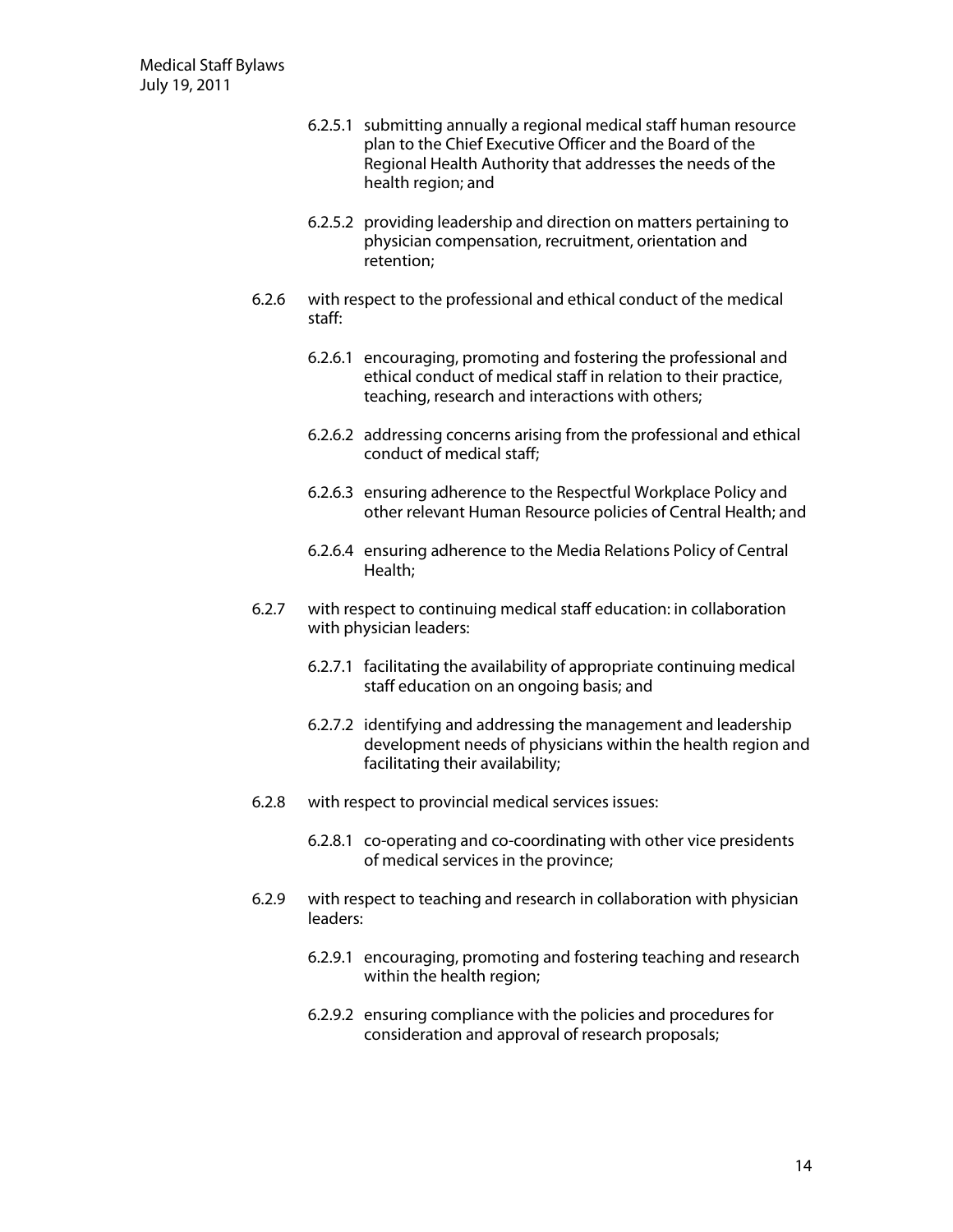- 6.2.5.1 submitting annually a regional medical staff human resource plan to the Chief Executive Officer and the Board of the Regional Health Authority that addresses the needs of the health region; and
- 6.2.5.2 providing leadership and direction on matters pertaining to physician compensation, recruitment, orientation and retention;
- 6.2.6 with respect to the professional and ethical conduct of the medical staff:
	- 6.2.6.1 encouraging, promoting and fostering the professional and ethical conduct of medical staff in relation to their practice, teaching, research and interactions with others;
	- 6.2.6.2 addressing concerns arising from the professional and ethical conduct of medical staff;
	- 6.2.6.3 ensuring adherence to the Respectful Workplace Policy and other relevant Human Resource policies of Central Health; and
	- 6.2.6.4 ensuring adherence to the Media Relations Policy of Central Health;
- 6.2.7 with respect to continuing medical staff education: in collaboration with physician leaders:
	- 6.2.7.1 facilitating the availability of appropriate continuing medical staff education on an ongoing basis; and
	- 6.2.7.2 identifying and addressing the management and leadership development needs of physicians within the health region and facilitating their availability;
- 6.2.8 with respect to provincial medical services issues:
	- 6.2.8.1 co-operating and co-coordinating with other vice presidents of medical services in the province;
- 6.2.9 with respect to teaching and research in collaboration with physician leaders:
	- 6.2.9.1 encouraging, promoting and fostering teaching and research within the health region;
	- 6.2.9.2 ensuring compliance with the policies and procedures for consideration and approval of research proposals;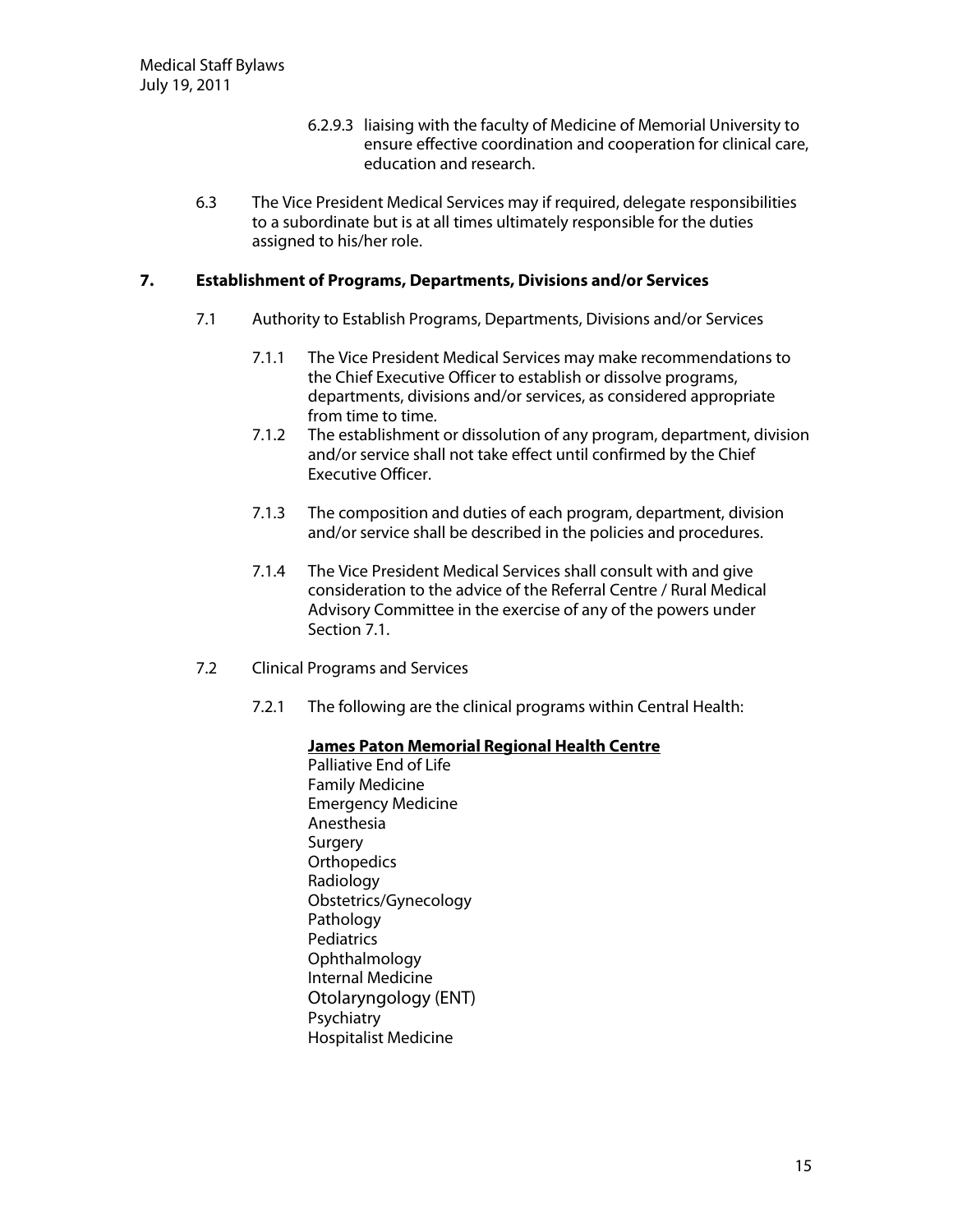- 6.2.9.3 liaising with the faculty of Medicine of Memorial University to ensure effective coordination and cooperation for clinical care, education and research.
- 6.3 The Vice President Medical Services may if required, delegate responsibilities to a subordinate but is at all times ultimately responsible for the duties assigned to his/her role.

#### **7. Establishment of Programs, Departments, Divisions and/or Services**

- 7.1 Authority to Establish Programs, Departments, Divisions and/or Services
	- 7.1.1 The Vice President Medical Services may make recommendations to the Chief Executive Officer to establish or dissolve programs, departments, divisions and/or services, as considered appropriate from time to time.
	- 7.1.2 The establishment or dissolution of any program, department, division and/or service shall not take effect until confirmed by the Chief Executive Officer.
	- 7.1.3 The composition and duties of each program, department, division and/or service shall be described in the policies and procedures.
	- 7.1.4 The Vice President Medical Services shall consult with and give consideration to the advice of the Referral Centre / Rural Medical Advisory Committee in the exercise of any of the powers under Section 7.1.
- 7.2 Clinical Programs and Services
	- 7.2.1 The following are the clinical programs within Central Health:

#### **James Paton Memorial Regional Health Centre**

Palliative End of Life Family Medicine Emergency Medicine Anesthesia Surgery **Orthopedics** Radiology Obstetrics/Gynecology Pathology **Pediatrics** Ophthalmology Internal Medicine Otolaryngology (ENT) **Psychiatry** Hospitalist Medicine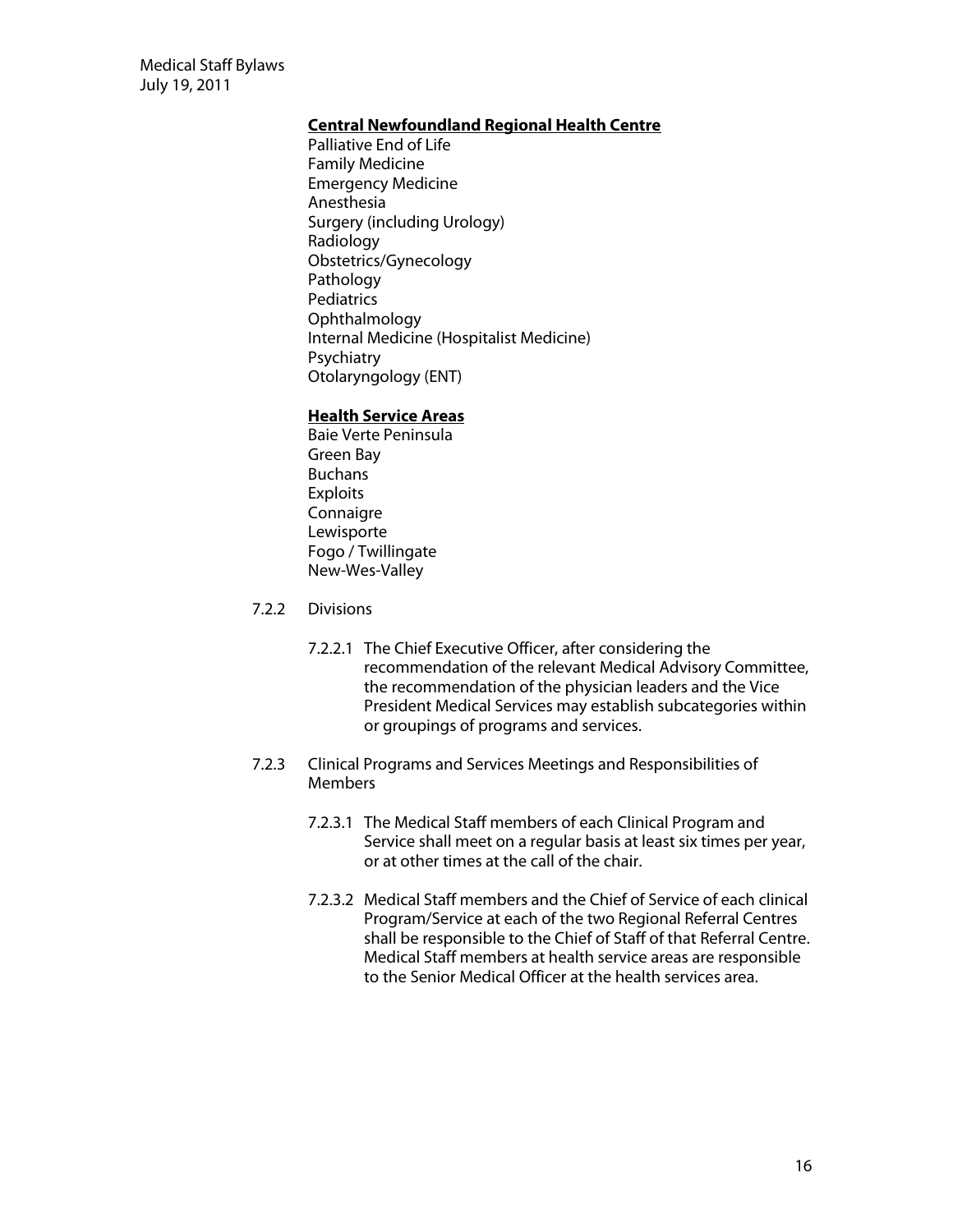Medical Staff Bylaws July 19, 2011

#### **Central Newfoundland Regional Health Centre**

Palliative End of Life Family Medicine Emergency Medicine Anesthesia Surgery (including Urology) Radiology Obstetrics/Gynecology Pathology **Pediatrics Ophthalmology** Internal Medicine (Hospitalist Medicine) **Psychiatry** Otolaryngology (ENT)

#### **H ealth Service Areas**

- Baie Verte Peninsula Green Bay Buchans Exploits **Connaigre** Lewisporte Fogo / Twillingate New-Wes-Valley
- 7.2.2 Divisions
	- 7.2.2.1 The Chief Executive Officer, after considering the recommendation of the relevant Medical Advisory Committee, the recommendation of the physician leaders and the Vice President Medical Services may establish subcategories within or groupings of programs and services.
- 7.2.3 Clinical Programs and Services Meetings and Responsibilities of **Members** 
	- 7.2.3.1 The Medical Staff members of each Clinical Program and Service shall meet on a regular basis at least six times per year, or at other times at the call of the chair.
	- 7.2.3.2 Medical Staff members and the Chief of Service of each clinical Program/Service at each of the two Regional Referral Centres shall be responsible to the Chief of Staff of that Referral Centre. Medical Staff members at health service areas are responsible to the Senior Medical Officer at the health services area.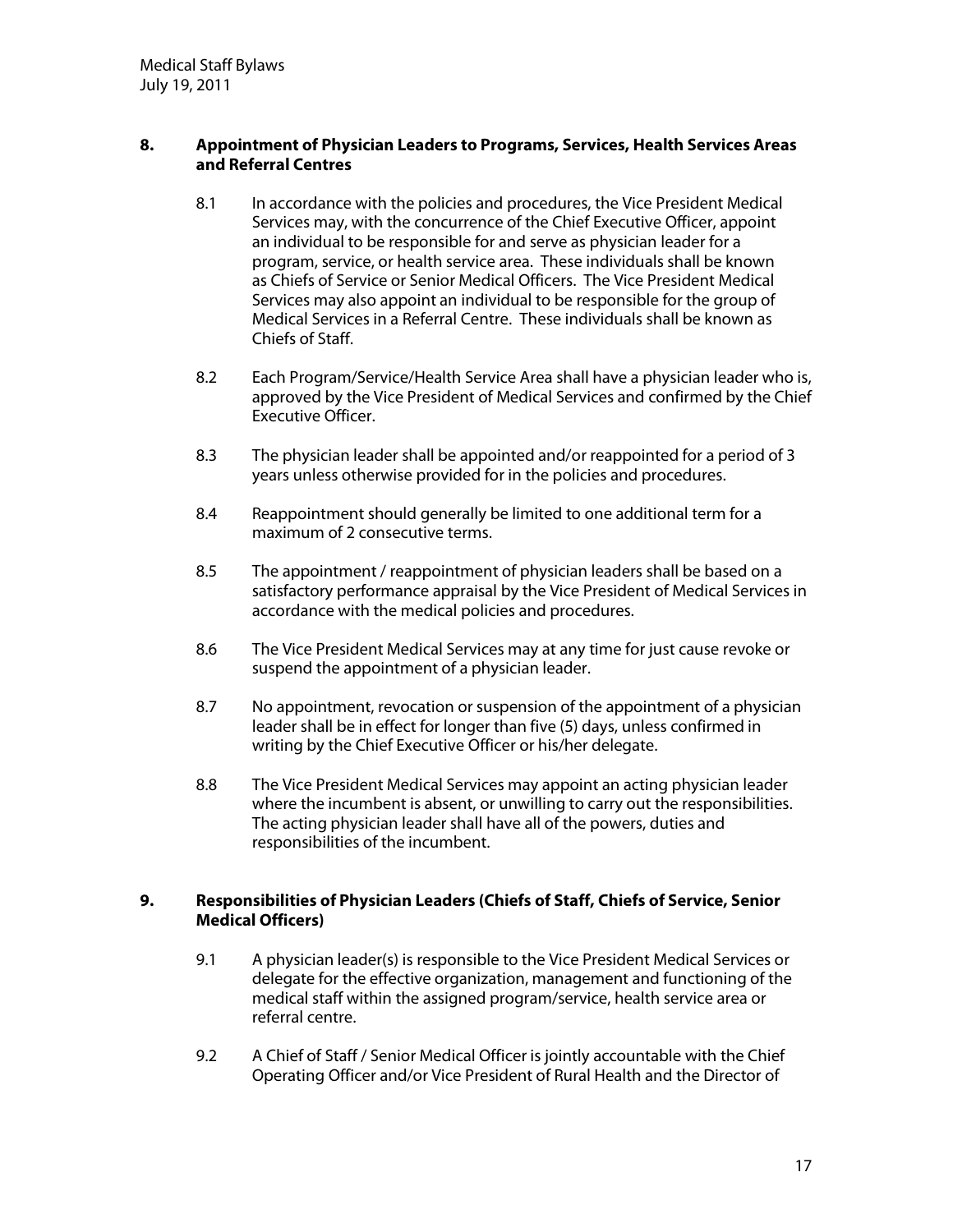#### **8. Appointment of Physician Leaders to Programs, Services, Health Services Areas and ReferralCentres**

- 8.1 In accordance with the policies and procedures, the Vice President Medical Services may, with the concurrence of the Chief Executive Officer, appoint an individual to be responsible for and serve as physician leader for a program, service, or health service area. These individuals shall be known as Chiefs of Service or Senior Medical Officers. The Vice President Medical Services may also appoint an individual to be responsible for the group of Medical Services in a Referral Centre. These individuals shall be known as Chiefs of Staff.
- 8.2 Each Program/Service/Health Service Area shall have a physician leader who is, approved by the Vice President of Medical Services and confirmed by the Chief Executive Officer.
- 8.3 The physician leader shall be appointed and/or reappointed for a period of 3 years unless otherwise provided for in the policies and procedures.
- 8.4 Reappointment should generally be limited to one additional term for a maximum of 2 consecutive terms.
- 8.5 The appointment / reappointment of physician leaders shall be based on a satisfactory performance appraisal by the Vice President of Medical Services in accordance with the medical policies and procedures.
- 8.6 The Vice President Medical Services may at any time for just cause revoke or suspend the appointment of a physician leader.
- 8.7 No appointment, revocation or suspension of the appointment of a physician leader shall be in effect for longer than five (5) days, unless confirmed in writing by the Chief Executive Officer or his/her delegate.
- 8.8 The Vice President Medical Services may appoint an acting physician leader where the incumbent is absent, or unwilling to carry out the responsibilities. The acting physician leader shall have all of the powers, duties and responsibilities of the incumbent.

#### **9. Responsibilities of Physician Leaders** (Chiefs of Staff, Chiefs of Service, Senior **Medical Officers)**

- 9.1 A physician leader(s) is responsible to the Vice President Medical Services or delegate for the effective organization, management and functioning of the medical staff within the assigned program/service, health service area or referral centre.
- 9.2 A Chief of Staff / Senior Medical Officer is jointly accountable with the Chief Operating Officer and/or Vice President of Rural Health and the Director of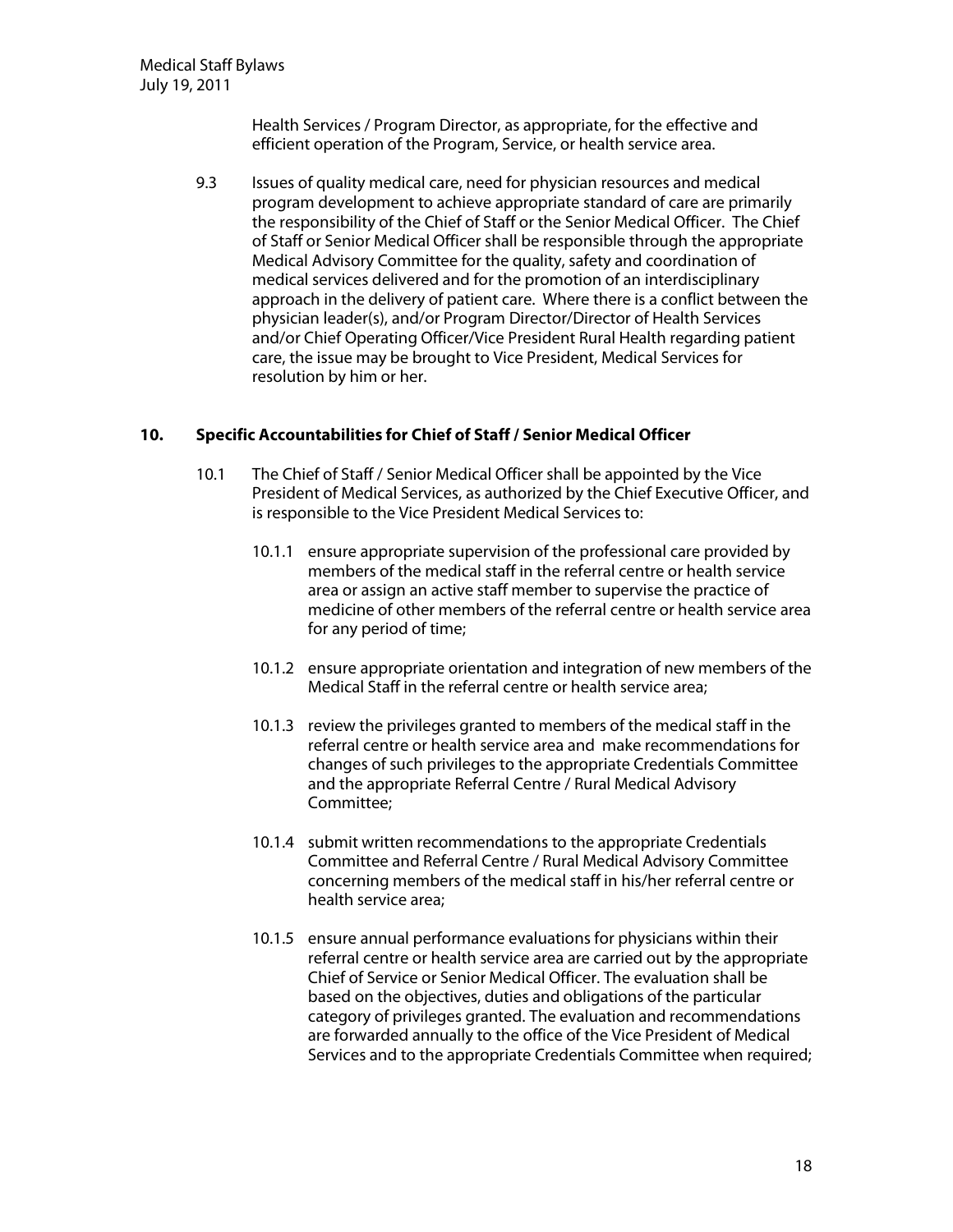Health Services / Program Director, as appropriate, for the effective and efficient operation of the Program, Service, or health service area.

9.3 Issues of quality medical care, need for physician resources and medical program development to achieve appropriate standard of care are primarily the responsibility of the Chief of Staff or the Senior Medical Officer. The Chief of Staff or Senior Medical Officer shall be responsible through the appropriate Medical Advisory Committee for the quality, safety and coordination of medical services delivered and for the promotion of an interdisciplinary approach in the delivery of patient care. Where there is a conflict between the physician leader(s), and/or Program Director/Director of Health Services and/or Chief Operating Officer/Vice President Rural Health regarding patient care, the issue may be brought to Vice President, Medical Services for resolution by him or her.

#### **10. SpecificAccountabilities forChiefofStaff/SeniorM edicalO fficer**

- 10.1 The Chief of Staff / Senior Medical Officer shall be appointed by the Vice President of Medical Services, as authorized by the Chief Executive Officer, and is responsible to the Vice President Medical Services to:
	- 10.1.1 ensure appropriate supervision of the professional care provided by members of the medical staff in the referral centre or health service area or assign an active staff member to supervise the practice of medicine of other members of the referral centre or health service area for any period of time;
	- 10.1.2 ensure appropriate orientation and integration of new members of the Medical Staff in the referral centre or health service area;
	- 10.1.3 review the privileges granted to members of the medical staff in the referral centre or health service area and make recommendations for changes of such privileges to the appropriate Credentials Committee and the appropriate Referral Centre / Rural Medical Advisory Committee;
	- 10.1.4 submit written recommendations to the appropriate Credentials Committee and Referral Centre / Rural Medical Advisory Committee concerning members of the medical staff in his/her referral centre or health service area;
	- 10.1.5 ensure annual performance evaluations for physicians within their referral centre or health service area are carried out by the appropriate Chief of Service or Senior Medical Officer. The evaluation shall be based on the objectives, duties and obligations of the particular category of privileges granted. The evaluation and recommendations are forwarded annually to the office of the Vice President of Medical Services and to the appropriate Credentials Committee when required;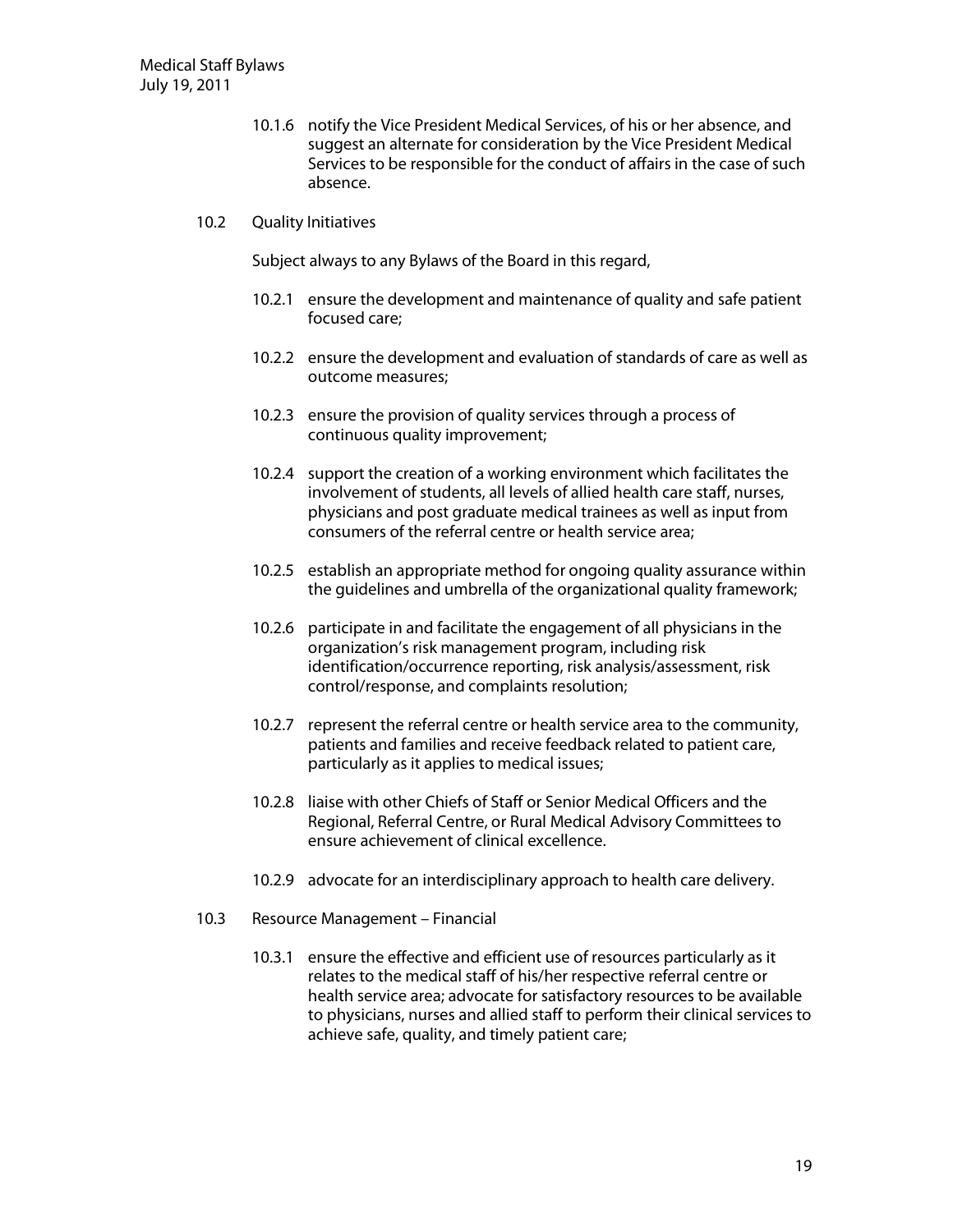- 10.1.6 notify the Vice President Medical Services, of his or her absence, and suggest an alternate for consideration by the Vice President Medical Services to be responsible for the conduct of affairs in the case of such absence.
- 10.2 Quality Initiatives

Subject always to any Bylaws of the Board in this regard,

- 10.2.1 ensure the development and maintenance of quality and safe patient focused care;
- 10.2.2 ensure the development and evaluation of standards of care as well as outcome measures;
- 10.2.3 ensure the provision of quality services through a process of continuous quality improvement;
- 10.2.4 support the creation of a working environment which facilitates the involvement of students, all levels of allied health care staff, nurses, physicians and post graduate medical trainees as well as input from consumers of the referral centre or health service area;
- 10.2.5 establish an appropriate method for ongoing quality assurance within the guidelines and umbrella of the organizational quality framework;
- 10.2.6 participate in and facilitate the engagement of all physicians in the organization's risk management program, including risk identification/occurrence reporting, risk analysis/assessment, risk control/response, and complaints resolution;
- 10.2.7 represent the referral centre or health service area to the community, patients and families and receive feedback related to patient care, particularly as it applies to medical issues;
- 10.2.8 liaise with other Chiefs of Staff or Senior Medical Officers and the Regional, Referral Centre, or Rural Medical Advisory Committees to ensure achievement of clinical excellence.
- 10.2.9 advocate for an interdisciplinary approach to health care delivery.
- 10.3 Resource Management Financial
	- 10.3.1 ensure the effective and efficient use of resources particularly as it relates to the medical staff of his/her respective referral centre or health service area; advocate for satisfactory resources to be available to physicians, nurses and allied staff to perform their clinical services to achieve safe, quality, and timely patient care;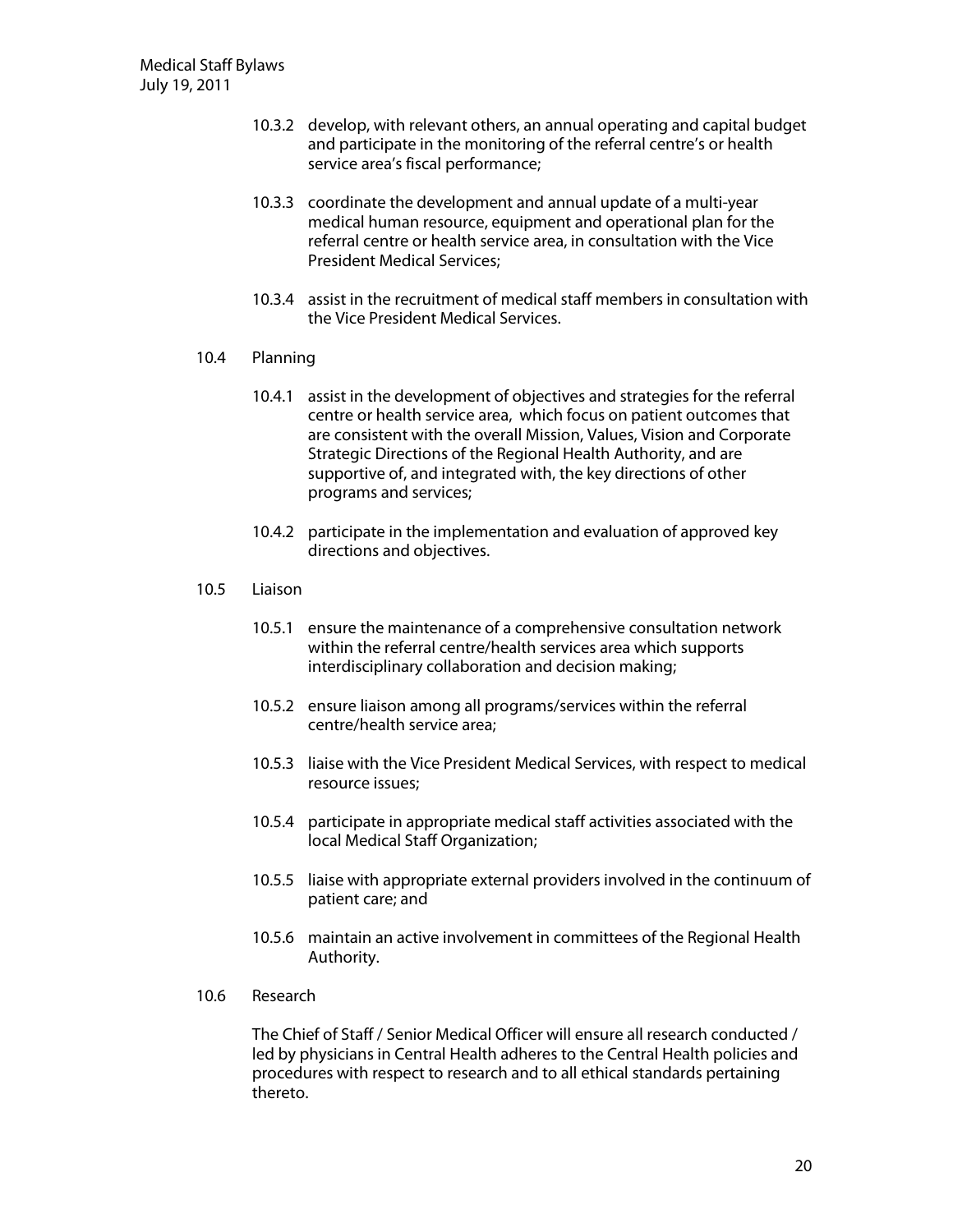- 10.3.2 develop, with relevant others, an annual operating and capital budget and participate in the monitoring of the referral centre's or health service area's fiscal performance;
- 10.3.3 coordinate the development and annual update of a multi-year medical human resource, equipment and operational plan for the referral centre or health service area, in consultation with the Vice President Medical Services;
- 10.3.4 assist in the recruitment of medical staff members in consultation with the Vice President Medical Services.
- 10.4 Planning
	- 10.4.1 assist in the development of objectives and strategies for the referral centre or health service area, which focus on patient outcomes that are consistent with the overall Mission, Values, Vision and Corporate Strategic Directions of the Regional Health Authority, and are supportive of, and integrated with, the key directions of other programs and services;
	- 10.4.2 participate in the implementation and evaluation of approved key directions and objectives.
- 10.5 Liaison
	- 10.5.1 ensure the maintenance of a comprehensive consultation network within the referral centre/health services area which supports interdisciplinary collaboration and decision making;
	- 10.5.2 ensure liaison among all programs/services within the referral centre/health service area;
	- 10.5.3 liaise with the Vice President Medical Services, with respect to medical resource issues;
	- 10.5.4 participate in appropriate medical staff activities associated with the local Medical Staff Organization;
	- 10.5.5 liaise with appropriate external providers involved in the continuum of patient care; and
	- 10.5.6 maintain an active involvement in committees of the Regional Health Authority.
- 10.6 Research

The Chief of Staff / Senior Medical Officer will ensure all research conducted / led by physicians in Central Health adheres to the Central Health policies and procedures with respect to research and to all ethical standards pertaining thereto.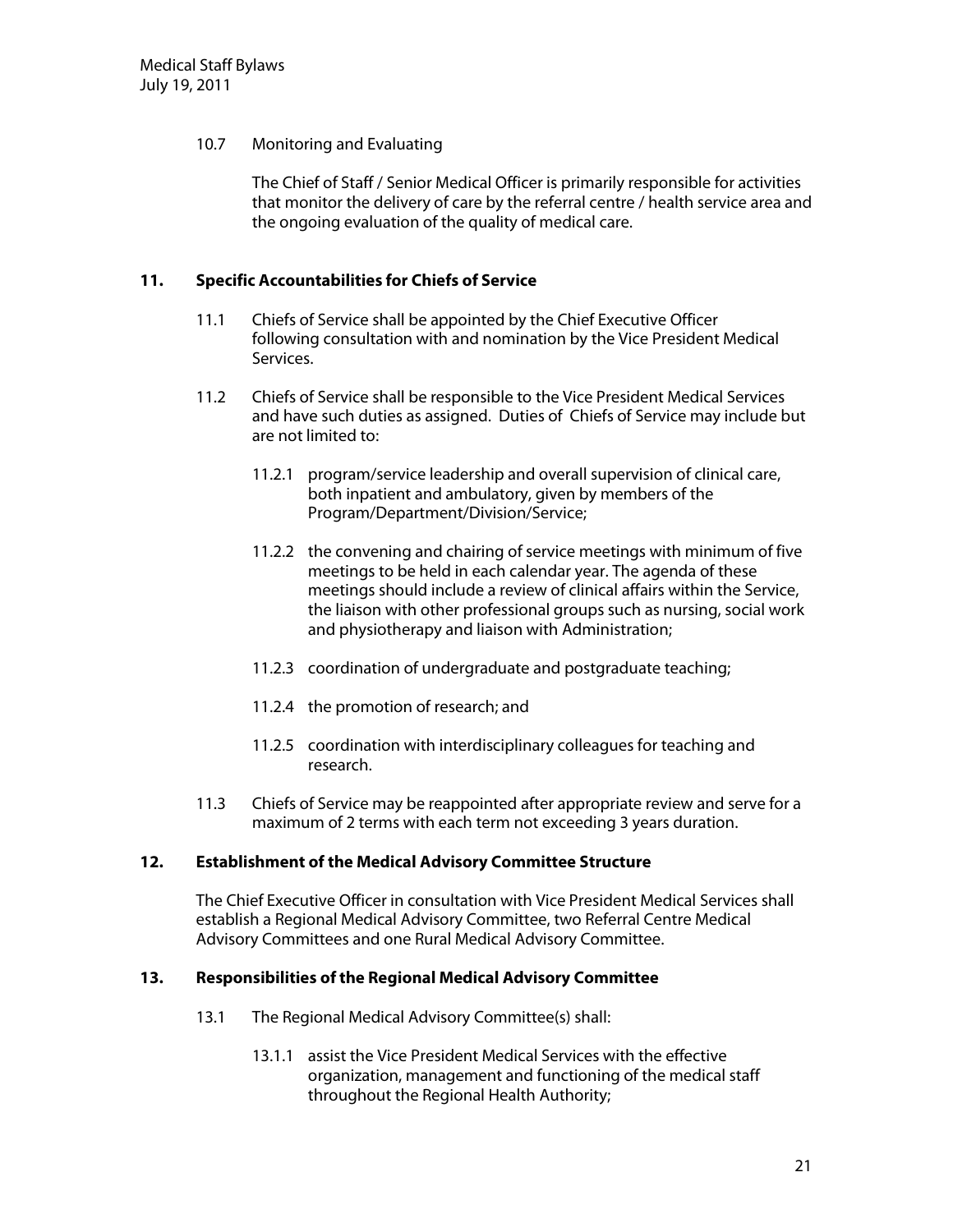#### 10.7 Monitoring and Evaluating

The Chief of Staff / Senior Medical Officer is primarily responsible for activities that monitor the delivery of care by the referral centre / health service area and the ongoing evaluation of the quality of medical care.

#### **11.** Specific Accountabilities for Chiefs of Service

- 11.1 Chiefs of Service shall be appointed by the Chief Executive Officer following consultation with and nomination by the Vice President Medical Services.
- 11.2 Chiefs of Service shall be responsible to the Vice President Medical Services and have such duties as assigned. Duties of Chiefs of Service may include but are not limited to:
	- 11.2.1 program/service leadership and overall supervision of clinical care, both inpatient and ambulatory, given by members of the Program/Department/Division/Service;
	- 11.2.2 the convening and chairing of service meetings with minimum of five meetings to be held in each calendar year. The agenda of these meetings should include a review of clinical affairs within the Service, the liaison with other professional groups such as nursing, social work and physiotherapy and liaison with Administration;
	- 11.2.3 coordination of undergraduate and postgraduate teaching;
	- 11.2.4 the promotion of research; and
	- 11.2.5 coordination with interdisciplinary colleagues for teaching and research.
- 11.3 Chiefs of Service may be reappointed after appropriate review and serve for a maximum of 2 terms with each term not exceeding 3 years duration.

#### **12. Establishment of the Medical Advisory Committee Structure**

The Chief Executive Officer in consultation with Vice President Medical Services shall establish a Regional Medical Advisory Committee, two Referral Centre Medical Advisory Committees and one Rural Medical Advisory Committee.

#### **13. Responsibilities ofthe RegionalM edicalAdvisory Com m ittee**

- 13.1 The Regional Medical Advisory Committee(s) shall:
	- 13.1.1 assist the Vice President Medical Services with the effective organization, management and functioning of the medical staff throughout the Regional Health Authority;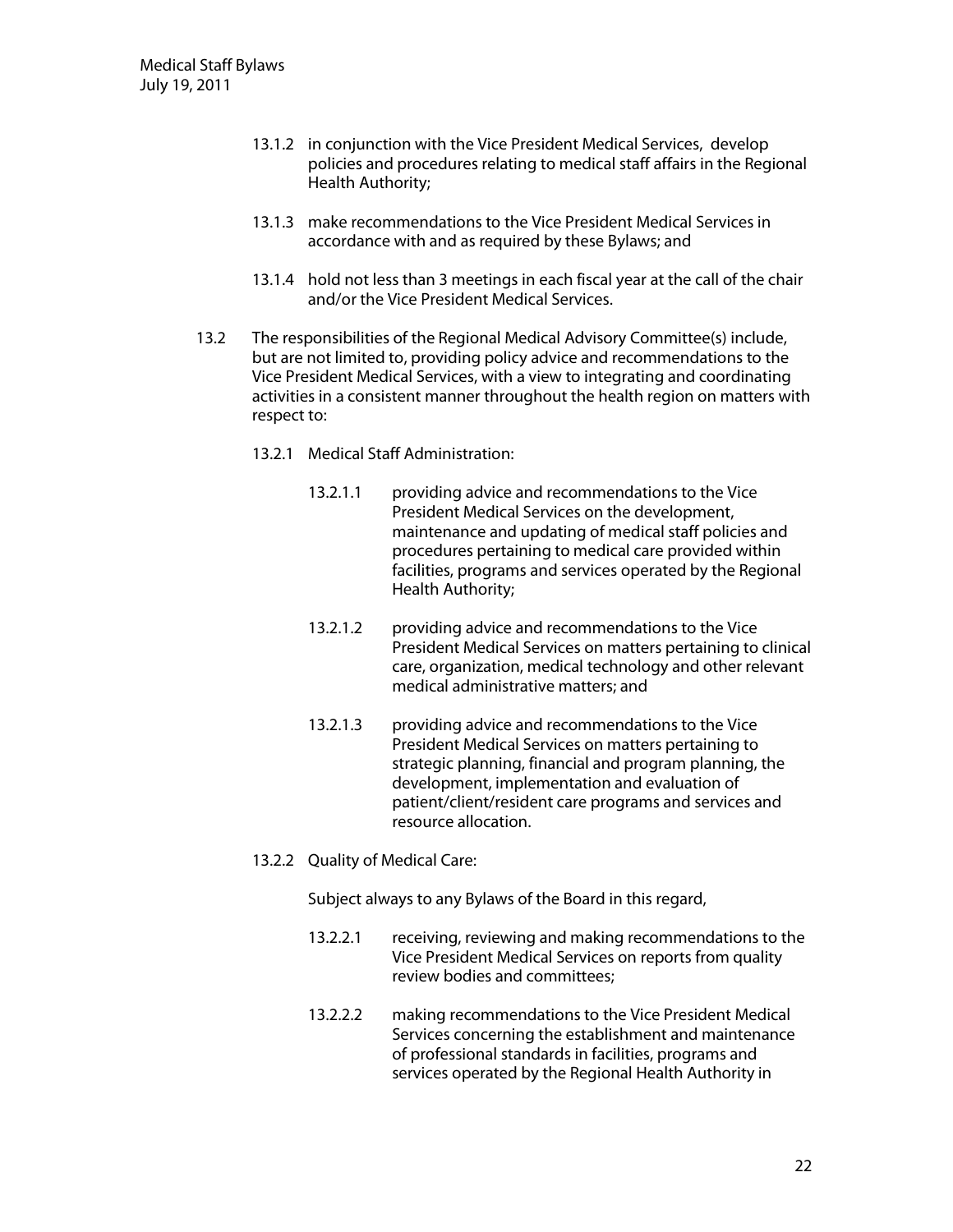- 13.1.2 in conjunction with the Vice President Medical Services, develop policies and procedures relating to medical staff affairs in the Regional Health Authority;
- 13.1.3 make recommendations to the Vice President Medical Services in accordance with and as required by these Bylaws; and
- 13.1.4 hold not less than 3 meetings in each fiscal year at the call of the chair and/or the Vice President Medical Services.
- 13.2 The responsibilities of the Regional Medical Advisory Committee(s) include, but are not limited to, providing policy advice and recommendations to the Vice President Medical Services, with a view to integrating and coordinating activities in a consistent manner throughout the health region on matters with respect to:
	- 13.2.1 Medical Staff Administration:
		- 13.2.1.1 providing advice and recommendations to the Vice President Medical Services on the development, maintenance and updating of medical staff policies and procedures pertaining to medical care provided within facilities, programs and services operated by the Regional Health Authority;
		- 13.2.1.2 providing advice and recommendations to the Vice President Medical Services on matters pertaining to clinical care, organization, medical technology and other relevant medical administrative matters; and
		- 13.2.1.3 providing advice and recommendations to the Vice President Medical Services on matters pertaining to strategic planning, financial and program planning, the development, implementation and evaluation of patient/client/resident care programs and services and resource allocation.
	- 13.2.2 Quality of Medical Care:

Subject always to any Bylaws of the Board in this regard,

- 13.2.2.1 receiving, reviewing and making recommendations to the Vice President Medical Services on reports from quality review bodies and committees;
- 13.2.2.2 making recommendations to the Vice President Medical Services concerning the establishment and maintenance of professional standards in facilities, programs and services operated by the Regional Health Authority in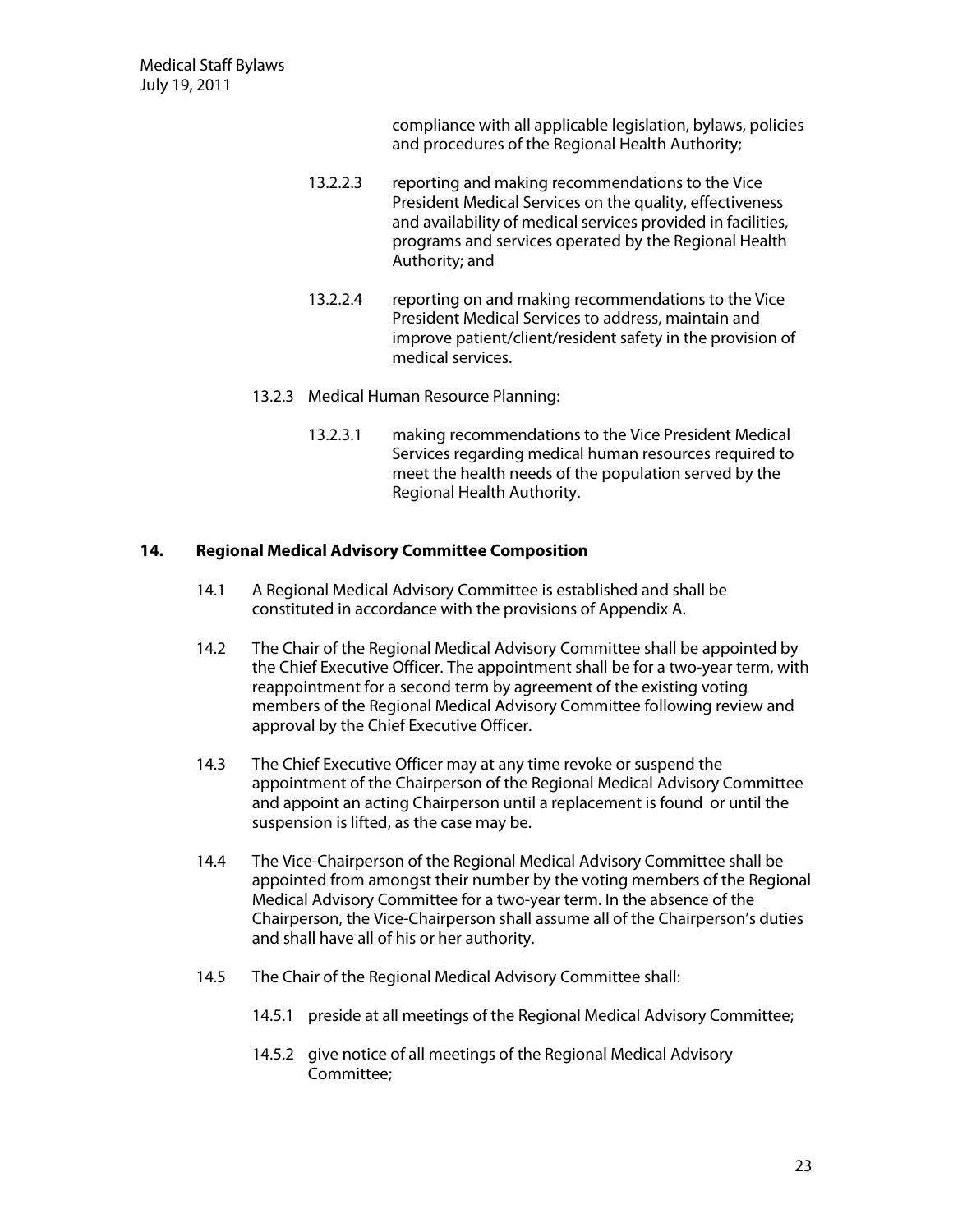compliance with all applicable legislation, bylaws, policies and procedures of the Regional Health Authority;

- 13.2.2.3 reporting and making recommendations to the Vice President Medical Services on the quality, effectiveness and availability of medical services provided in facilities, programs and services operated by the Regional Health Authority; and
- 13.2.2.4 reporting on and making recommendations to the Vice President Medical Services to address, maintain and improve patient/client/resident safety in the provision of medical services.
- 13.2.3 Medical Human Resource Planning:
	- 13.2.3.1 making recommendations to the Vice President Medical Services regarding medical human resources required to meet the health needs of the population served by the Regional Health Authority.

#### **14. RegionalM edicalAdvisory Com m ittee Com position**

- 14.1 A Regional Medical Advisory Committee is established and shall be constituted in accordance with the provisions of Appendix A.
- 14.2 The Chair of the Regional Medical Advisory Committee shall be appointed by the Chief Executive Officer. The appointment shall be for a two-year term, with reappointment for a second term by agreement of the existing voting members of the Regional Medical Advisory Committee following review and approval by the Chief Executive Officer.
- 14.3 The Chief Executive Officer may at any time revoke or suspend the appointment of the Chairperson of the Regional Medical Advisory Committee and appoint an acting Chairperson until a replacement is found or until the suspension is lifted, as the case may be.
- 14.4 The Vice-Chairperson of the Regional Medical Advisory Committee shall be appointed from amongst their number by the voting members of the Regional Medical Advisory Committee for a two-year term. In the absence of the Chairperson, the Vice-Chairperson shall assume all of the Chairperson's duties and shall have all of his or her authority.
- 14.5 The Chair of the Regional Medical Advisory Committee shall:
	- 14.5.1 preside at all meetings of the Regional Medical Advisory Committee;
	- 14.5.2 give notice of all meetings of the Regional Medical Advisory Committee;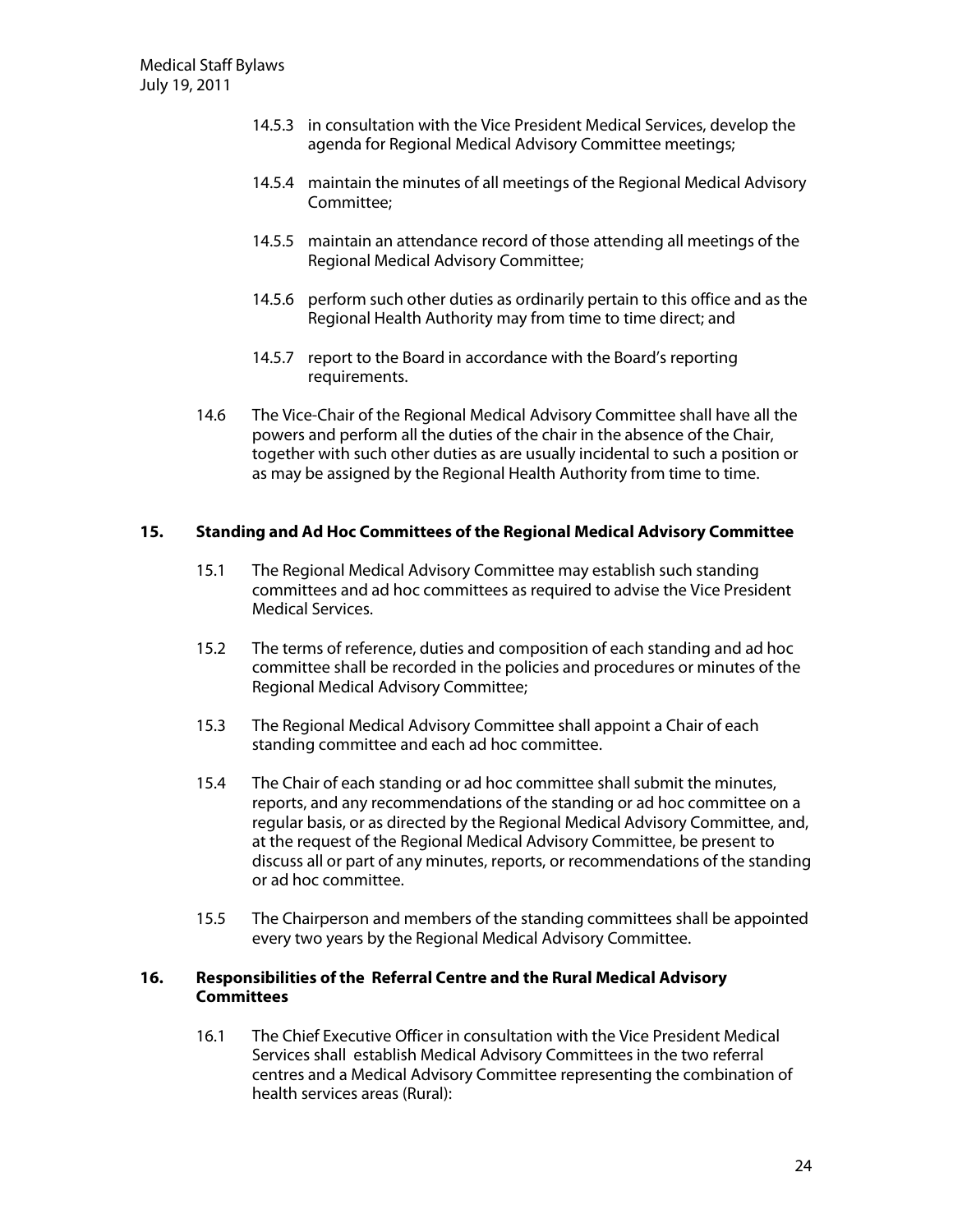- 14.5.3 in consultation with the Vice President Medical Services, develop the agenda for Regional Medical Advisory Committee meetings;
- 14.5.4 maintain the minutes of all meetings of the Regional Medical Advisory Committee;
- 14.5.5 maintain an attendance record of those attending all meetings of the Regional Medical Advisory Committee;
- 14.5.6 perform such other duties as ordinarily pertain to this office and as the Regional Health Authority may from time to time direct; and
- 14.5.7 report to the Board in accordance with the Board's reporting requirements.
- 14.6 The Vice-Chair of the Regional Medical Advisory Committee shall have all the powers and perform all the duties of the chair in the absence of the Chair, together with such other duties as are usually incidental to such a position or as may be assigned by the Regional Health Authority from time to time.

#### **15. Standing and Ad H oc Com m ittees ofthe RegionalM edicalAdvisory Com m ittee**

- 15.1 The Regional Medical Advisory Committee may establish such standing committees and ad hoc committees as required to advise the Vice President Medical Services.
- 15.2 The terms of reference, duties and composition of each standing and ad hoc committee shall be recorded in the policies and procedures or minutes of the Regional Medical Advisory Committee;
- 15.3 The Regional Medical Advisory Committee shall appoint a Chair of each standing committee and each ad hoc committee.
- 15.4 The Chair of each standing or ad hoc committee shall submit the minutes, reports, and any recommendations of the standing or ad hoc committee on a regular basis, or as directed by the Regional Medical Advisory Committee, and, at the request of the Regional Medical Advisory Committee, be present to discuss all or part of any minutes, reports, or recommendations of the standing or ad hoc committee.
- 15.5 The Chairperson and members of the standing committees shall be appointed every two years by the Regional Medical Advisory Committee.

#### **16. Responsibilities ofthe ReferralCentre and the RuralM edicalAdvisory Com m ittees**

16.1 The Chief Executive Officer in consultation with the Vice President Medical Services shall establish Medical Advisory Committees in the two referral centres and a Medical Advisory Committee representing the combination of health services areas (Rural):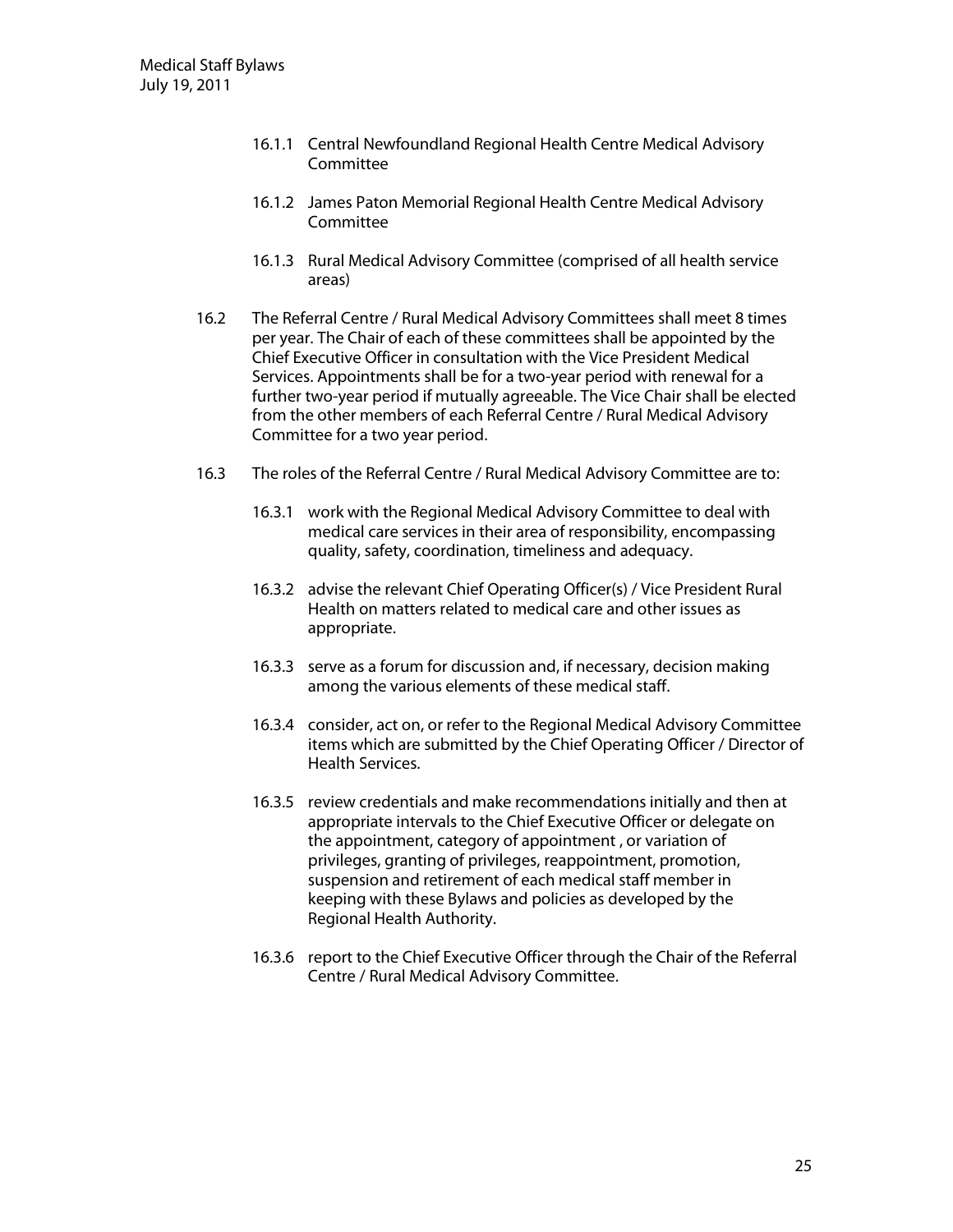- 16.1.1 Central Newfoundland Regional Health Centre Medical Advisory Committee
- 16.1.2 James Paton Memorial Regional Health Centre Medical Advisory **Committee**
- 16.1.3 Rural Medical Advisory Committee (comprised of all health service areas)
- 16.2 The Referral Centre / Rural Medical Advisory Committees shall meet 8 times per year. The Chair of each of these committees shall be appointed by the Chief Executive Officer in consultation with the Vice President Medical Services. Appointments shall be for a two-year period with renewal for a further two-year period if mutually agreeable. The Vice Chair shall be elected from the other members of each Referral Centre / Rural Medical Advisory Committee for a two year period.
- 16.3 The roles of the Referral Centre / Rural Medical Advisory Committee are to:
	- 16.3.1 work with the Regional Medical Advisory Committee to deal with medical care services in their area of responsibility, encompassing quality, safety, coordination, timeliness and adequacy.
	- 16.3.2 advise the relevant Chief Operating Officer(s) / Vice President Rural Health on matters related to medical care and other issues as appropriate.
	- 16.3.3 serve as a forum for discussion and, if necessary, decision making among the various elements of these medical staff.
	- 16.3.4 consider, act on, or refer to the Regional Medical Advisory Committee items which are submitted by the Chief Operating Officer / Director of Health Services.
	- 16.3.5 review credentials and make recommendations initially and then at appropriate intervals to the Chief Executive Officer or delegate on the appointment, category of appointment , or variation of privileges, granting of privileges, reappointment, promotion, suspension and retirement of each medical staff member in keeping with these Bylaws and policies as developed by the Regional Health Authority.
	- 16.3.6 report to the Chief Executive Officer through the Chair of the Referral Centre / Rural Medical Advisory Committee.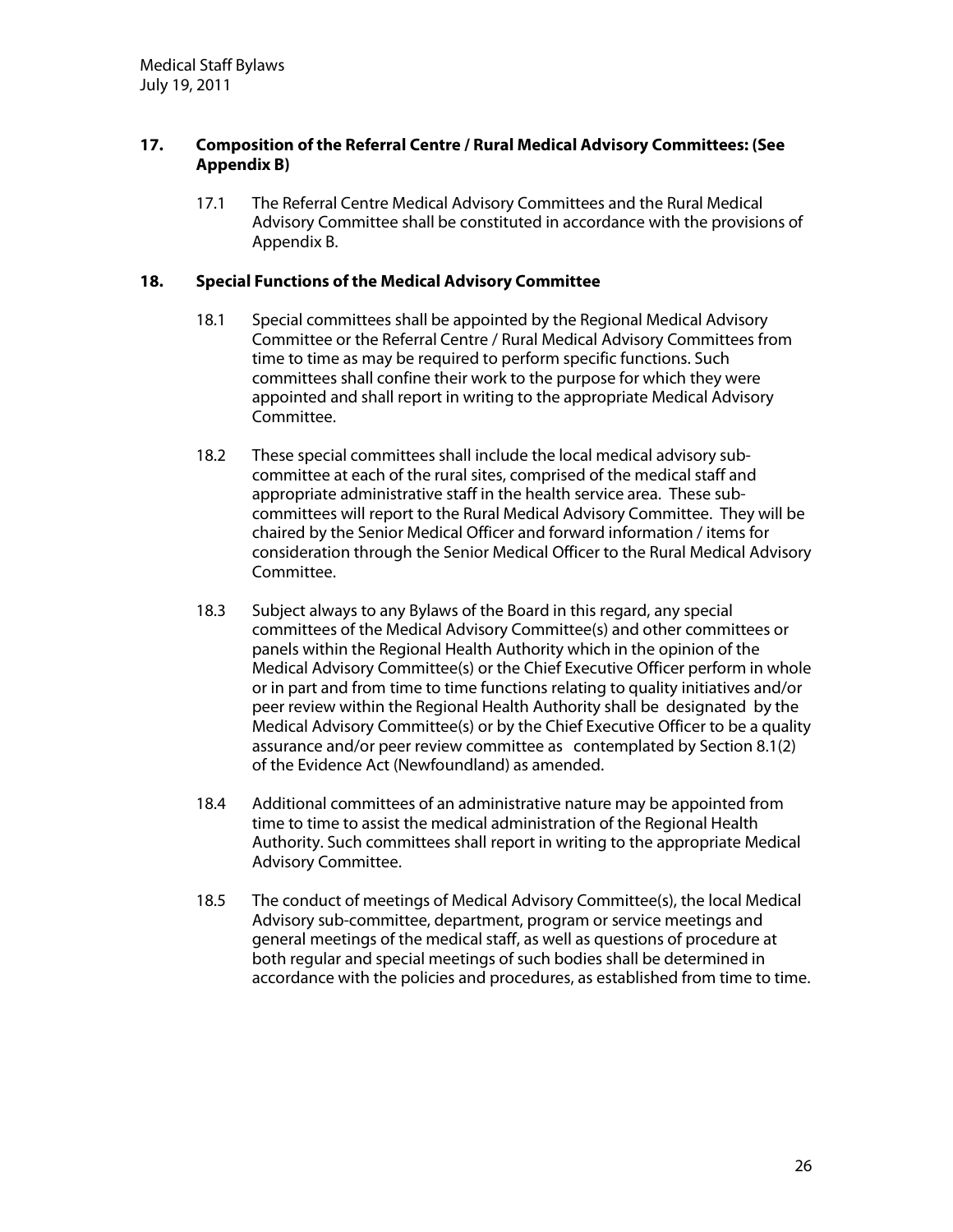#### **17. Com position ofthe ReferralCentre /RuralM edicalAdvisory Com m ittees:(See Appendix B)**

17.1 The Referral Centre Medical Advisory Committees and the Rural Medical Advisory Committee shall be constituted in accordance with the provisions of Appendix B.

#### **18. SpecialFunctions ofthe M edicalAdvisory Com m ittee**

- 18.1 Special committees shall be appointed by the Regional Medical Advisory Committee or the Referral Centre / Rural Medical Advisory Committees from time to time as may be required to perform specific functions. Such committees shall confine their work to the purpose for which they were appointed and shall report in writing to the appropriate Medical Advisory Committee.
- 18.2 These special committees shall include the local medical advisory subcommittee at each of the rural sites, comprised of the medical staff and appropriate administrative staff in the health service area. These subcommittees will report to the Rural Medical Advisory Committee. They will be chaired by the Senior Medical Officer and forward information / items for consideration through the Senior Medical Officer to the Rural Medical Advisory Committee.
- 18.3 Subject always to any Bylaws of the Board in this regard, any special committees of the Medical Advisory Committee(s) and other committees or panels within the Regional Health Authority which in the opinion of the Medical Advisory Committee(s) or the Chief Executive Officer perform in whole or in part and from time to time functions relating to quality initiatives and/or peer review within the Regional Health Authority shall be designated by the Medical Advisory Committee(s) or by the Chief Executive Officer to be a quality assurance and/or peer review committee as contemplated by Section 8.1(2) of the Evidence Act (Newfoundland) as amended.
- 18.4 Additional committees of an administrative nature may be appointed from time to time to assist the medical administration of the Regional Health Authority. Such committees shall report in writing to the appropriate Medical Advisory Committee.
- 18.5 The conduct of meetings of Medical Advisory Committee(s), the local Medical Advisory sub-committee, department, program or service meetings and general meetings of the medical staff, as well as questions of procedure at both regular and special meetings of such bodies shall be determined in accordance with the policies and procedures, as established from time to time.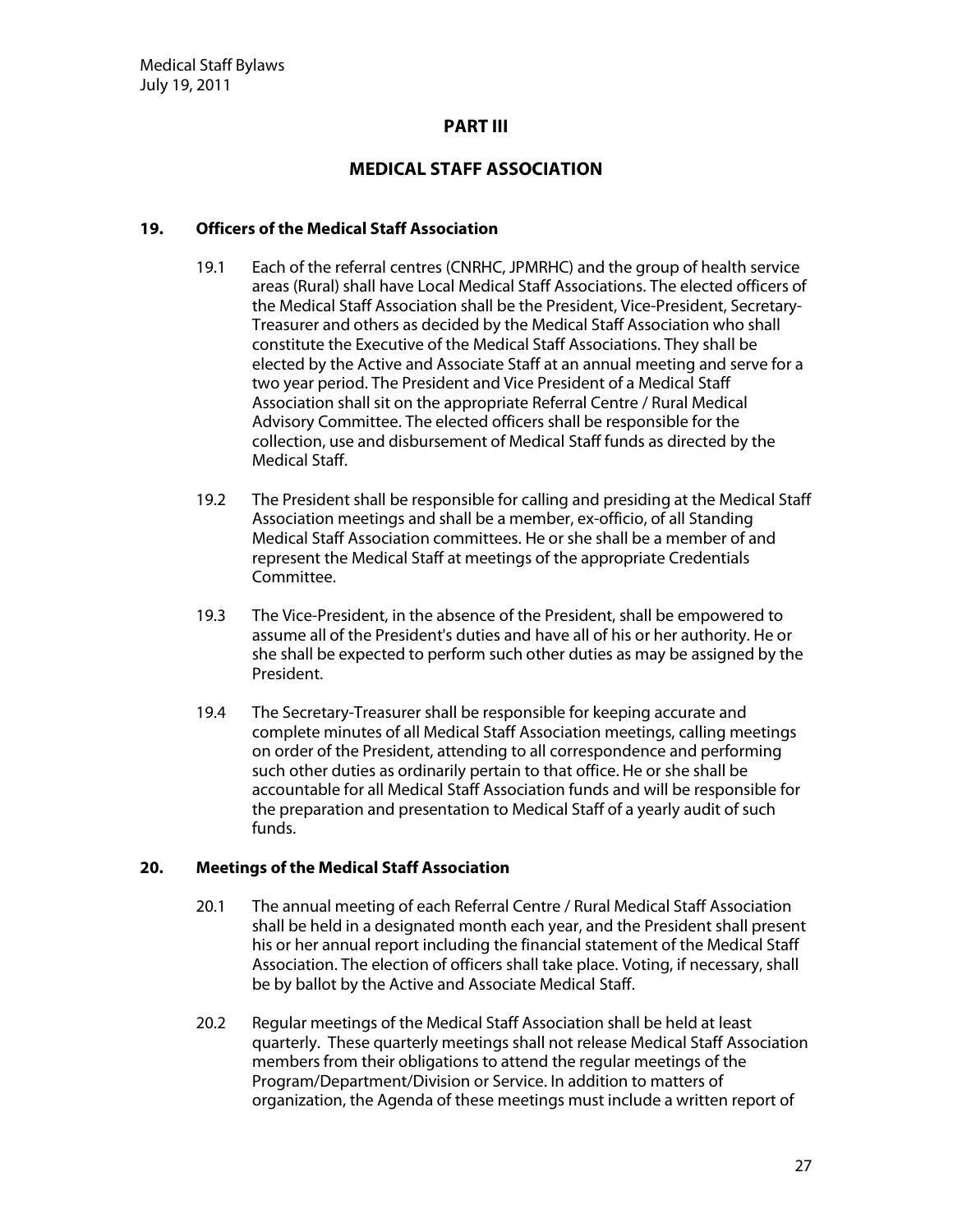#### **PART III**

# **M ED ICAL STAFF ASSO CIATIO N**

#### **19. O fficers ofthe M edicalStaffAssociation**

- 19.1 Each of the referral centres (CNRHC, JPMRHC) and the group of health service areas (Rural) shall have Local Medical Staff Associations. The elected officers of the Medical Staff Association shall be the President, Vice-President, Secretary-Treasurer and others as decided by the Medical Staff Association who shall constitute the Executive of the Medical Staff Associations. They shall be elected by the Active and Associate Staff at an annual meeting and serve for a two year period. The President and Vice President of a Medical Staff Association shall sit on the appropriate Referral Centre / Rural Medical Advisory Committee. The elected officers shall be responsible for the collection, use and disbursement of Medical Staff funds as directed by the Medical Staff.
- 19.2 The President shall be responsible for calling and presiding at the Medical Staff Association meetings and shall be a member, ex-officio, of all Standing Medical Staff Association committees. He or she shall be a member of and represent the Medical Staff at meetings of the appropriate Credentials Committee.
- 19.3 The Vice-President, in the absence of the President, shall be empowered to assume all of the President's duties and have all of his or her authority. He or she shall be expected to perform such other duties as may be assigned by the President.
- 19.4 The Secretary-Treasurer shall be responsible for keeping accurate and complete minutes of all Medical Staff Association meetings, calling meetings on order of the President, attending to all correspondence and performing such other duties as ordinarily pertain to that office. He or she shall be accountable for all Medical Staff Association funds and will be responsible for the preparation and presentation to Medical Staff of a yearly audit of such funds.

#### **20. M eetings ofthe M edicalStaffAssociation**

- 20.1 The annual meeting of each Referral Centre / Rural Medical Staff Association shall be held in a designated month each year, and the President shall present his or her annual report including the financial statement of the Medical Staff Association. The election of officers shall take place. Voting, if necessary, shall be by ballot by the Active and Associate Medical Staff.
- 20.2 Regular meetings of the Medical Staff Association shall be held at least quarterly. These quarterly meetings shall not release Medical Staff Association members from their obligations to attend the regular meetings of the Program/Department/Division or Service. In addition to matters of organization, the Agenda of these meetings must include a written report of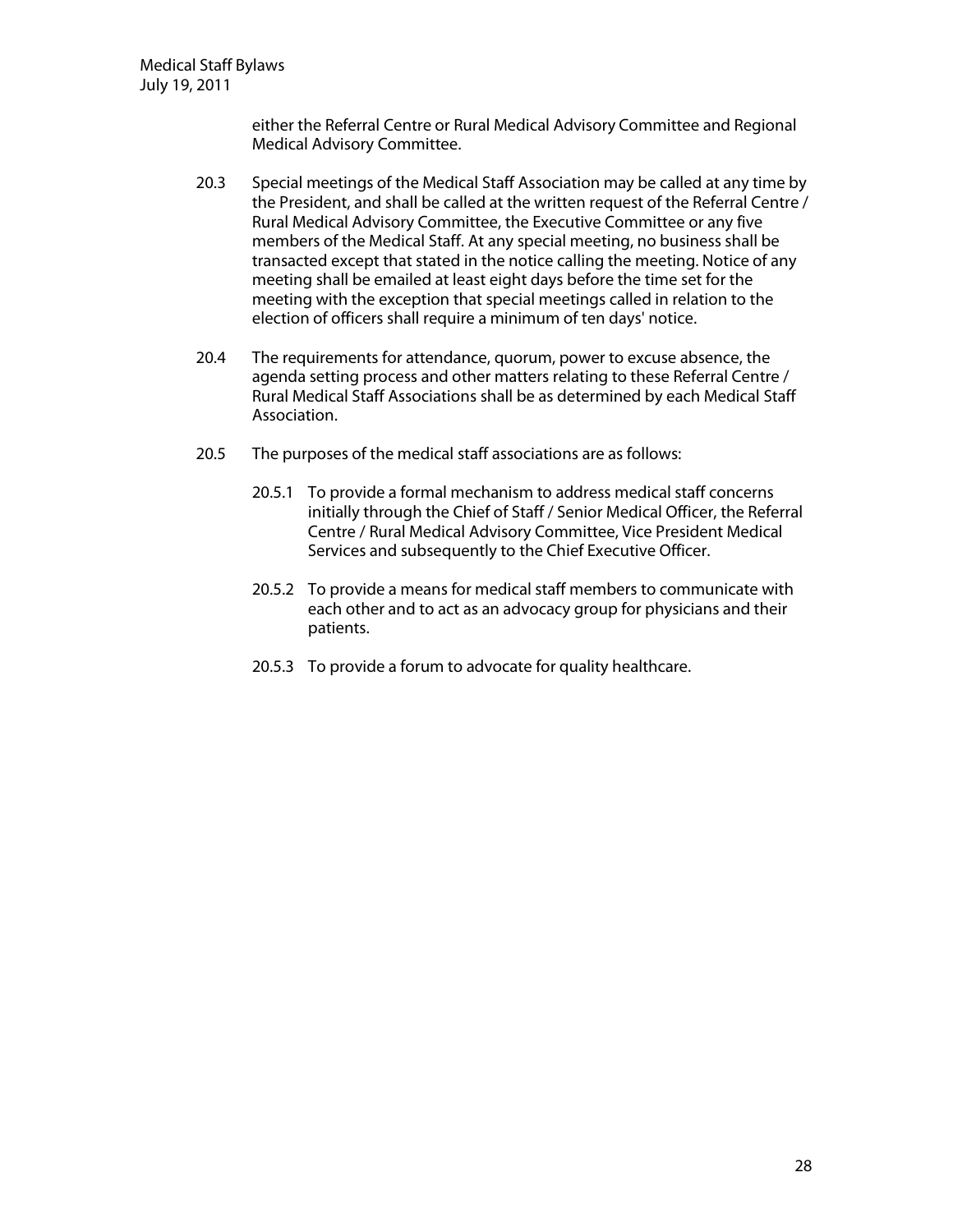either the Referral Centre or Rural Medical Advisory Committee and Regional Medical Advisory Committee.

- 20.3 Special meetings of the Medical Staff Association may be called at any time by the President, and shall be called at the written request of the Referral Centre / Rural Medical Advisory Committee, the Executive Committee or any five members of the Medical Staff. At any special meeting, no business shall be transacted except that stated in the notice calling the meeting. Notice of any meeting shall be emailed at least eight days before the time set for the meeting with the exception that special meetings called in relation to the election of officers shall require a minimum of ten days'notice.
- 20.4 The requirements for attendance, quorum, power to excuse absence, the agenda setting process and other matters relating to these Referral Centre / Rural Medical Staff Associations shall be as determined by each Medical Staff Association.
- 20.5 The purposes of the medical staff associations are as follows:
	- 20.5.1 To provide a formal mechanism to address medical staff concerns initially through the Chief of Staff / Senior Medical Officer, the Referral Centre / Rural Medical Advisory Committee, Vice President Medical Services and subsequently to the Chief Executive Officer.
	- 20.5.2 To provide a means for medical staff members to communicate with each other and to act as an advocacy group for physicians and their patients.
	- 20.5.3 To provide a forum to advocate for quality healthcare.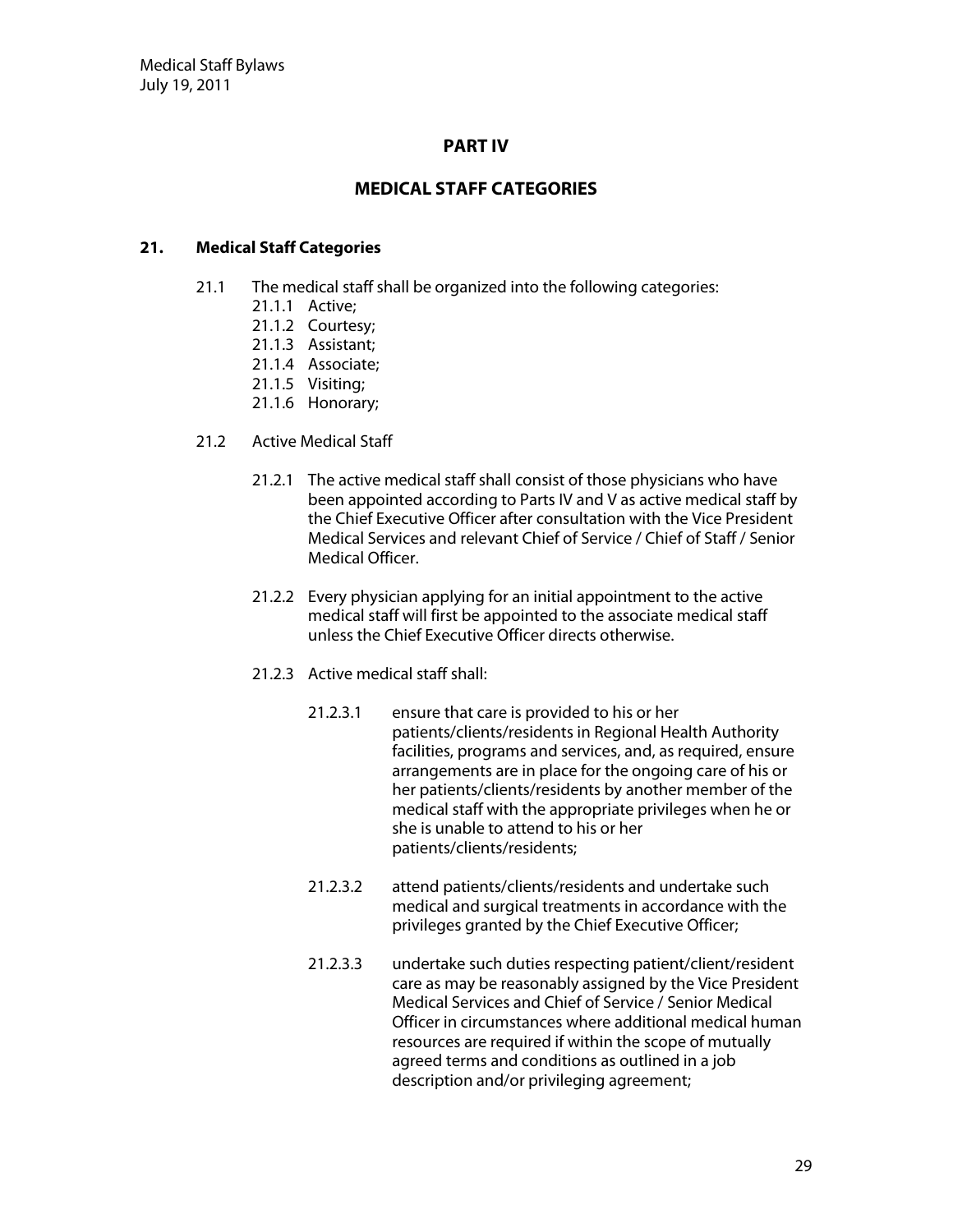# **PART IV**

# **M ED ICAL STAFF CATEG O RIES**

#### **21.** Medical Staff Categories

- 21.1 The medical staff shall be organized into the following categories:
	- 21.1.1 Active;
		- 21.1.2 Courtesy;
	- 21.1.3 Assistant;
	- 21.1.4 Associate;
	- 21.1.5 Visiting;
	- 21.1.6 Honorary;
- 21.2 Active Medical Staff
	- 21.2.1 The active medical staff shall consist of those physicians who have been appointed according to Parts IV and V as active medical staff by the Chief Executive Officer after consultation with the Vice President Medical Services and relevant Chief of Service / Chief of Staff / Senior Medical Officer.
	- 21.2.2 Every physician applying for an initial appointment to the active medical staff will first be appointed to the associate medical staff unless the Chief Executive Officer directs otherwise.
	- 21.2.3 Active medical staff shall:
		- 21.2.3.1 ensure that care is provided to his or her patients/clients/residents in Regional Health Authority facilities, programs and services, and, as required, ensure arrangements are in place for the ongoing care of his or her patients/clients/residents by another member of the medical staff with the appropriate privileges when he or she is unable to attend to his or her patients/clients/residents;
		- 21.2.3.2 attend patients/clients/residents and undertake such medical and surgical treatments in accordance with the privileges granted by the Chief Executive Officer;
		- 21.2.3.3 undertake such duties respecting patient/client/resident care as may be reasonably assigned by the Vice President Medical Services and Chief of Service / Senior Medical Officer in circumstances where additional medical human resources are required if within the scope of mutually agreed terms and conditions as outlined in a job description and/or privileging agreement;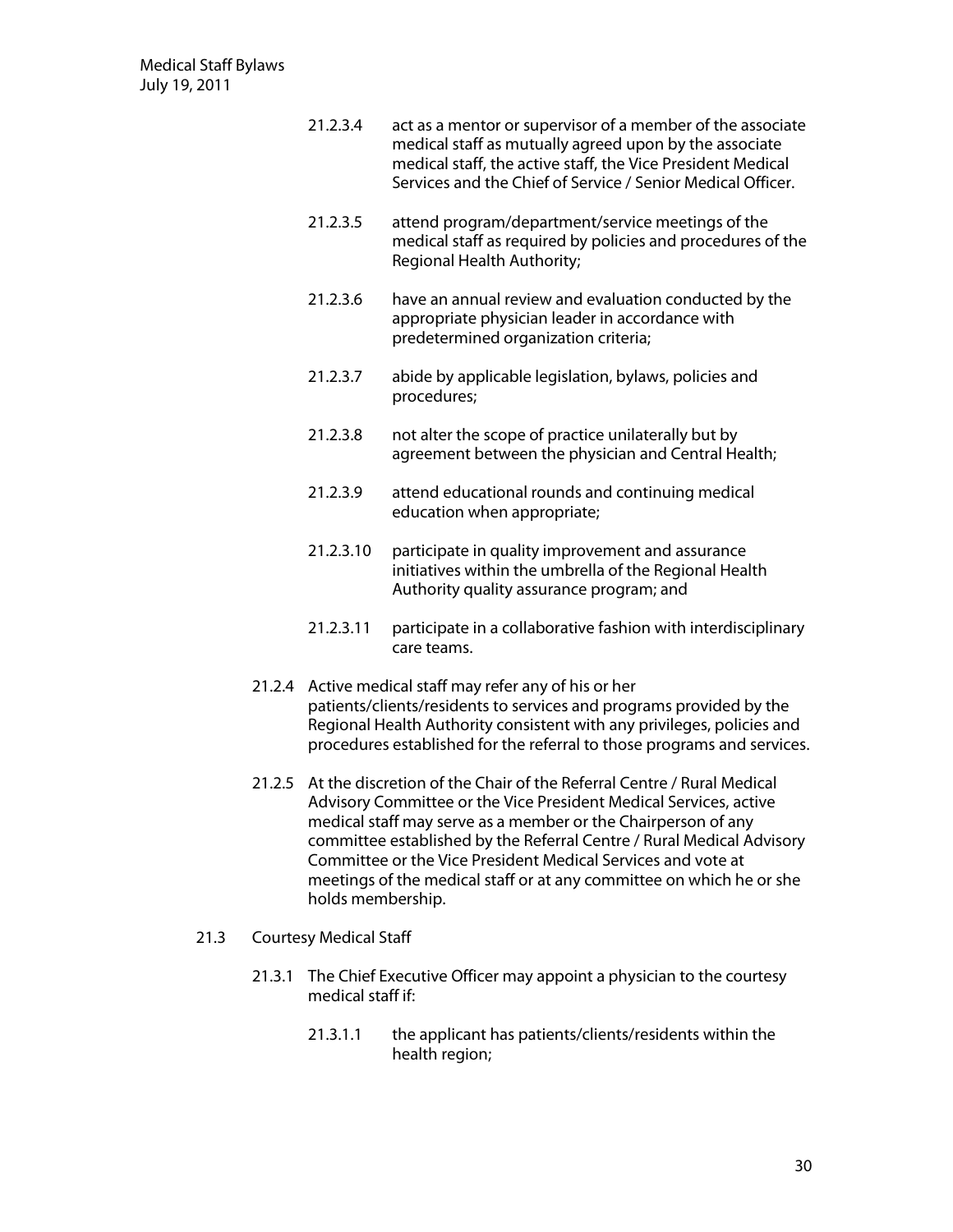- 21.2.3.4 act as a mentor or supervisor of a member of the associate medical staff as mutually agreed upon by the associate medical staff, the active staff, the Vice President Medical Services and the Chief of Service / Senior Medical Officer.
- 21.2.3.5 attend program/department/service meetings of the medical staff as required by policies and procedures of the Regional Health Authority;
- 21.2.3.6 have an annual review and evaluation conducted by the appropriate physician leader in accordance with predetermined organization criteria;
- 21.2.3.7 abide by applicable legislation, bylaws, policies and procedures;
- 21.2.3.8 not alter the scope of practice unilaterally but by agreement between the physician and Central Health;
- 21.2.3.9 attend educational rounds and continuing medical education when appropriate;
- 21.2.3.10 participate in quality improvement and assurance initiatives within the umbrella of the Regional Health Authority quality assurance program; and
- 21.2.3.11 participate in a collaborative fashion with interdisciplinary care teams.
- 21.2.4 Active medical staff may refer any of his or her patients/clients/residents to services and programs provided by the Regional Health Authority consistent with any privileges, policies and procedures established for the referral to those programs and services.
- 21.2.5 At the discretion of the Chair of the Referral Centre / Rural Medical Advisory Committee or the Vice President Medical Services, active medical staff may serve as a member or the Chairperson of any committee established by the Referral Centre / Rural Medical Advisory Committee or the Vice President Medical Services and vote at meetings of the medical staff or at any committee on which he or she holds membership.
- 21.3 Courtesy Medical Staff
	- 21.3.1 The Chief Executive Officer may appoint a physician to the courtesy medical staff if:
		- 21.3.1.1 the applicant has patients/clients/residents within the health region;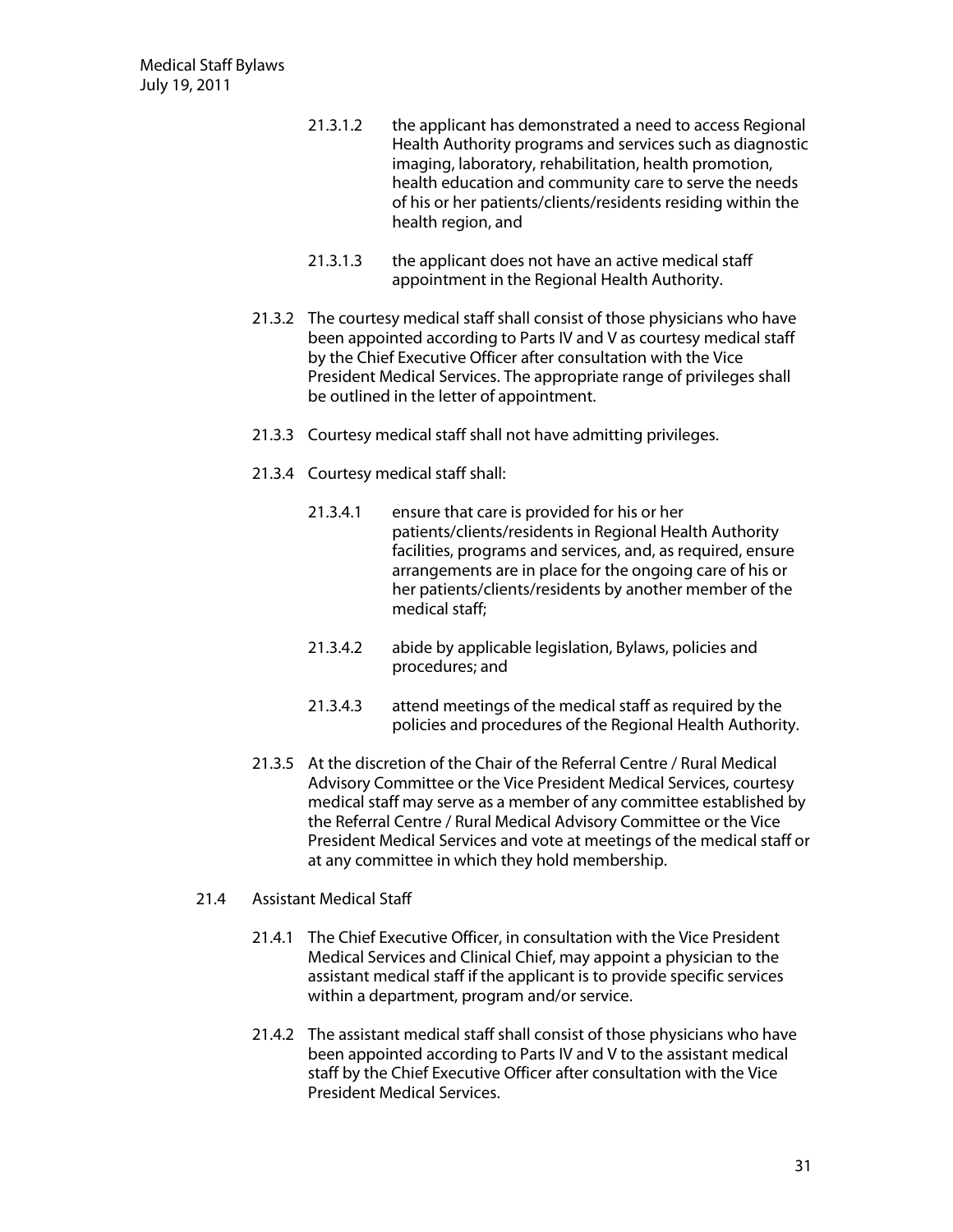- 21.3.1.2 the applicant has demonstrated a need to access Regional Health Authority programs and services such as diagnostic imaging, laboratory, rehabilitation, health promotion, health education and community care to serve the needs of his or her patients/clients/residents residing within the health region, and
- 21.3.1.3 the applicant does not have an active medical staff appointment in the Regional Health Authority.
- 21.3.2 The courtesy medical staff shall consist of those physicians who have been appointed according to Parts IV and V as courtesy medical staff by the Chief Executive Officer after consultation with the Vice President Medical Services. The appropriate range of privileges shall be outlined in the letter of appointment.
- 21.3.3 Courtesy medical staff shall not have admitting privileges.
- 21.3.4 Courtesy medical staff shall:
	- 21.3.4.1 ensure that care is provided for his or her patients/clients/residents in Regional Health Authority facilities, programs and services, and, as required, ensure arrangements are in place for the ongoing care of his or her patients/clients/residents by another member of the medical staff;
	- 21.3.4.2 abide by applicable legislation, Bylaws, policies and procedures; and
	- 21.3.4.3 attend meetings of the medical staff as required by the policies and procedures of the Regional Health Authority.
- 21.3.5 At the discretion of the Chair of the Referral Centre / Rural Medical Advisory Committee or the Vice President Medical Services, courtesy medical staff may serve as a member of any committee established by the Referral Centre / Rural Medical Advisory Committee or the Vice President Medical Services and vote at meetings of the medical staff or at any committee in which they hold membership.

#### 21.4 Assistant Medical Staff

- 21.4.1 The Chief Executive Officer, in consultation with the Vice President Medical Services and Clinical Chief, may appoint a physician to the assistant medical staff if the applicant is to provide specific services within a department, program and/or service.
- 21.4.2 The assistant medical staff shall consist of those physicians who have been appointed according to Parts IV and V to the assistant medical staff by the Chief Executive Officer after consultation with the Vice President Medical Services.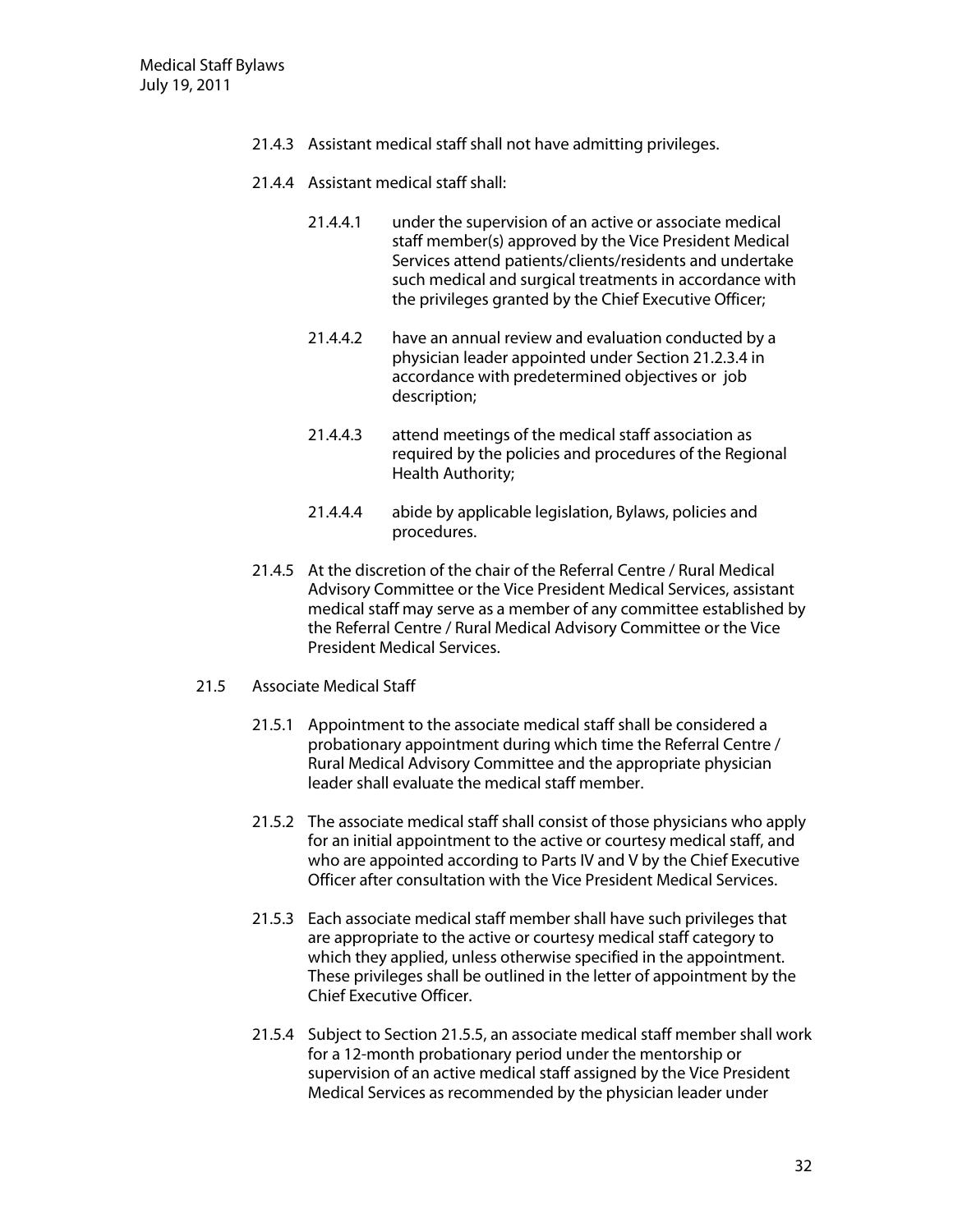- 21.4.3 Assistant medical staff shall not have admitting privileges.
- 21.4.4 Assistant medical staff shall:
	- 21.4.4.1 under the supervision of an active or associate medical staff member(s) approved by the Vice President Medical Services attend patients/clients/residents and undertake such medical and surgical treatments in accordance with the privileges granted by the Chief Executive Officer;
	- 21.4.4.2 have an annual review and evaluation conducted by a physician leader appointed under Section 21.2.3.4 in accordance with predetermined objectives or job description;
	- 21.4.4.3 attend meetings of the medical staff association as required by the policies and procedures of the Regional Health Authority;
	- 21.4.4.4 abide by applicable legislation, Bylaws, policies and procedures.
- 21.4.5 At the discretion of the chair of the Referral Centre / Rural Medical Advisory Committee or the Vice President Medical Services, assistant medical staff may serve as a member of any committee established by the Referral Centre / Rural Medical Advisory Committee or the Vice President Medical Services.
- 21.5 Associate Medical Staff
	- 21.5.1 Appointment to the associate medical staff shall be considered a probationary appointment during which time the Referral Centre / Rural Medical Advisory Committee and the appropriate physician leader shall evaluate the medical staff member.
	- 21.5.2 The associate medical staff shall consist of those physicians who apply for an initial appointment to the active or courtesy medical staff, and who are appointed according to Parts IV and V by the Chief Executive Officer after consultation with the Vice President Medical Services.
	- 21.5.3 Each associate medical staff member shall have such privileges that are appropriate to the active or courtesy medical staff category to which they applied, unless otherwise specified in the appointment. These privileges shall be outlined in the letter of appointment by the Chief Executive Officer.
	- 21.5.4 Subject to Section 21.5.5, an associate medical staff member shall work for a 12-month probationary period under the mentorship or supervision of an active medical staff assigned by the Vice President Medical Services as recommended by the physician leader under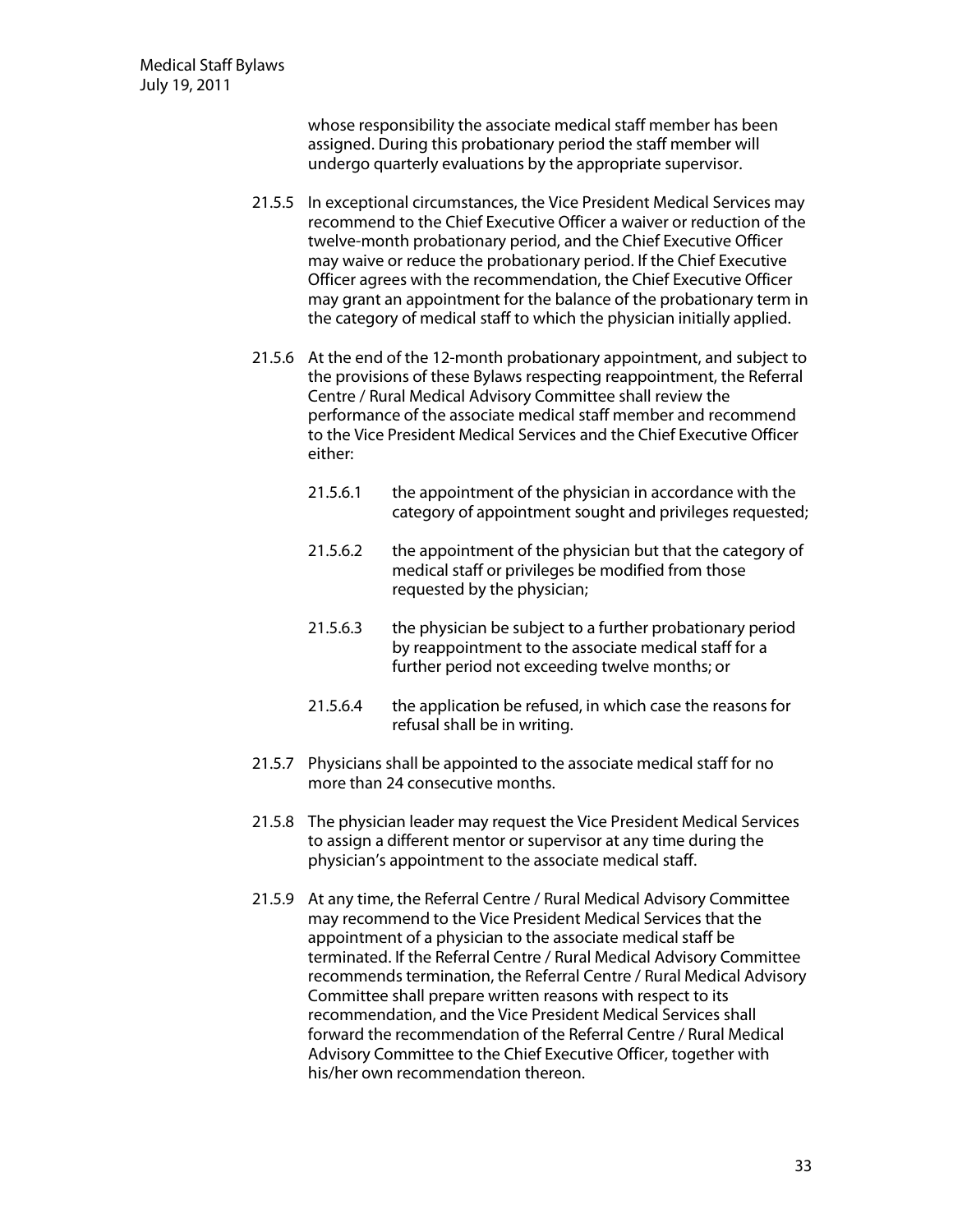whose responsibility the associate medical staff member has been assigned. During this probationary period the staff member will undergo quarterly evaluations by the appropriate supervisor.

- 21.5.5 In exceptional circumstances, the Vice President Medical Services may recommend to the Chief Executive Officer a waiver or reduction of the twelve-month probationary period, and the Chief Executive Officer may waive or reduce the probationary period. If the Chief Executive Officer agrees with the recommendation, the Chief Executive Officer may grant an appointment for the balance of the probationary term in the category of medical staff to which the physician initially applied.
- 21.5.6 At the end of the 12-month probationary appointment, and subject to the provisions of these Bylaws respecting reappointment, the Referral Centre / Rural Medical Advisory Committee shall review the performance of the associate medical staff member and recommend to the Vice President Medical Services and the Chief Executive Officer either:
	- 21.5.6.1 the appointment of the physician in accordance with the category of appointment sought and privileges requested;
	- 21.5.6.2 the appointment of the physician but that the category of medical staff or privileges be modified from those requested by the physician;
	- 21.5.6.3 the physician be subject to a further probationary period by reappointment to the associate medical staff for a further period not exceeding twelve months; or
	- 21.5.6.4 the application be refused, in which case the reasons for refusal shall be in writing.
- 21.5.7 Physicians shall be appointed to the associate medical staff for no more than 24 consecutive months.
- 21.5.8 The physician leader may request the Vice President Medical Services to assign a different mentor or supervisor at any time during the physician's appointment to the associate medical staff.
- 21.5.9 At any time, the Referral Centre / Rural Medical Advisory Committee may recommend to the Vice President Medical Services that the appointment of a physician to the associate medical staff be terminated. If the Referral Centre / Rural Medical Advisory Committee recommends termination, the Referral Centre / Rural Medical Advisory Committee shall prepare written reasons with respect to its recommendation, and the Vice President Medical Services shall forward the recommendation of the Referral Centre / Rural Medical Advisory Committee to the Chief Executive Officer, together with his/her own recommendation thereon.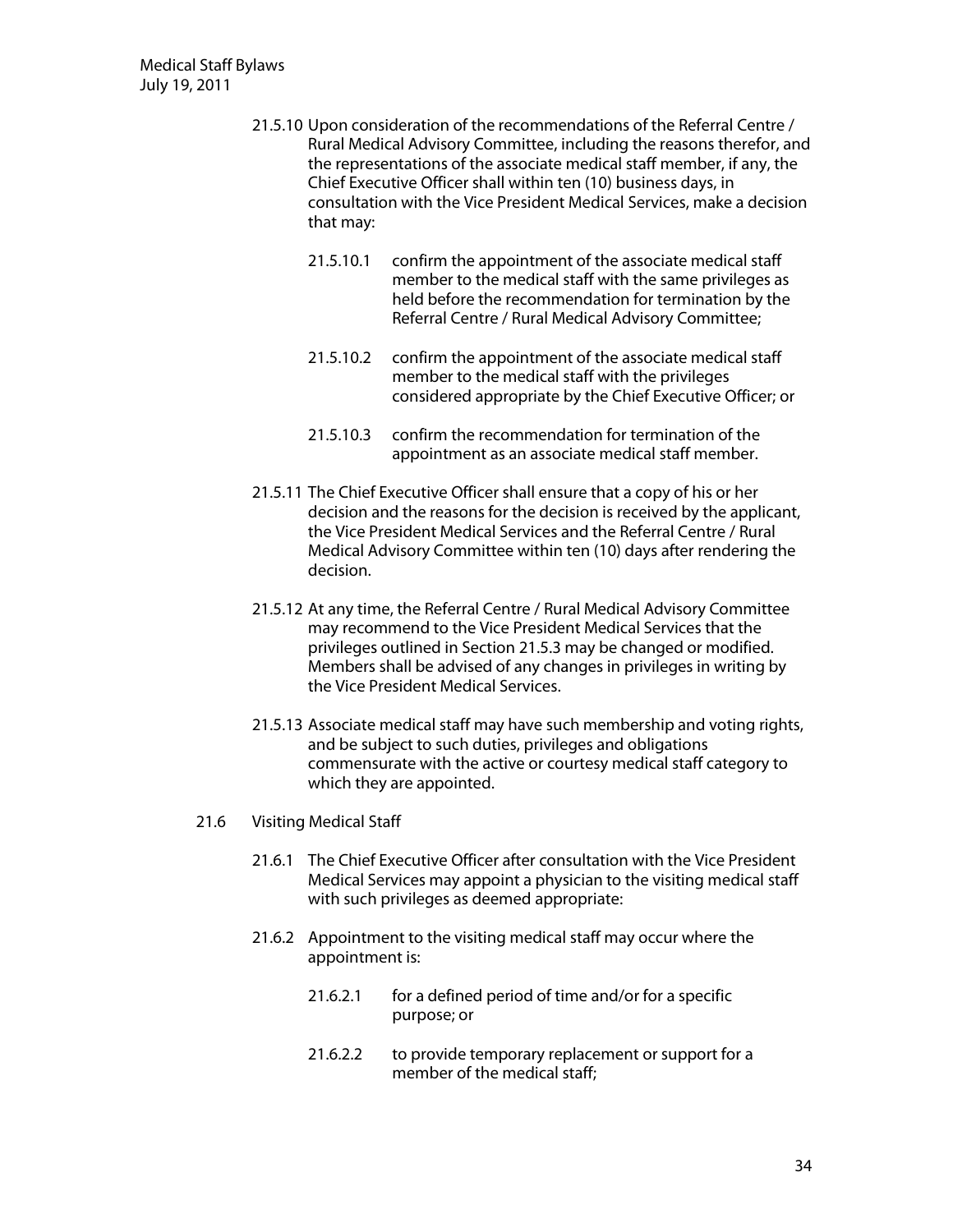- 21.5.10 Upon consideration of the recommendations of the Referral Centre / Rural Medical Advisory Committee, including the reasons therefor, and the representations of the associate medical staff member, if any, the Chief Executive Officer shall within ten (10) business days, in consultation with the Vice President Medical Services, make a decision that may:
	- 21.5.10.1 confirm the appointment of the associate medical staff member to the medical staff with the same privileges as held before the recommendation for termination by the Referral Centre / Rural Medical Advisory Committee;
	- 21.5.10.2 confirm the appointment of the associate medical staff member to the medical staff with the privileges considered appropriate by the Chief Executive Officer; or
	- 21.5.10.3 confirm the recommendation for termination of the appointment as an associate medical staff member.
- 21.5.11 The Chief Executive Officer shall ensure that a copy of his or her decision and the reasons for the decision is received by the applicant, the Vice President Medical Services and the Referral Centre / Rural Medical Advisory Committee within ten (10) days after rendering the decision.
- 21.5.12 At any time, the Referral Centre / Rural Medical Advisory Committee may recommend to the Vice President Medical Services that the privileges outlined in Section 21.5.3 may be changed or modified. Members shall be advised of any changes in privileges in writing by the Vice President Medical Services.
- 21.5.13 Associate medical staff may have such membership and voting rights, and be subject to such duties, privileges and obligations commensurate with the active or courtesy medical staff category to which they are appointed.
- 21.6 Visiting Medical Staff
	- 21.6.1 The Chief Executive Officer after consultation with the Vice President Medical Services may appoint a physician to the visiting medical staff with such privileges as deemed appropriate:
	- 21.6.2 Appointment to the visiting medical staff may occur where the appointment is:
		- 21.6.2.1 for a defined period of time and/or for a specific purpose; or
		- 21.6.2.2 to provide temporary replacement or support for a member of the medical staff;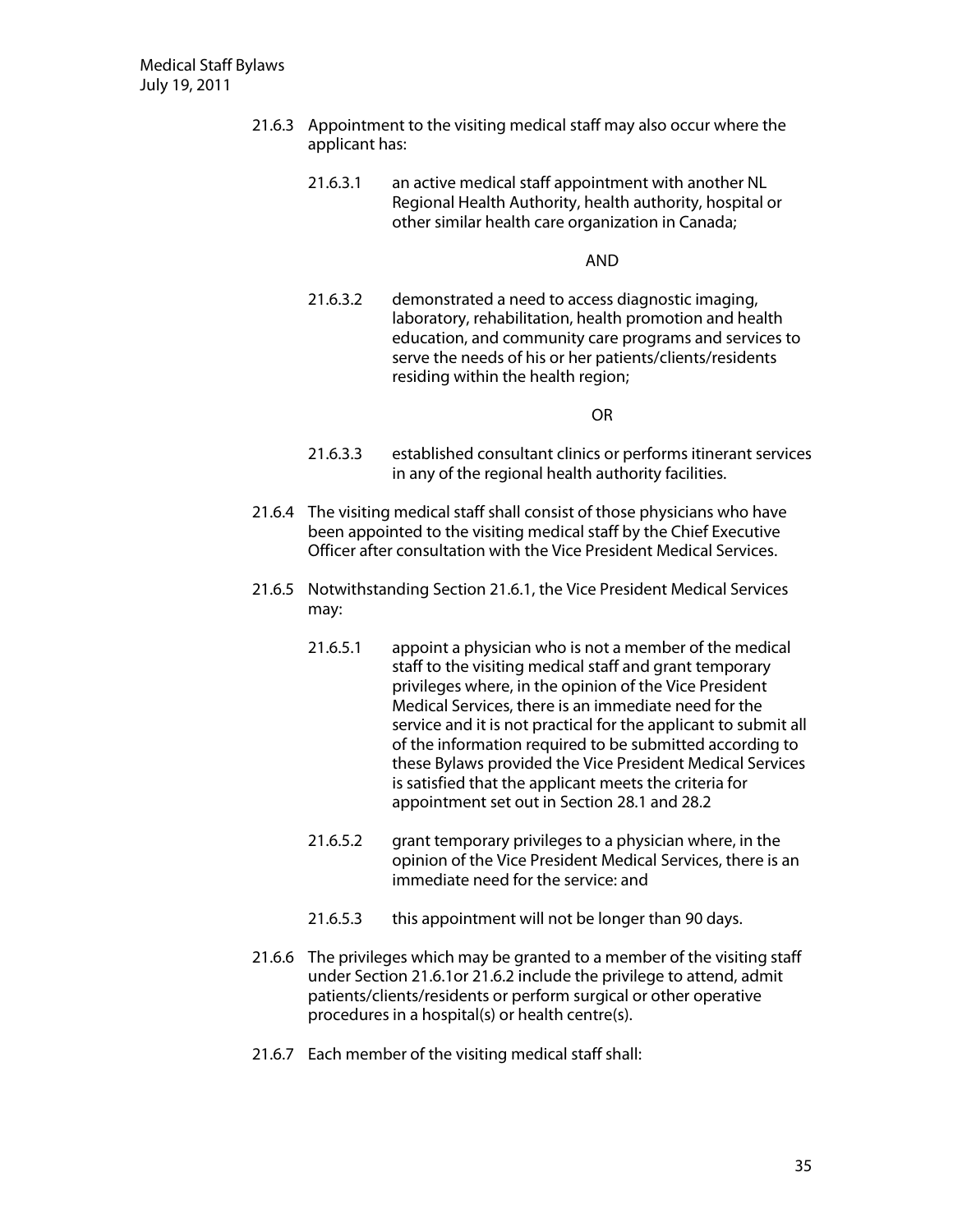- 21.6.3 Appointment to the visiting medical staff may also occur where the applicant has:
	- 21.6.3.1 an active medical staff appointment with another NL Regional Health Authority, health authority, hospital or other similar health care organization in Canada;

**AND** 

21.6.3.2 demonstrated a need to access diagnostic imaging, laboratory, rehabilitation, health promotion and health education, and community care programs and services to serve the needs of his or her patients/clients/residents residing within the health region;

 $OR$ 

- 21.6.3.3 established consultant clinics or performs itinerant services in any of the regional health authority facilities.
- 21.6.4 The visiting medical staff shall consist of those physicians who have been appointed to the visiting medical staff by the Chief Executive Officer after consultation with the Vice President Medical Services.
- 21.6.5 Notwithstanding Section 21.6.1, the Vice President Medical Services may:
	- 21.6.5.1 appoint a physician who is not a member of the medical staff to the visiting medical staff and grant temporary privileges where, in the opinion of the Vice President Medical Services, there is an immediate need for the service and it is not practical for the applicant to submit all of the information required to be submitted according to these Bylaws provided the Vice President Medical Services is satisfied that the applicant meets the criteria for appointment set out in Section 28.1 and 28.2
	- 21.6.5.2 grant temporary privileges to a physician where, in the opinion of the Vice President Medical Services, there is an immediate need for the service: and
	- 21.6.5.3 this appointment will not be longer than 90 days.
- 21.6.6 The privileges which may be granted to a member of the visiting staff under Section 21.6.1or 21.6.2 include the privilege to attend, admit patients/clients/residents or perform surgical or other operative procedures in a hospital(s) or health centre(s).
- 21.6.7 Each member of the visiting medical staff shall: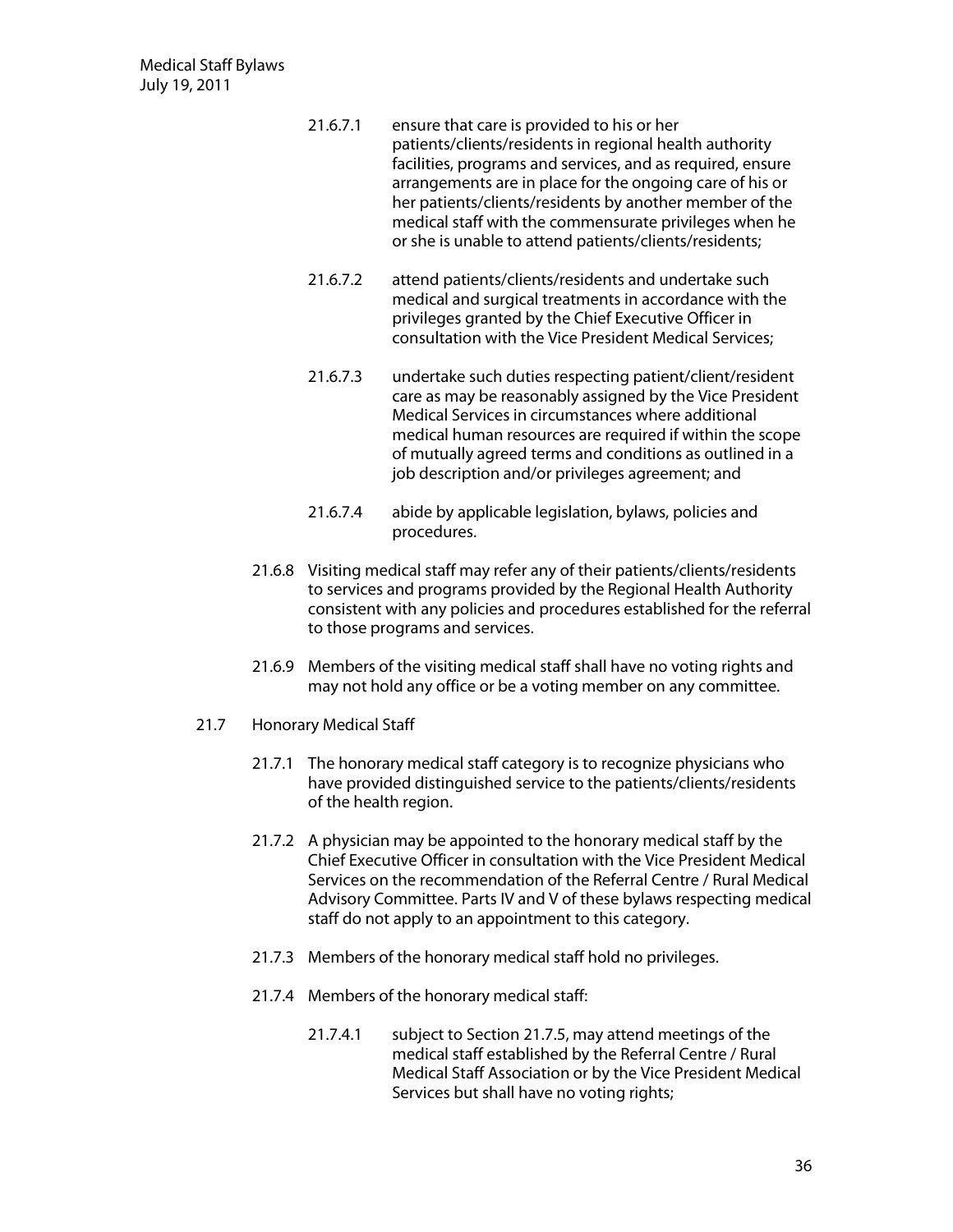- 21.6.7.1 ensure that care is provided to his or her patients/clients/residents in regional health authority facilities, programs and services, and as required, ensure arrangements are in place for the ongoing care of his or her patients/clients/residents by another member of the medical staff with the commensurate privileges when he or she is unable to attend patients/clients/residents;
- 21.6.7.2 attend patients/clients/residents and undertake such medical and surgical treatments in accordance with the privileges granted by the Chief Executive Officer in consultation with the Vice President Medical Services;
- 21.6.7.3 undertake such duties respecting patient/client/resident care as may be reasonably assigned by the Vice President Medical Services in circumstances where additional medical human resources are required if within the scope of mutually agreed terms and conditions as outlined in a job description and/or privileges agreement; and
- 21.6.7.4 abide by applicable legislation, bylaws, policies and procedures.
- 21.6.8 Visiting medical staff may refer any of their patients/clients/residents to services and programs provided by the Regional Health Authority consistent with any policies and procedures established for the referral to those programs and services.
- 21.6.9 Members of the visiting medical staff shall have no voting rights and may not hold any office or be a voting member on any committee.
- 21.7 Honorary Medical Staff
	- 21.7.1 The honorary medical staff category is to recognize physicians who have provided distinguished service to the patients/clients/residents of the health region.
	- 21.7.2 A physician may be appointed to the honorary medical staff by the Chief Executive Officer in consultation with the Vice President Medical Services on the recommendation of the Referral Centre / Rural Medical Advisory Committee. Parts IV and V of these bylaws respecting medical staff do not apply to an appointment to this category.
	- 21.7.3 Members of the honorary medical staff hold no privileges.
	- 21.7.4 Members of the honorary medical staff:
		- 21.7.4.1 subject to Section 21.7.5, may attend meetings of the medical staff established by the Referral Centre / Rural Medical Staff Association or by the Vice President Medical Services but shall have no voting rights;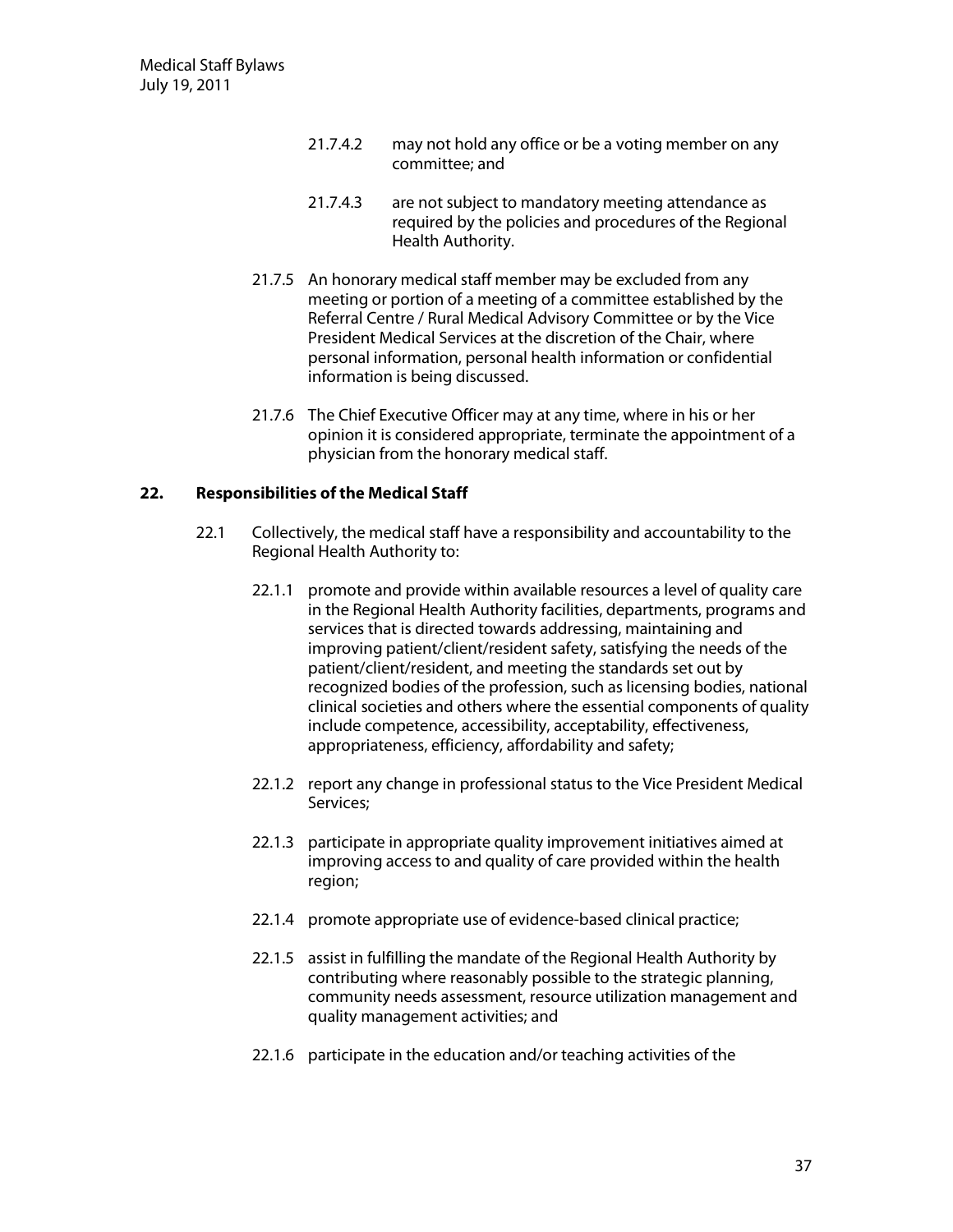- 21.7.4.2 may not hold any office or be a voting member on any committee; and
- 21.7.4.3 are not subject to mandatory meeting attendance as required by the policies and procedures of the Regional Health Authority.
- 21.7.5 An honorary medical staff member may be excluded from any meeting or portion of a meeting of a committee established by the Referral Centre / Rural Medical Advisory Committee or by the Vice President Medical Services at the discretion of the Chair, where personal information, personal health information or confidential information is being discussed.
- 21.7.6 The Chief Executive Officer may at any time, where in his or her opinion it is considered appropriate, terminate the appointment of a physician from the honorary medical staff.

## **22.** Responsibilities of the Medical Staff

- 22.1 Collectively, the medical staff have a responsibility and accountability to the Regional Health Authority to:
	- 22.1.1 promote and provide within available resources a level of quality care in the Regional Health Authority facilities, departments, programs and services that is directed towards addressing, maintaining and improving patient/client/resident safety, satisfying the needs of the patient/client/resident, and meeting the standards set out by recognized bodies of the profession, such as licensing bodies, national clinical societies and others where the essential components of quality include competence, accessibility, acceptability, effectiveness, appropriateness, efficiency, affordability and safety;
	- 22.1.2 report any change in professional status to the Vice President Medical Services;
	- 22.1.3 participate in appropriate quality improvement initiatives aimed at improving access to and quality of care provided within the health region;
	- 22.1.4 promote appropriate use of evidence-based clinical practice;
	- 22.1.5 assist in fulfilling the mandate of the Regional Health Authority by contributing where reasonably possible to the strategic planning, community needs assessment, resource utilization management and quality management activities; and
	- 22.1.6 participate in the education and/or teaching activities of the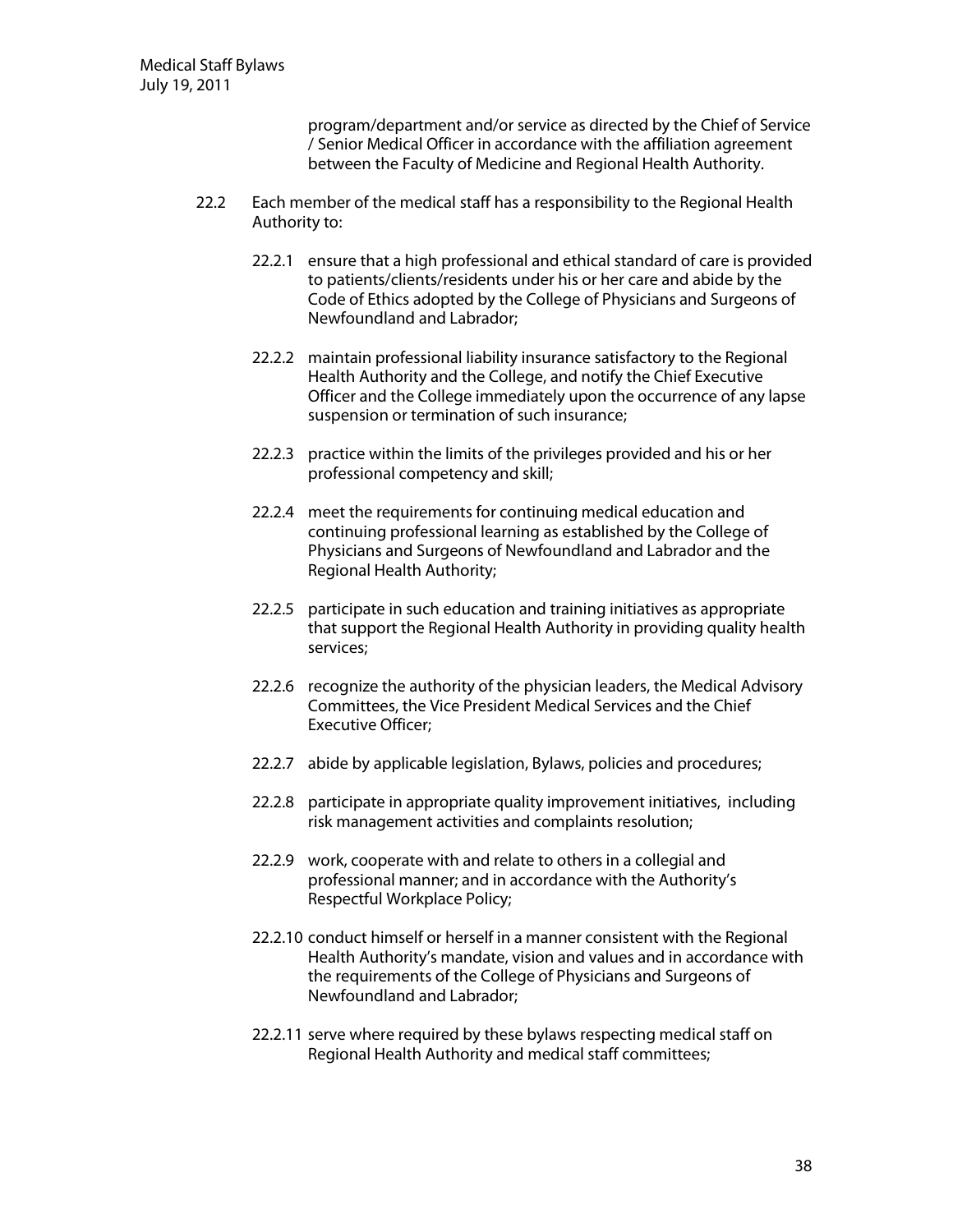program/department and/or service as directed by the Chief of Service / Senior Medical Officer in accordance with the affiliation agreement between the Faculty of Medicine and Regional Health Authority.

- 22.2 Each member of the medical staff has a responsibility to the Regional Health Authority to:
	- 22.2.1 ensure that a high professional and ethical standard of care is provided to patients/clients/residents under his or her care and abide by the Code of Ethics adopted by the College of Physicians and Surgeons of Newfoundland and Labrador:
	- 22.2.2 maintain professional liability insurance satisfactory to the Regional Health Authority and the College, and notify the Chief Executive Officer and the College immediately upon the occurrence of any lapse suspension or termination of such insurance;
	- 22.2.3 practice within the limits of the privileges provided and his or her professional competency and skill;
	- 22.2.4 meet the requirements for continuing medical education and continuing professional learning as established by the College of Physicians and Surgeons of Newfoundland and Labrador and the Regional Health Authority;
	- 22.2.5 participate in such education and training initiatives as appropriate that support the Regional Health Authority in providing quality health services;
	- 22.2.6 recognize the authority of the physician leaders, the Medical Advisory Committees, the Vice President Medical Services and the Chief Executive Officer:
	- 22.2.7 abide by applicable legislation, Bylaws, policies and procedures;
	- 22.2.8 participate in appropriate quality improvement initiatives, including risk management activities and complaints resolution;
	- 22.2.9 work, cooperate with and relate to others in a collegial and professional manner; and in accordance with the Authority's Respectful Workplace Policy;
	- 22.2.10 conduct himself or herself in a manner consistent with the Regional Health Authority's mandate, vision and values and in accordance with the requirements of the College of Physicians and Surgeons of Newfoundland and Labrador;
	- 22.2.11 serve where required by these bylaws respecting medical staff on Regional Health Authority and medical staff committees;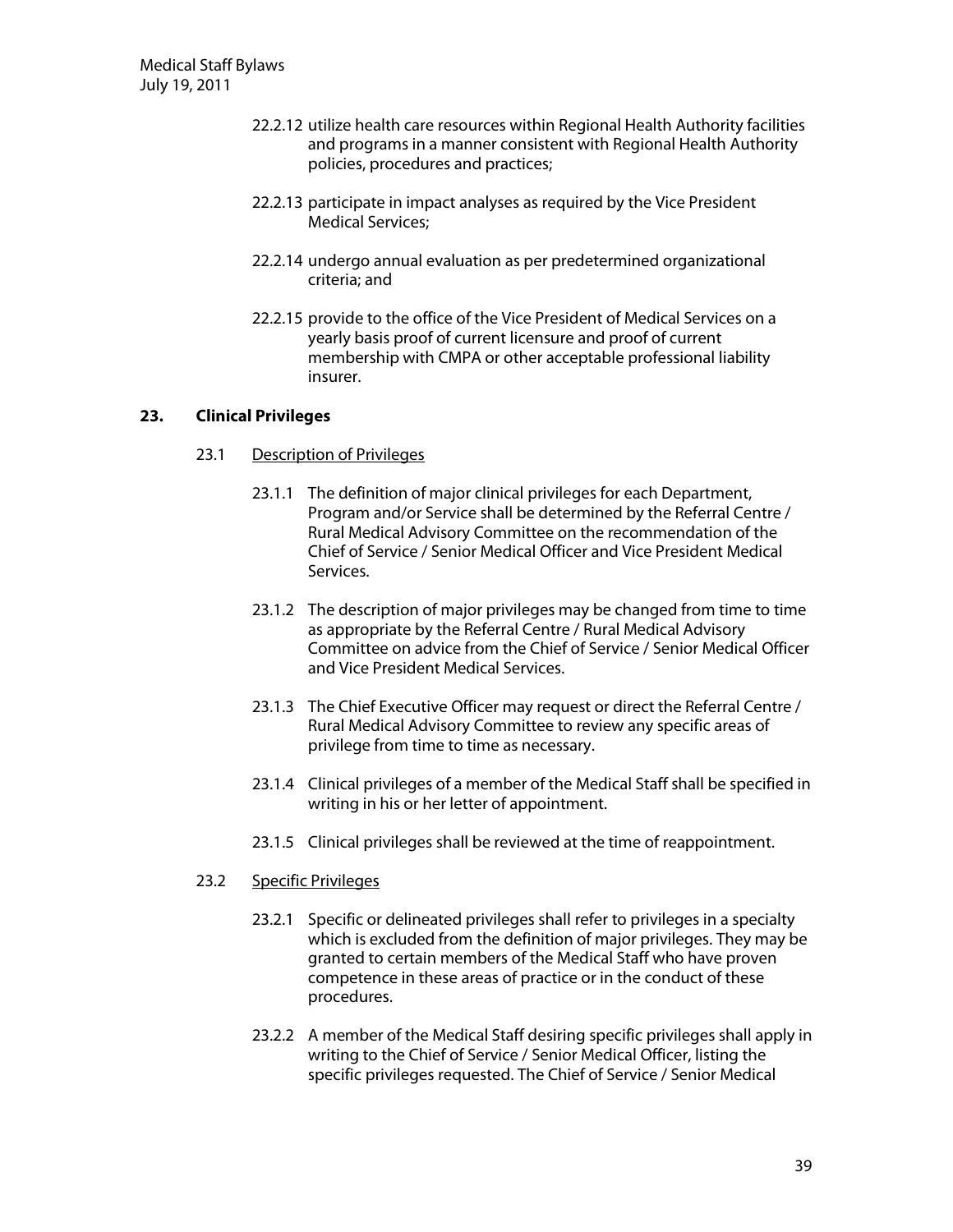- 22.2.12 utilize health care resources within Regional Health Authority facilities and programs in a manner consistent with Regional Health Authority policies, procedures and practices;
- 22.2.13 participate in impact analyses as required by the Vice President Medical Services;
- 22.2.14 undergo annual evaluation as per predetermined organizational criteria; and
- 22.2.15 provide to the office of the Vice President of Medical Services on a yearly basis proof of current licensure and proof of current membership with CMPA or other acceptable professional liability insurer.

## **23.** Clinical Privileges

- 23.1 Description of Privileges
	- 23.1.1 The definition of major clinical privileges for each Department, Program and/or Service shall be determined by the Referral Centre / Rural Medical Advisory Committee on the recommendation of the Chief of Service / Senior Medical Officer and Vice President Medical Services.
	- 23.1.2 The description of major privileges may be changed from time to time as appropriate by the Referral Centre / Rural Medical Advisory Committee on advice from the Chief of Service / Senior Medical Officer and Vice President Medical Services.
	- 23.1.3 The Chief Executive Officer may request or direct the Referral Centre / Rural Medical Advisory Committee to review any specific areas of privilege from time to time as necessary.
	- 23.1.4 Clinical privileges of a member of the Medical Staff shall be specified in writing in his or her letter of appointment.
	- 23.1.5 Clinical privileges shall be reviewed at the time of reappointment.

# 23.2 Specific Privileges

- 23.2.1 Specific or delineated privileges shall refer to privileges in a specialty which is excluded from the definition of major privileges. They may be granted to certain members of the Medical Staff who have proven competence in these areas of practice or in the conduct of these procedures.
- 23.2.2 A member of the Medical Staff desiring specific privileges shall apply in writing to the Chief of Service / Senior Medical Officer, listing the specific privileges requested. The Chief of Service / Senior Medical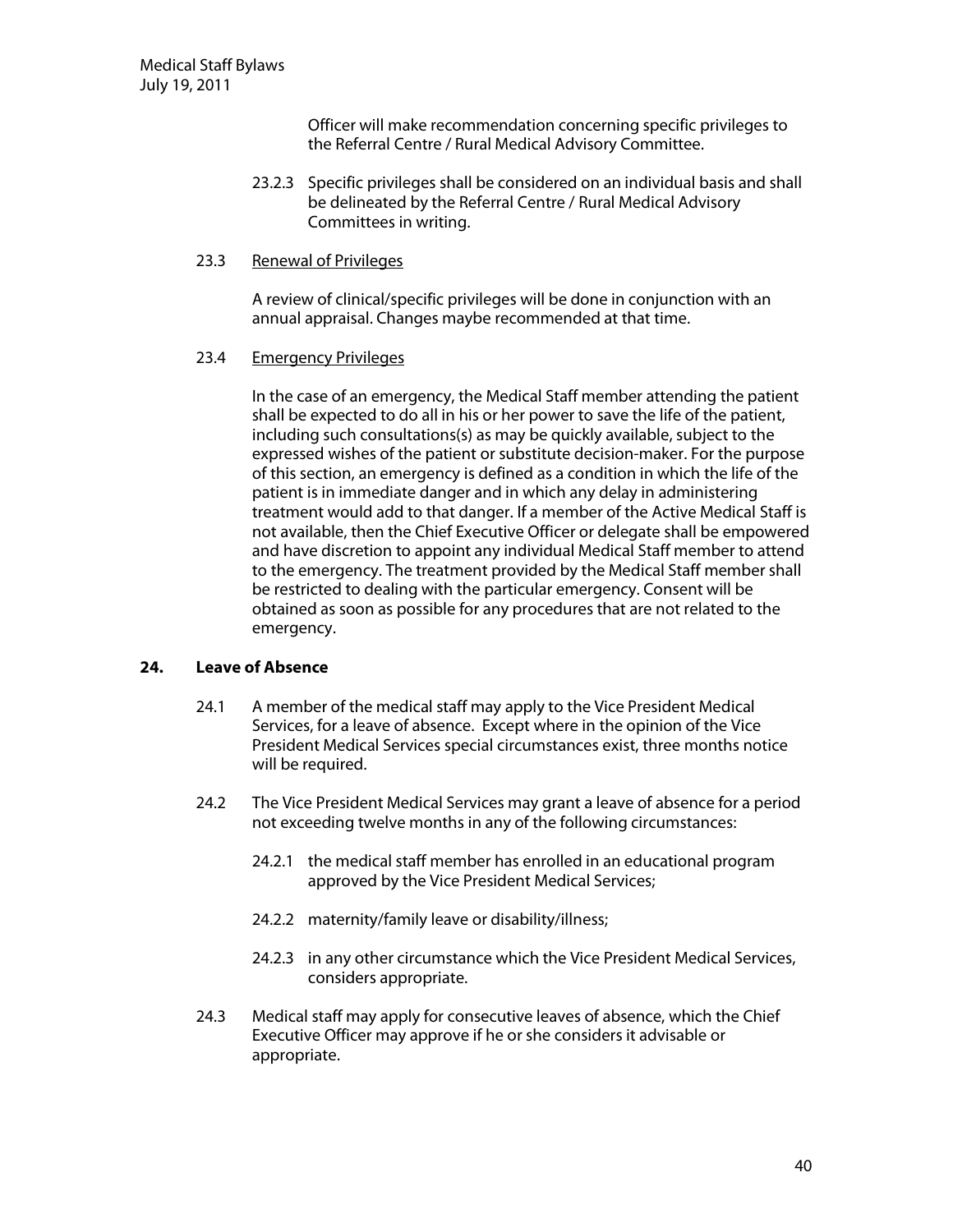Officer will make recommendation concerning specific privileges to the Referral Centre / Rural Medical Advisory Committee.

- 23.2.3 Specific privileges shall be considered on an individual basis and shall be delineated by the Referral Centre / Rural Medical Advisory Committees in writing.
- 23.3 Renewal of Privileges

A review of clinical/specific privileges will be done in conjunction with an annual appraisal. Changes maybe recommended at that time.

#### 23.4 Emergency Privileges

In the case of an emergency, the Medical Staff member attending the patient shall be expected to do all in his or her power to save the life of the patient, including such consultations(s) as may be quickly available, subject to the expressed wishes of the patient or substitute decision-maker. For the purpose of this section, an emergency is defined as a condition in which the life of the patient is in immediate danger and in which any delay in administering treatment would add to that danger. If a member of the Active Medical Staff is not available, then the Chief Executive Officer or delegate shall be empowered and have discretion to appoint any individual Medical Staff member to attend to the emergency. The treatment provided by the Medical Staff member shall be restricted to dealing with the particular emergency. Consent will be obtained as soon as possible for any procedures that are not related to the emergency.

## **24. Leave ofAbsence**

- 24.1 A member of the medical staff may apply to the Vice President Medical Services, for a leave of absence. Except where in the opinion of the Vice President Medical Services special circumstances exist, three months notice will be required.
- 24.2 The Vice President Medical Services may grant a leave of absence for a period not exceeding twelve months in any of the following circumstances:
	- 24.2.1 the medical staff member has enrolled in an educational program approved by the Vice President Medical Services;
	- 24.2.2 maternity/family leave or disability/illness;
	- 24.2.3 in any other circumstance which the Vice President Medical Services, considers appropriate.
- 24.3 Medical staff may apply for consecutive leaves of absence, which the Chief Executive Officer may approve if he or she considers it advisable or appropriate.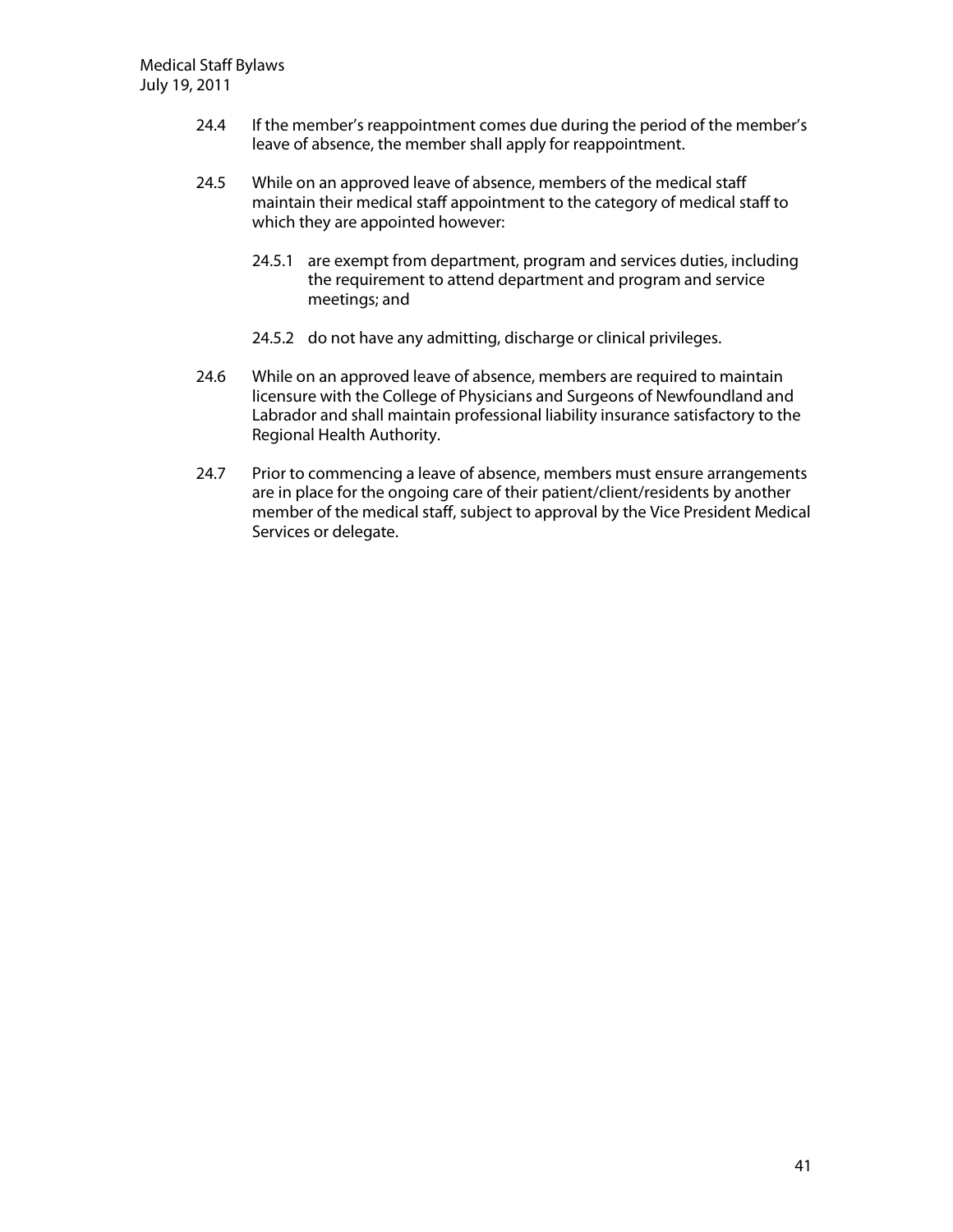- 24.4 If the member's reappointment comes due during the period of the member's leave of absence, the member shall apply for reappointment.
- 24.5 While on an approved leave of absence, members of the medical staff maintain their medical staff appointment to the category of medical staff to which they are appointed however:
	- 24.5.1 are exempt from department, program and services duties, including the requirement to attend department and program and service meetings; and
	- 24.5.2 do not have any admitting, discharge or clinical privileges.
- 24.6 While on an approved leave of absence, members are required to maintain licensure with the College of Physicians and Surgeons of Newfoundland and Labrador and shall maintain professional liability insurance satisfactory to the Regional Health Authority.
- 24.7 Prior to commencing a leave of absence, members must ensure arrangements are in place for the ongoing care of their patient/client/residents by another member of the medical staff, subject to approval by the Vice President Medical Services or delegate.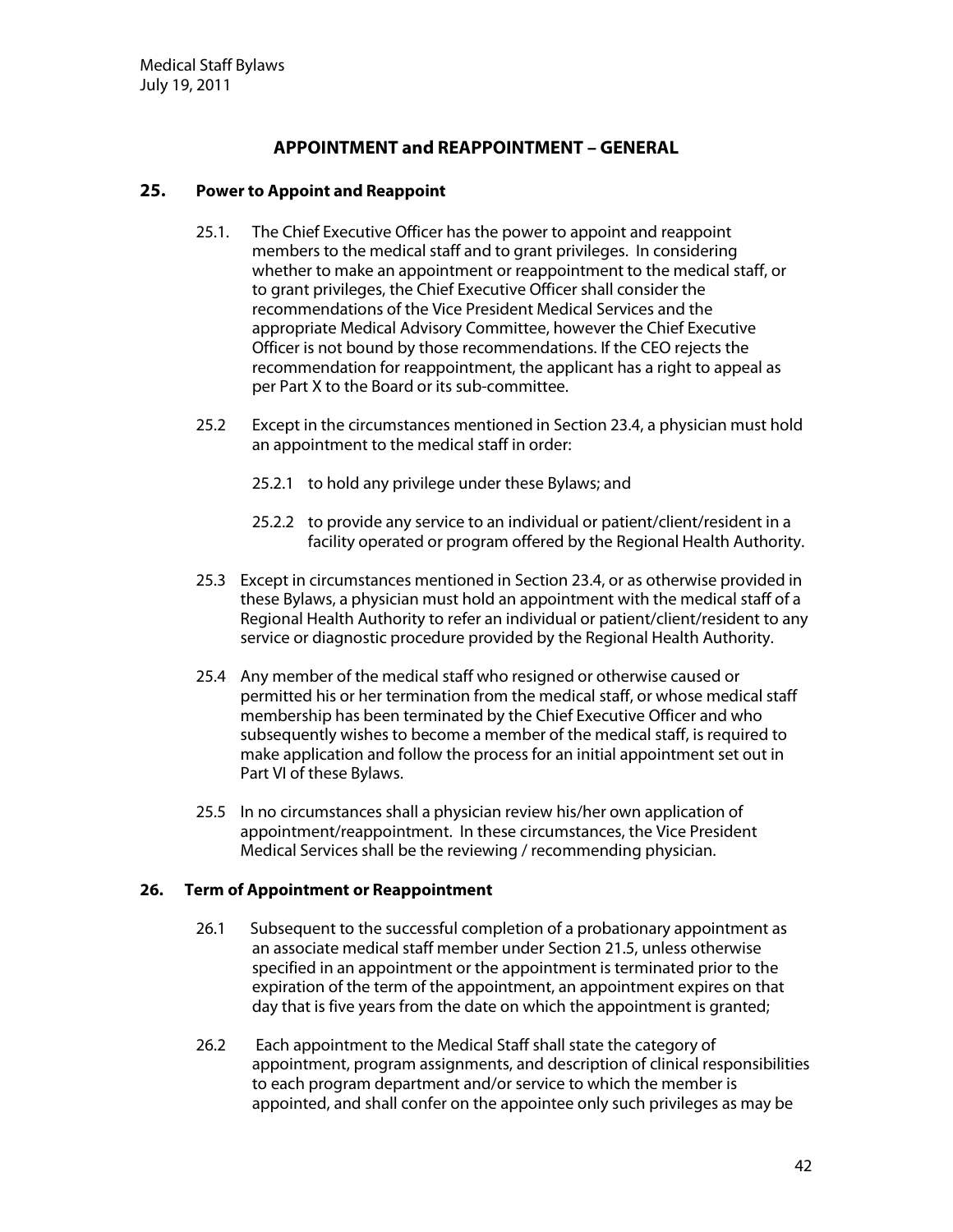# **APPOINTMENT and REAPPOINTMENT – GENERAL**

## **25.** Power to Appoint and Reappoint

- 25.1. The Chief Executive Officer has the power to appoint and reappoint members to the medical staff and to grant privileges. In considering whether to make an appointment or reappointment to the medical staff, or to grant privileges, the Chief Executive Officer shall consider the recommendations of the Vice President Medical Services and the appropriate Medical Advisory Committee, however the Chief Executive Officer is not bound by those recommendations. If the CEO rejects the recommendation for reappointment, the applicant has a right to appeal as per Part X to the Board or its sub-committee.
- 25.2 Except in the circumstances mentioned in Section 23.4, a physician must hold an appointment to the medical staff in order:
	- 25.2.1 to hold any privilege under these Bylaws; and
	- 25.2.2 to provide any service to an individual or patient/client/resident in a facility operated or program offered by the Regional Health Authority.
- 25.3 Except in circumstances mentioned in Section 23.4, or as otherwise provided in these Bylaws, a physician must hold an appointment with the medical staff of a Regional Health Authority to refer an individual or patient/client/resident to any service or diagnostic procedure provided by the Regional Health Authority.
- 25.4 Any member of the medical staff who resigned or otherwise caused or permitted his or her termination from the medical staff, or whose medical staff membership has been terminated by the Chief Executive Officer and who subsequently wishes to become a member of the medical staff, is required to make application and follow the process for an initial appointment set out in Part VI of these Bylaws.
- 25.5 In no circumstances shall a physician review his/her own application of appointment/reappointment. In these circumstances, the Vice President Medical Services shall be the reviewing / recommending physician.

### **26. Term of Appointment or Reappointment**

- 26.1 Subsequent to the successful completion of a probationary appointment as an associate medical staff member under Section 21.5, unless otherwise specified in an appointment or the appointment is terminated prior to the expiration of the term of the appointment, an appointment expires on that day that is five years from the date on which the appointment is granted;
- 26.2 Each appointment to the Medical Staff shall state the category of appointment, program assignments, and description of clinical responsibilities to each program department and/or service to which the member is appointed, and shall confer on the appointee only such privileges as may be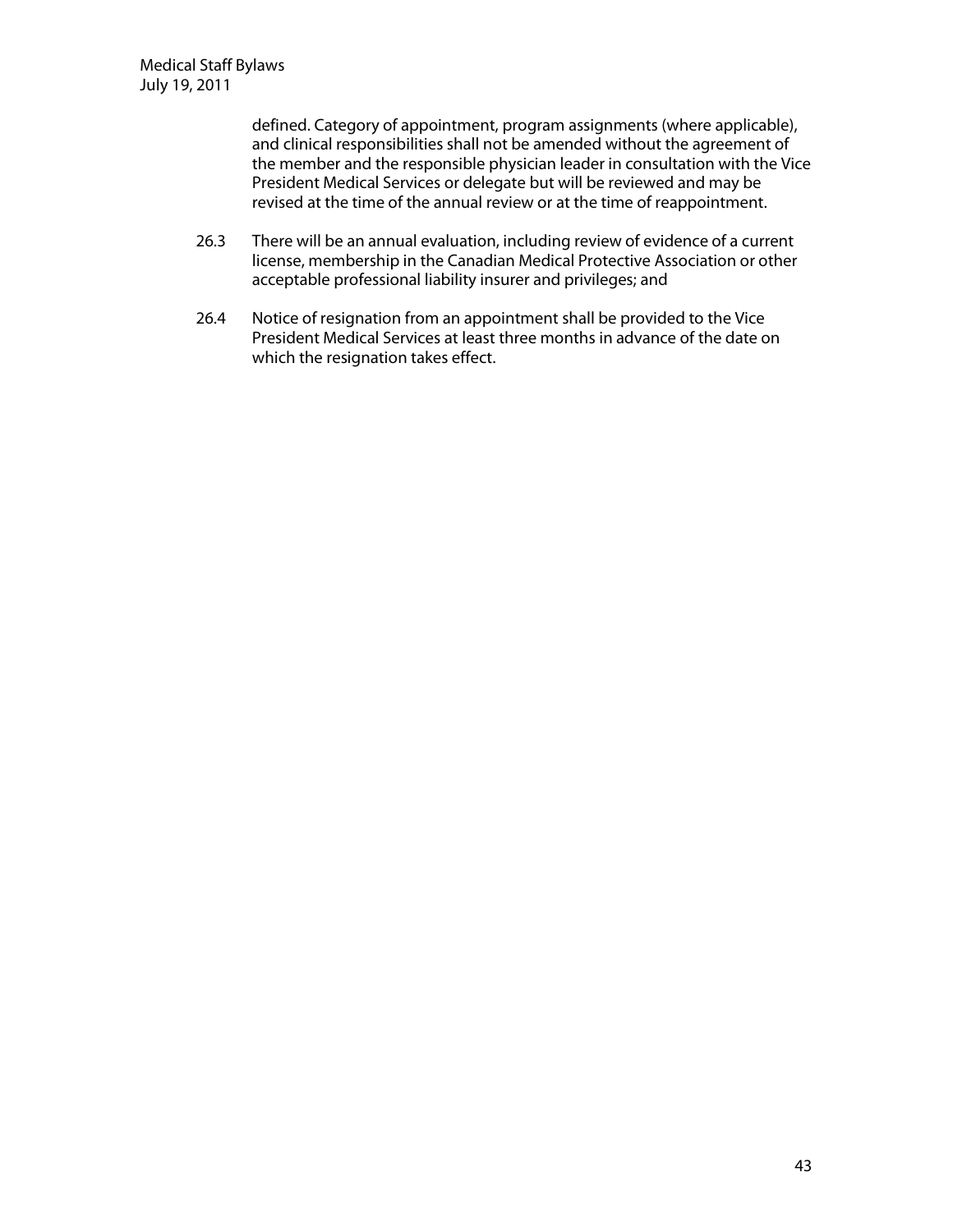defined. Category of appointment, program assignments (where applicable), and clinical responsibilities shall not be amended without the agreement of the member and the responsible physician leader in consultation with the Vice President Medical Services or delegate but will be reviewed and may be revised at the time of the annual review or at the time of reappointment.

- 26.3 There will be an annual evaluation, including review of evidence of a current license, membership in the Canadian Medical Protective Association or other acceptable professional liability insurer and privileges; and
- 26.4 Notice of resignation from an appointment shall be provided to the Vice President Medical Services at least three months in advance of the date on which the resignation takes effect.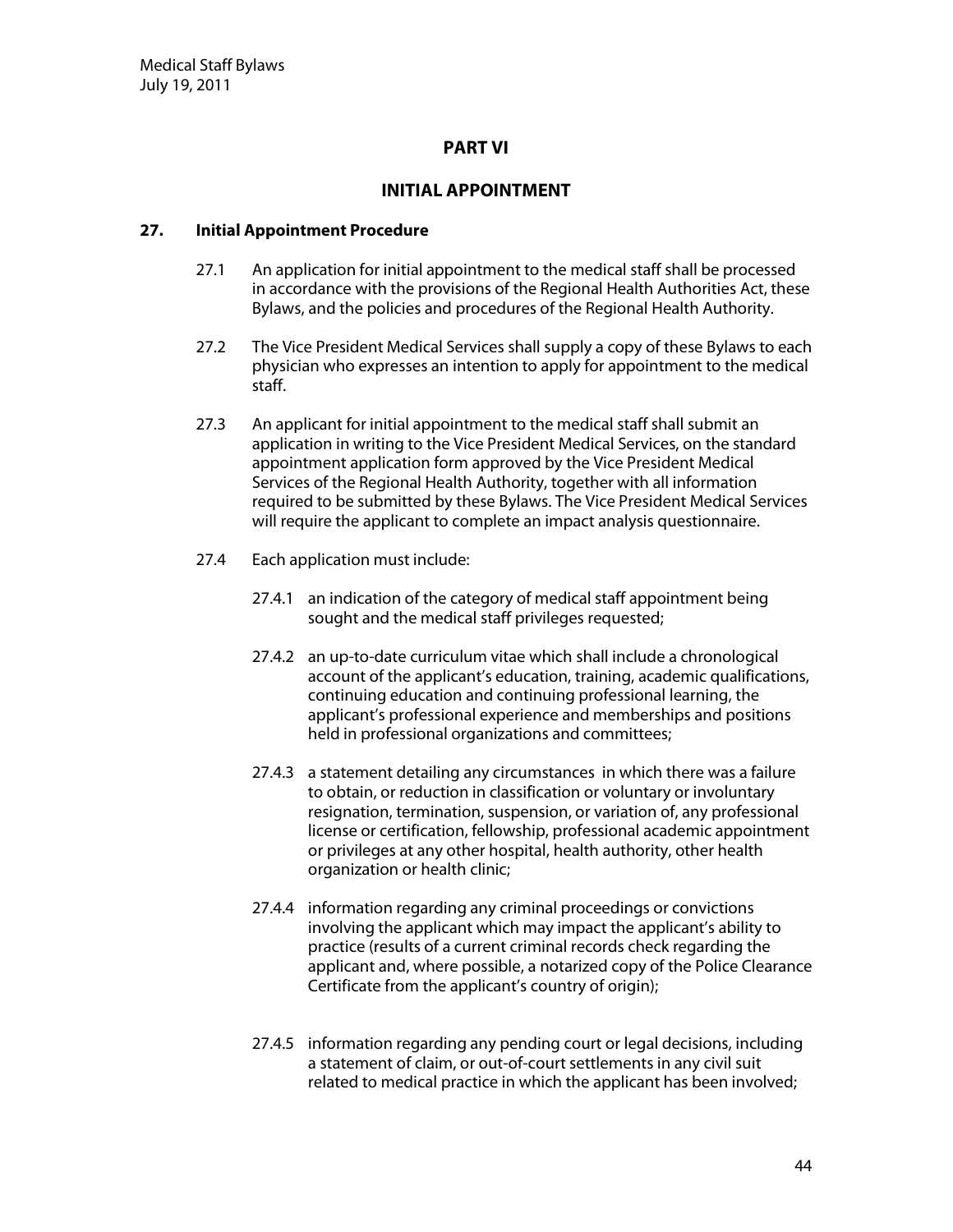# **PART V I**

# **INITIAL APPOINTMENT**

### **27.** Initial Appointment Procedure

- 27.1 An application for initial appointment to the medical staff shall be processed in accordance with the provisions of the Regional Health Authorities Act, these Bylaws, and the policies and procedures of the Regional Health Authority.
- 27.2 The Vice President Medical Services shall supply a copy of these Bylaws to each physician who expresses an intention to apply for appointment to the medical staff.
- 27.3 An applicant for initial appointment to the medical staff shall submit an application in writing to the Vice President Medical Services, on the standard appointment application form approved by the Vice President Medical Services of the Regional Health Authority, together with all information required to be submitted by these Bylaws. The Vice President Medical Services will require the applicant to complete an impact analysis questionnaire.
- 27.4 Each application must include:
	- 27.4.1 an indication of the category of medical staff appointment being sought and the medical staff privileges requested;
	- 27.4.2 an up-to-date curriculum vitae which shall include a chronological account of the applicant's education, training, academic qualifications, continuing education and continuing professional learning, the applicant's professional experience and memberships and positions held in professional organizations and committees;
	- 27.4.3 a statement detailing any circumstances in which there was a failure to obtain, or reduction in classification or voluntary or involuntary resignation, termination, suspension, or variation of, any professional license or certification, fellowship, professional academic appointment or privileges at any other hospital, health authority, other health organization or health clinic;
	- 27.4.4 information regarding any criminal proceedings or convictions involving the applicant which may impact the applicant's ability to practice (results of a current criminal records check regarding the applicant and, where possible, a notarized copy of the Police Clearance Certificate from the applicant's country of origin);
	- 27.4.5 information regarding any pending court or legal decisions, including a statement of claim, or out-of-court settlements in any civil suit related to medical practice in which the applicant has been involved;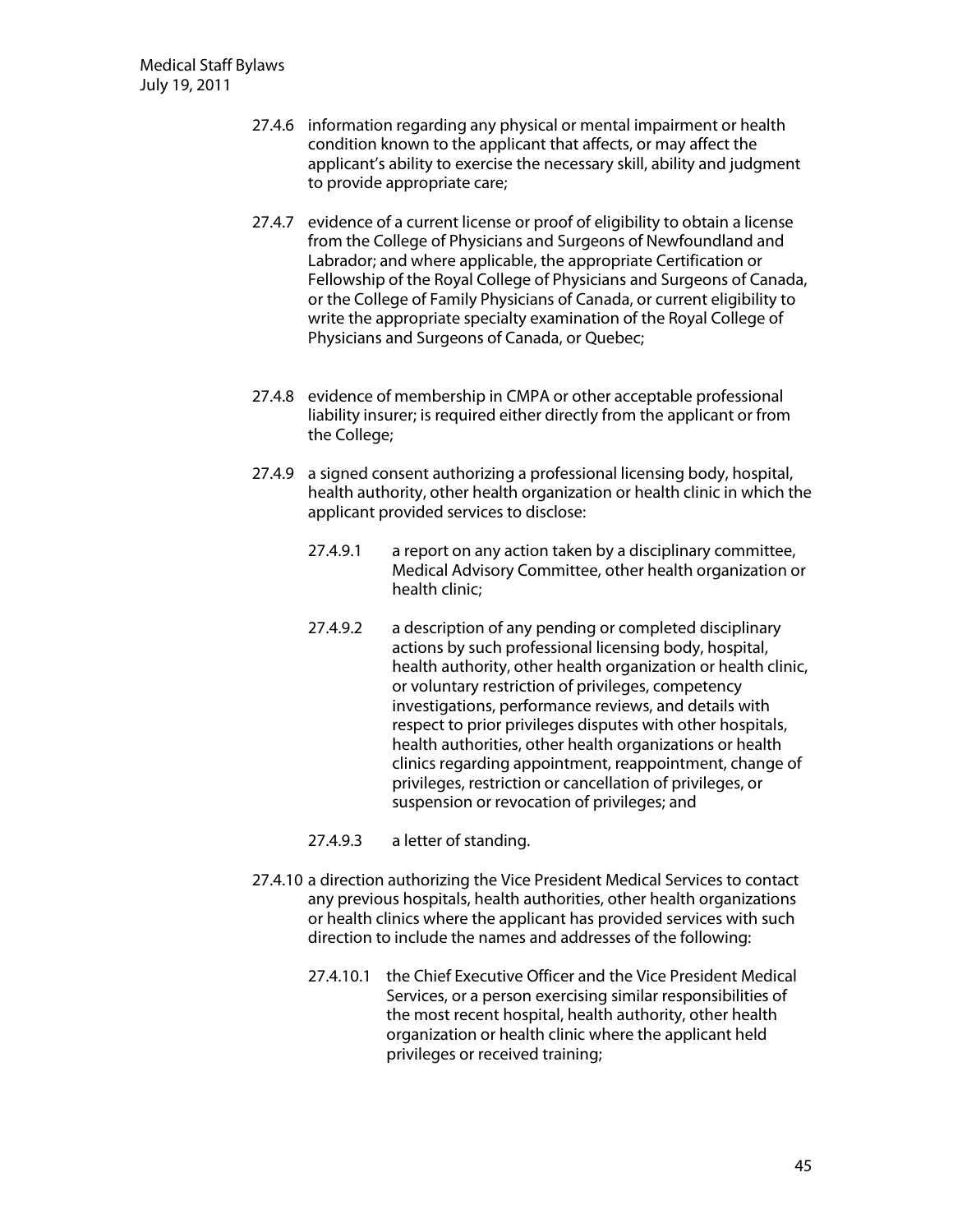- 27.4.6 information regarding any physical or mental impairment or health condition known to the applicant that affects, or may affect the applicant's ability to exercise the necessary skill, ability and judgment to provide appropriate care;
- 27.4.7 evidence of a current license or proof of eligibility to obtain a license from the College of Physicians and Surgeons of Newfoundland and Labrador; and where applicable, the appropriate Certification or Fellowship of the Royal College of Physicians and Surgeons of Canada, or the College of Family Physicians of Canada, or current eligibility to write the appropriate specialty examination of the Royal College of Physicians and Surgeons of Canada, or Quebec;
- 27.4.8 evidence of membership in CMPA or other acceptable professional liability insurer; is required either directly from the applicant or from the College;
- 27.4.9 a signed consent authorizing a professional licensing body, hospital, health authority, other health organization or health clinic in which the applicant provided services to disclose:
	- 27.4.9.1 a report on any action taken by a disciplinary committee, Medical Advisory Committee, other health organization or health clinic;
	- 27.4.9.2 a description of any pending or completed disciplinary actions by such professional licensing body, hospital, health authority, other health organization or health clinic, or voluntary restriction of privileges, competency investigations, performance reviews, and details with respect to prior privileges disputes with other hospitals, health authorities, other health organizations or health clinics regarding appointment, reappointment, change of privileges, restriction or cancellation of privileges, or suspension or revocation of privileges; and
	- 27.4.9.3 a letter of standing.
- 27.4.10 a direction authorizing the Vice President Medical Services to contact any previous hospitals, health authorities, other health organizations or health clinics where the applicant has provided services with such direction to include the names and addresses of the following:
	- 27.4.10.1 the Chief Executive Officer and the Vice President Medical Services, or a person exercising similar responsibilities of the most recent hospital, health authority, other health organization or health clinic where the applicant held privileges or received training;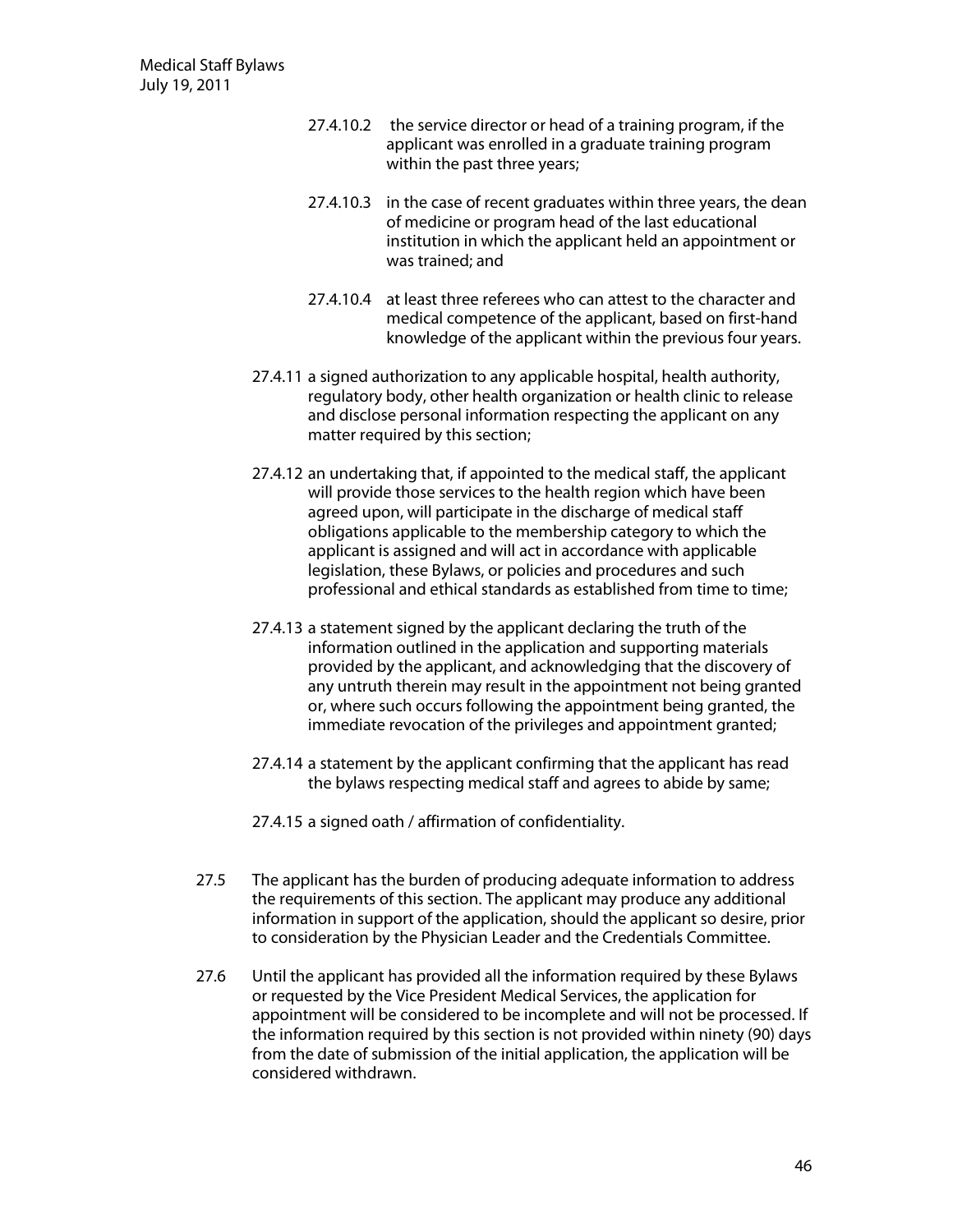- 27.4.10.2 the service director or head of a training program, if the applicant was enrolled in a graduate training program within the past three years;
- 27.4.10.3 in the case of recent graduates within three years, the dean of medicine or program head of the last educational institution in which the applicant held an appointment or was trained; and
- 27.4.10.4 at least three referees who can attest to the character and medical competence of the applicant, based on first-hand knowledge of the applicant within the previous four years.
- 27.4.11 a signed authorization to any applicable hospital, health authority, regulatory body, other health organization or health clinic to release and disclose personal information respecting the applicant on any matter required by this section;
- 27.4.12 an undertaking that, if appointed to the medical staff, the applicant will provide those services to the health region which have been agreed upon, will participate in the discharge of medical staff obligations applicable to the membership category to which the applicant is assigned and will act in accordance with applicable legislation, these Bylaws, or policies and procedures and such professional and ethical standards as established from time to time;
- 27.4.13 a statement signed by the applicant declaring the truth of the information outlined in the application and supporting materials provided by the applicant, and acknowledging that the discovery of any untruth therein may result in the appointment not being granted or, where such occurs following the appointment being granted, the immediate revocation of the privileges and appointment granted;
- 27.4.14 a statement by the applicant confirming that the applicant has read the bylaws respecting medical staff and agrees to abide by same;
- 27.4.15 a signed oath / affirmation of confidentiality.
- 27.5 The applicant has the burden of producing adequate information to address the requirements of this section. The applicant may produce any additional information in support of the application, should the applicant so desire, prior to consideration by the Physician Leader and the Credentials Committee.
- 27.6 Until the applicant has provided all the information required by these Bylaws or requested by the Vice President Medical Services, the application for appointment will be considered to be incomplete and will not be processed. If the information required by this section is not provided within ninety (90) days from the date of submission of the initial application, the application will be considered withdrawn.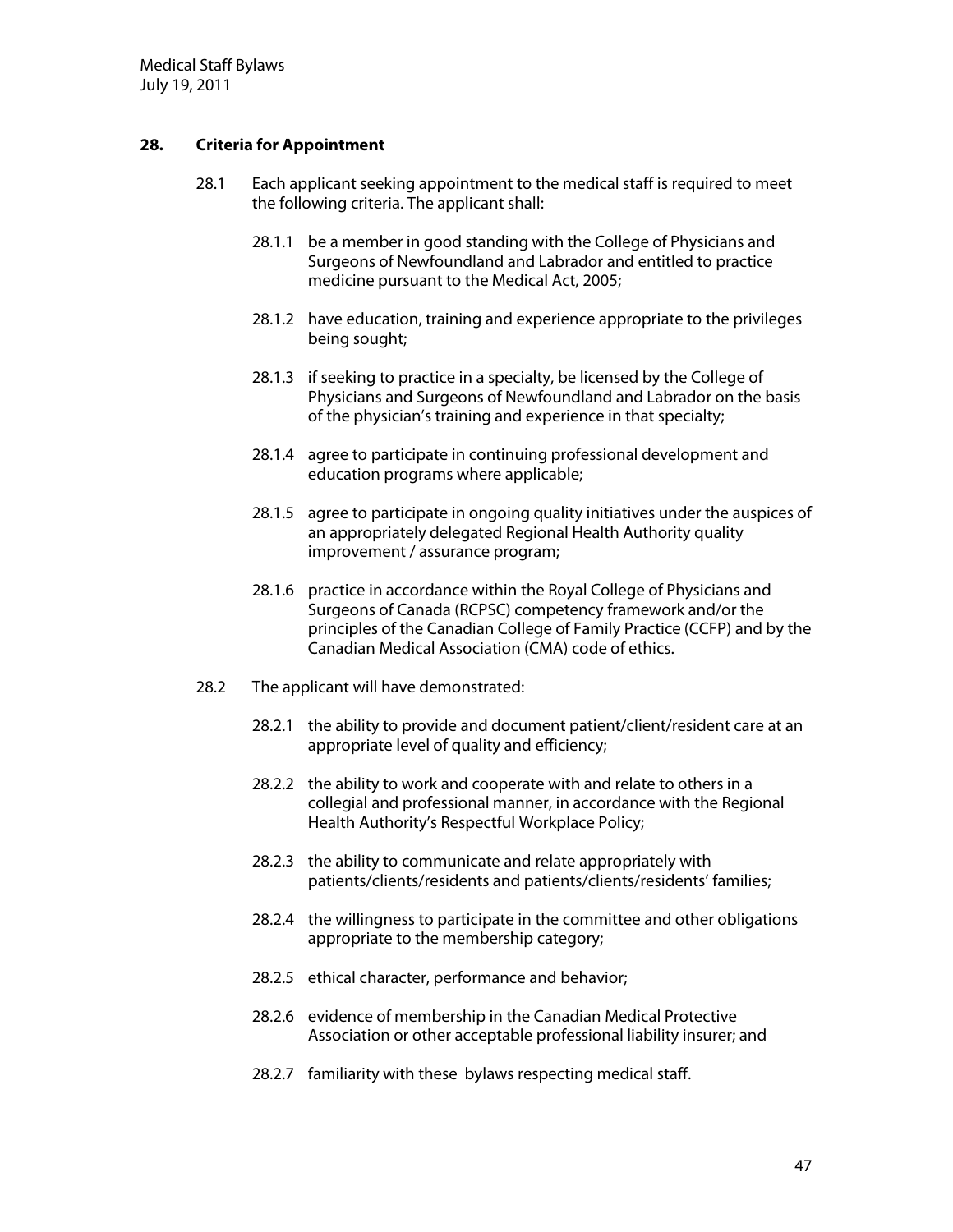# **28.** Criteria for Appointment

- 28.1 Each applicant seeking appointment to the medical staff is required to meet the following criteria. The applicant shall:
	- 28.1.1 be a member in good standing with the College of Physicians and Surgeons of Newfoundland and Labrador and entitled to practice medicine pursuant to the Medical Act, 2005;
	- 28.1.2 have education, training and experience appropriate to the privileges being sought;
	- 28.1.3 if seeking to practice in a specialty, be licensed by the College of Physicians and Surgeons of Newfoundland and Labrador on the basis of the physician's training and experience in that specialty;
	- 28.1.4 agree to participate in continuing professional development and education programs where applicable;
	- 28.1.5 agree to participate in ongoing quality initiatives under the auspices of an appropriately delegated Regional Health Authority quality improvement / assurance program;
	- 28.1.6 practice in accordance within the Royal College of Physicians and Surgeons of Canada (RCPSC) competency framework and/or the principles of the Canadian College of Family Practice (CCFP) and by the Canadian Medical Association (CMA) code of ethics.
- 28.2 The applicant will have demonstrated:
	- 28.2.1 the ability to provide and document patient/client/resident care at an appropriate level of quality and efficiency;
	- 28.2.2 the ability to work and cooperate with and relate to others in a collegial and professional manner, in accordance with the Regional Health Authority's Respectful Workplace Policy;
	- 28.2.3 the ability to communicate and relate appropriately with patients/clients/residents and patients/clients/residents' families;
	- 28.2.4 the willingness to participate in the committee and other obligations appropriate to the membership category;
	- 28.2.5 ethical character, performance and behavior;
	- 28.2.6 evidence of membership in the Canadian Medical Protective Association or other acceptable professional liability insurer; and
	- 28.2.7 familiarity with these bylaws respecting medical staff.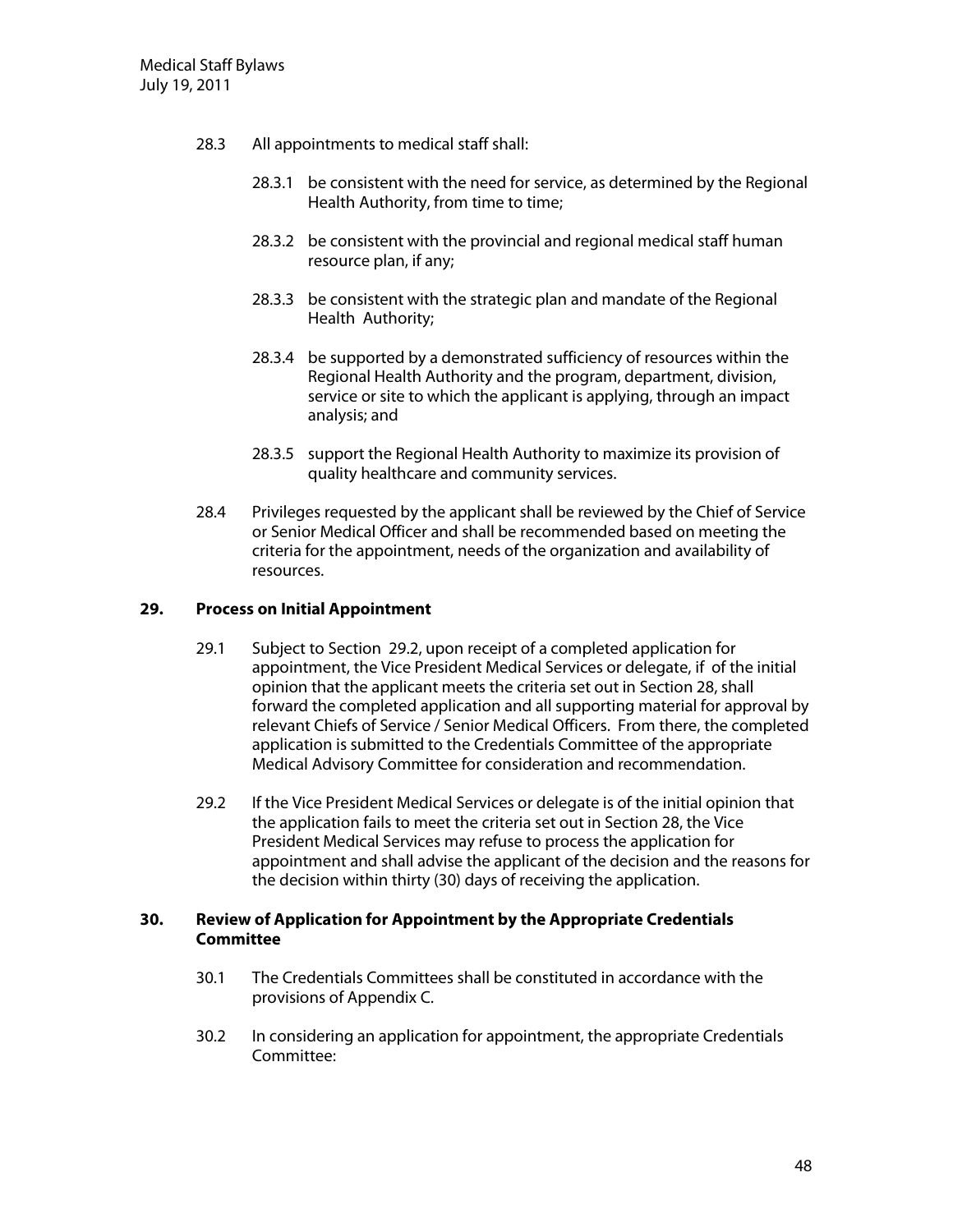- 28.3 All appointments to medical staff shall:
	- 28.3.1 be consistent with the need for service, as determined by the Regional Health Authority, from time to time;
	- 28.3.2 be consistent with the provincial and regional medical staff human resource plan, if any;
	- 28.3.3 be consistent with the strategic plan and mandate of the Regional Health Authority;
	- 28.3.4 be supported by a demonstrated sufficiency of resources within the Regional Health Authority and the program, department, division, service or site to which the applicant is applying, through an impact analysis; and
	- 28.3.5 support the Regional Health Authority to maximize its provision of quality healthcare and community services.
- 28.4 Privileges requested by the applicant shall be reviewed by the Chief of Service or Senior Medical Officer and shall be recommended based on meeting the criteria for the appointment, needs of the organization and availability of resources.

### **29.** Process on Initial Appointment

- 29.1 Subject to Section 29.2, upon receipt of a completed application for appointment, the Vice President Medical Services or delegate, if of the initial opinion that the applicant meets the criteria set out in Section 28, shall forward the completed application and all supporting material for approval by relevant Chiefs of Service / Senior Medical Officers. From there, the completed application is submitted to the Credentials Committee of the appropriate Medical Advisory Committee for consideration and recommendation.
- 29.2 If the Vice President Medical Services or delegate is of the initial opinion that the application fails to meet the criteria set out in Section 28, the Vice President Medical Services may refuse to process the application for appointment and shall advise the applicant of the decision and the reasons for the decision within thirty (30) days of receiving the application.

## **30. Review ofApplication forAppointm ent by the Appropriate Credentials Com m ittee**

- 30.1 The Credentials Committees shall be constituted in accordance with the provisions of Appendix C.
- 30.2 In considering an application for appointment, the appropriate Credentials Committee: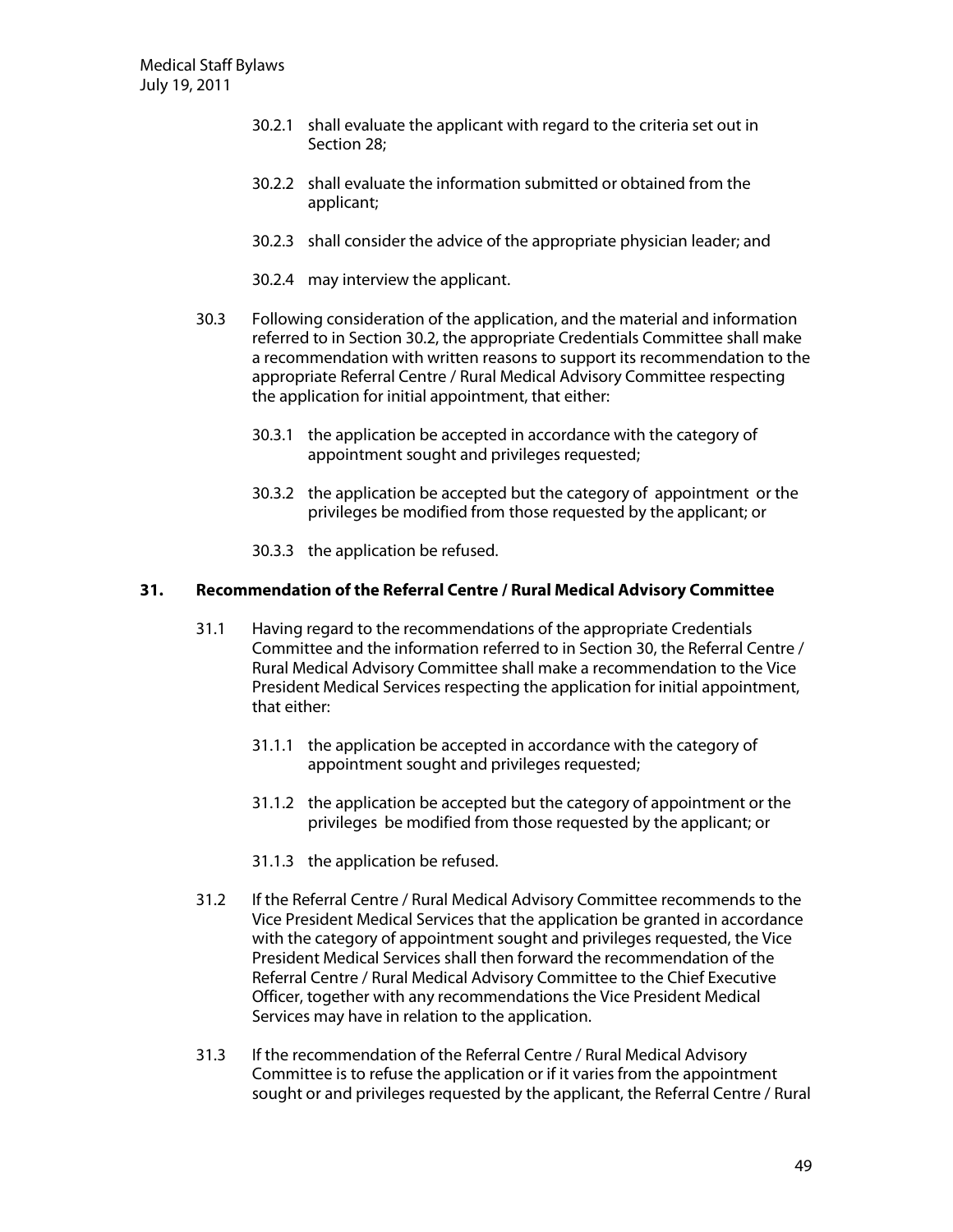- 30.2.1 shall evaluate the applicant with regard to the criteria set out in Section 28;
- 30.2.2 shall evaluate the information submitted or obtained from the applicant;
- 30.2.3 shall consider the advice of the appropriate physician leader; and
- 30.2.4 may interview the applicant.
- 30.3 Following consideration of the application, and the material and information referred to in Section 30.2, the appropriate Credentials Committee shall make a recommendation with written reasons to support its recommendation to the appropriate Referral Centre / Rural Medical Advisory Committee respecting the application for initial appointment, that either:
	- 30.3.1 the application be accepted in accordance with the category of appointment sought and privileges requested;
	- 30.3.2 the application be accepted but the category of appointment or the privileges be modified from those requested by the applicant; or
	- 30.3.3 the application be refused.

#### **31. Recom m endation ofthe ReferralCentre /RuralM edicalAdvisory Com m ittee**

- 31.1 Having regard to the recommendations of the appropriate Credentials Committee and the information referred to in Section 30, the Referral Centre / Rural Medical Advisory Committee shall make a recommendation to the Vice President Medical Services respecting the application for initial appointment, that either:
	- 31.1.1 the application be accepted in accordance with the category of appointment sought and privileges requested;
	- 31.1.2 the application be accepted but the category of appointment or the privileges be modified from those requested by the applicant; or
	- 31.1.3 the application be refused.
- 31.2 If the Referral Centre / Rural Medical Advisory Committee recommends to the Vice President Medical Services that the application be granted in accordance with the category of appointment sought and privileges requested, the Vice President Medical Services shall then forward the recommendation of the Referral Centre / Rural Medical Advisory Committee to the Chief Executive Officer, together with any recommendations the Vice President Medical Services may have in relation to the application.
- 31.3 If the recommendation of the Referral Centre / Rural Medical Advisory Committee is to refuse the application or if it varies from the appointment sought or and privileges requested by the applicant, the Referral Centre / Rural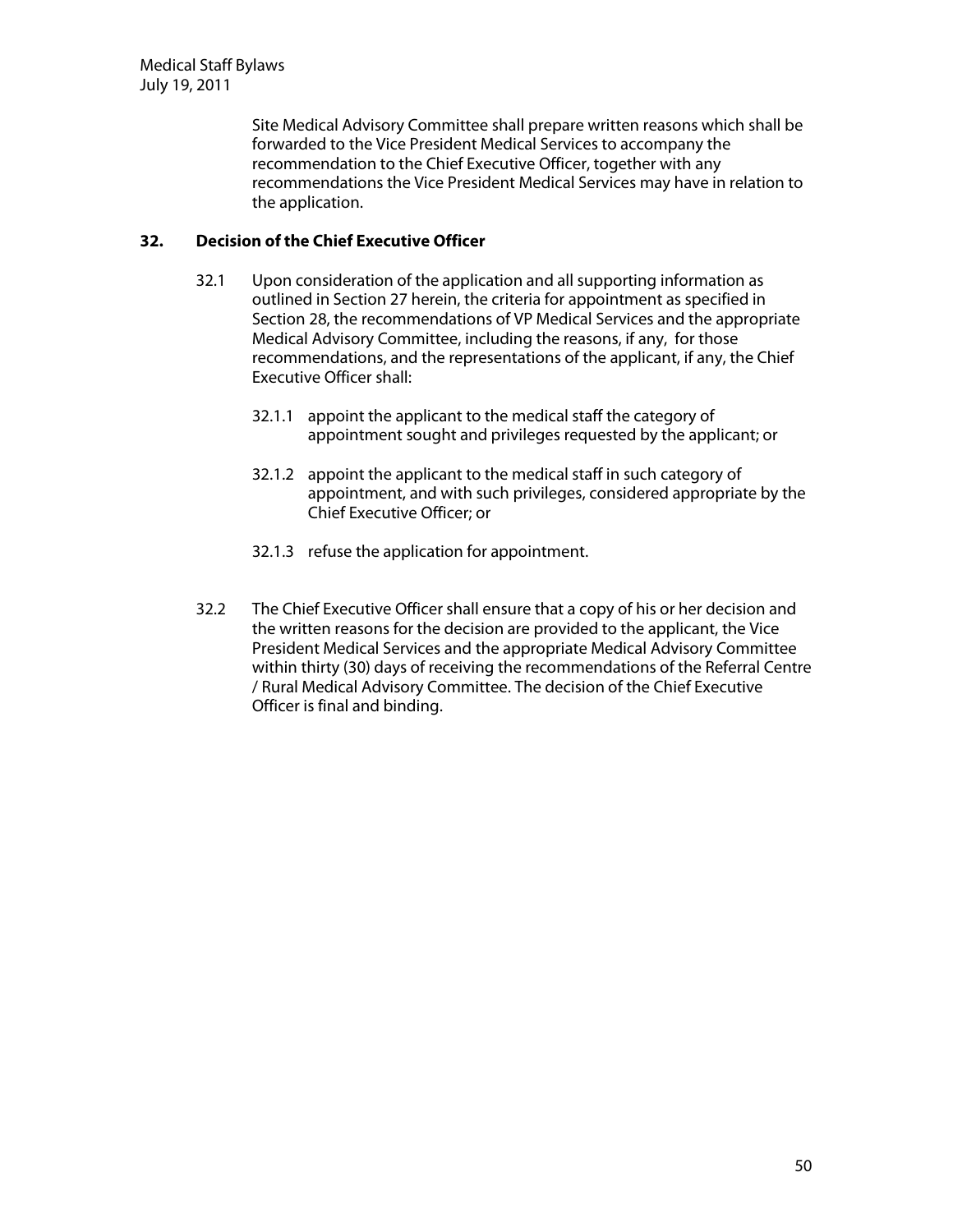Site Medical Advisory Committee shall prepare written reasons which shall be forwarded to the Vice President Medical Services to accompany the recommendation to the Chief Executive Officer, together with any recommendations the Vice President Medical Services may have in relation to the application.

# **32. D ecision ofthe ChiefExecutive O fficer**

- 32.1 U pon consideration of the application and all supporting information as outlined in Section 27 herein, the criteria for appointment as specified in Section 28, the recommendations of VP Medical Services and the appropriate Medical Advisory Committee, including the reasons, if any, for those recommendations, and the representations of the applicant, if any, the Chief Executive Officer shall:
	- 32.1.1 appoint the applicant to the medical staff the category of appointment sought and privileges requested by the applicant; or
	- 32.1.2 appoint the applicant to the medical staff in such category of appointment, and with such privileges, considered appropriate by the Chief Executive Officer; or
	- 32.1.3 refuse the application for appointment.
- 32.2 The Chief Executive Officer shall ensure that a copy of his or her decision and the written reasons for the decision are provided to the applicant, the Vice President Medical Services and the appropriate Medical Advisory Committee within thirty (30) days of receiving the recommendations of the Referral Centre / Rural Medical Advisory Committee. The decision of the Chief Executive Officer is final and binding.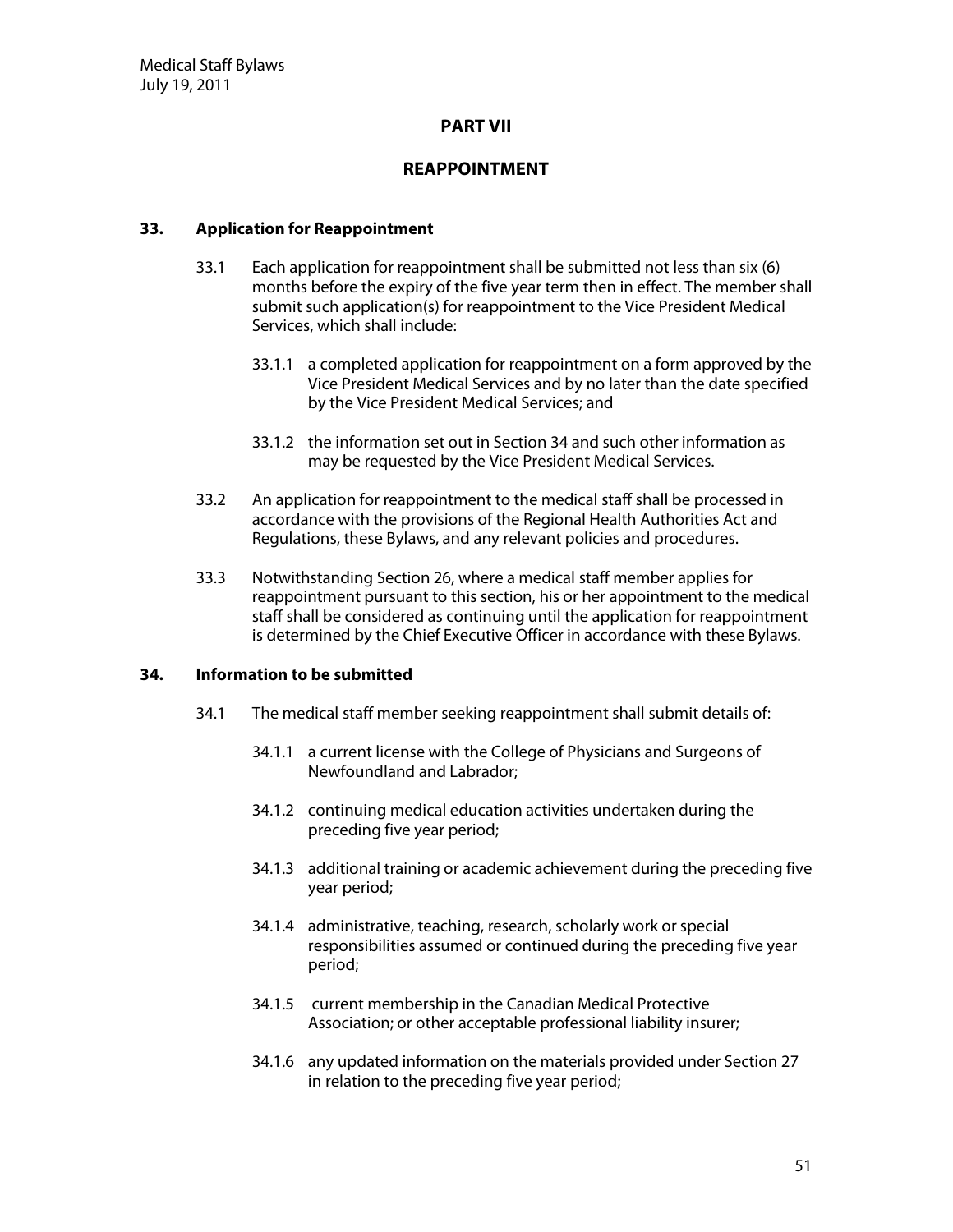## **PART V II**

# **REAPPOINTMENT**

## **33. Application for Reappointment**

- 33.1 Each application for reappointment shall be submitted not less than six (6) months before the expiry of the five year term then in effect. The member shall submit such application(s) for reappointment to the Vice President Medical Services, which shall include:
	- 33.1.1 a completed application for reappointment on a form approved by the Vice President Medical Services and by no later than the date specified by the Vice President Medical Services; and
	- 33.1.2 the information set out in Section 34 and such other information as may be requested by the Vice President Medical Services.
- 33.2 An application for reappointment to the medical staff shall be processed in accordance with the provisions of the Regional Health Authorities Act and Regulations, these Bylaws, and any relevant policies and procedures.
- 33.3 Notwithstanding Section 26, where a medical staff member applies for reappointment pursuant to this section, his or her appointment to the medical staff shall be considered as continuing until the application for reappointment is determined by the Chief Executive Officer in accordance with these Bylaws.

### **34. Inform ation to be subm itted**

- 34.1 The medical staff member seeking reappointment shall submit details of:
	- 34.1.1 a current license with the College of Physicians and Surgeons of Newfoundland and Labrador;
	- 34.1.2 continuing medical education activities undertaken during the preceding five year period;
	- 34.1.3 additional training or academic achievement during the preceding five year period;
	- 34.1.4 administrative, teaching, research, scholarly work or special responsibilities assumed or continued during the preceding five year period;
	- 34.1.5 current membership in the Canadian Medical Protective Association; or other acceptable professional liability insurer;
	- 34.1.6 any updated information on the materials provided under Section 27 in relation to the preceding five year period;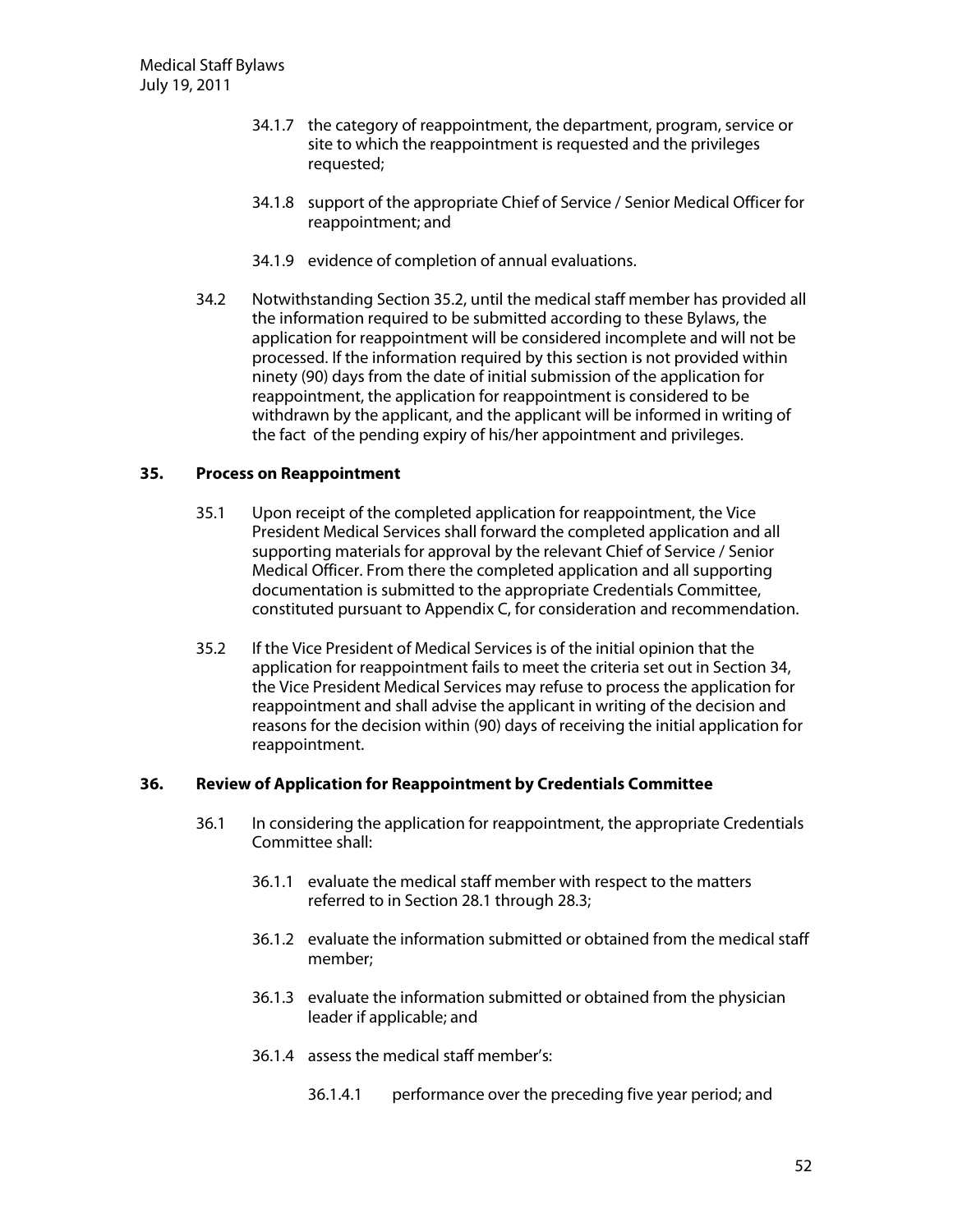- 34.1.7 the category of reappointment, the department, program, service or site to which the reappointment is requested and the privileges requested;
- 34.1.8 support of the appropriate Chief of Service / Senior Medical Officer for reappointment; and
- 34.1.9 evidence of completion of annual evaluations.
- 34.2 N otwithstanding Section 35.2, until the medical staff member has provided all the information required to be submitted according to these Bylaws, the application for reappointment will be considered incomplete and will not be processed. If the information required by this section is not provided within ninety (90) days from the date of initial submission of the application for reappointment, the application for reappointment is considered to be withdrawn by the applicant, and the applicant will be informed in writing of the fact of the pending expiry of his/her appointment and privileges.

### **35.** Process on Reappointment

- 35.1 U pon receipt of the completed application for reappointment, the Vice President Medical Services shall forward the completed application and all supporting materials for approval by the relevant Chief of Service / Senior Medical Officer. From there the completed application and all supporting documentation is submitted to the appropriate Credentials Committee, constituted pursuant to Appendix C, for consideration and recommendation.
- 35.2 If the Vice President of Medical Services is of the initial opinion that the application for reappointment fails to meet the criteria set out in Section 34, the Vice President Medical Services may refuse to process the application for reappointment and shall advise the applicant in writing of the decision and reasons for the decision within (90) days of receiving the initial application for reappointment.

### **36. Review ofApplication forReappointm ent by Credentials Com m ittee**

- 36.1 In considering the application for reappointment, the appropriate Credentials Committee shall:
	- 36.1.1 evaluate the medical staff member with respect to the matters referred to in Section 28.1 through 28.3;
	- 36.1.2 evaluate the information submitted or obtained from the medical staff member;
	- 36.1.3 evaluate the information submitted or obtained from the physician leader if applicable; and
	- 36.1.4 assess the medical staff member's:
		- 36.1.4.1 performance over the preceding five year period; and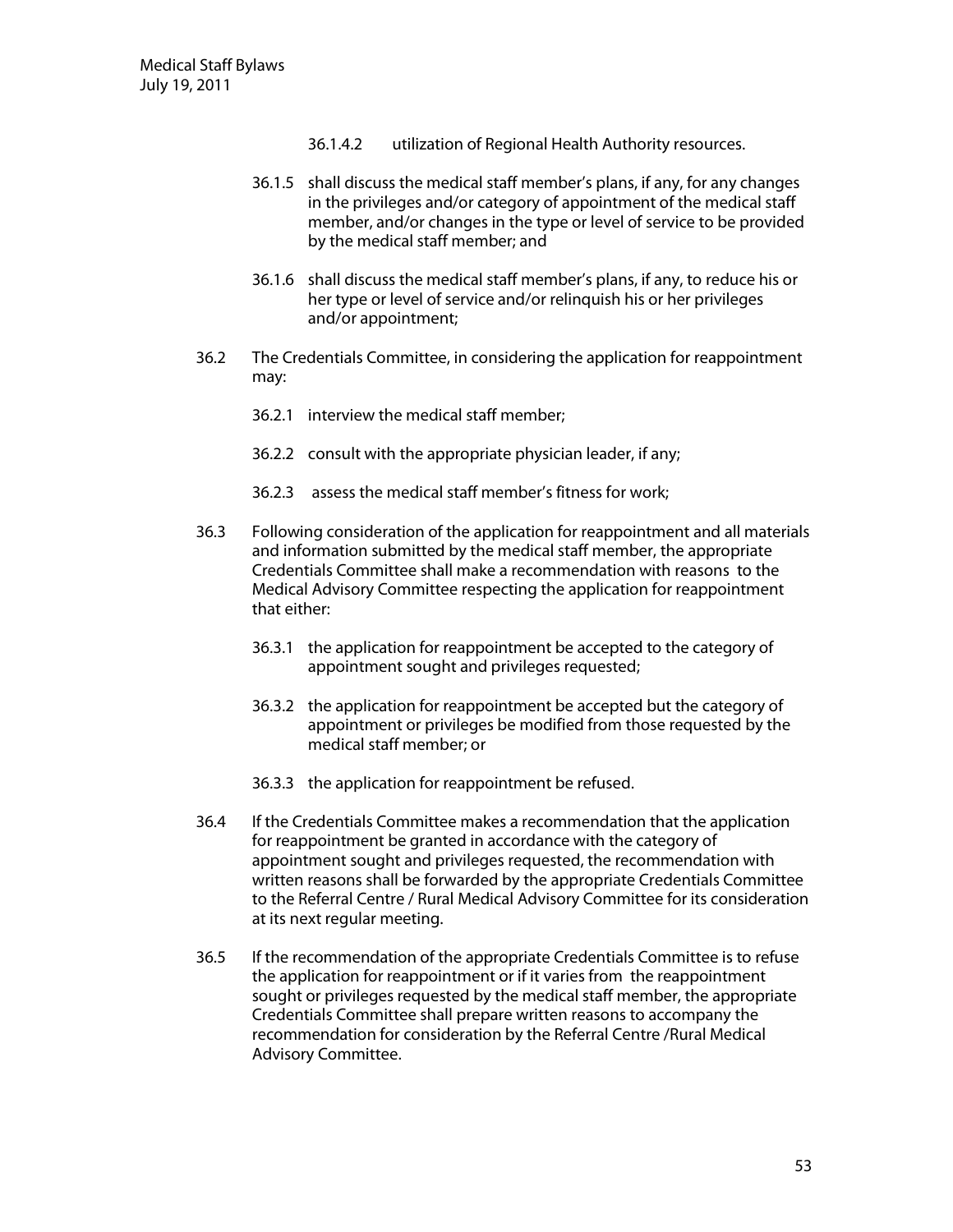- 36.1.4.2 utilization of Regional Health Authority resources.
- 36.1.5 shall discuss the medical staff member's plans, if any, for any changes in the privileges and/or category of appointment of the medical staff member, and/or changes in the type or level of service to be provided by the medical staff member; and
- 36.1.6 shall discuss the medical staff member's plans, if any, to reduce his or her type or level of service and/or relinquish his or her privileges and/or appointment;
- 36.2 The Credentials Committee, in considering the application for reappointment may:
	- 36.2.1 interview the medical staff member;
	- 36.2.2 consult with the appropriate physician leader, if any;
	- 36.2.3 assess the medical staff member's fitness for work;
- 36.3 Following consideration of the application for reappointment and all materials and information submitted by the medical staff member, the appropriate Credentials Committee shall make a recommendation with reasons to the Medical Advisory Committee respecting the application for reappointment that either:
	- 36.3.1 the application for reappointment be accepted to the category of appointment sought and privileges requested;
	- 36.3.2 the application for reappointment be accepted but the category of appointment or privileges be modified from those requested by the medical staff member; or
	- 36.3.3 the application for reappointment be refused.
- 36.4 If the Credentials Committee makes a recommendation that the application for reappointment be granted in accordance with the category of appointment sought and privileges requested, the recommendation with written reasons shall be forwarded by the appropriate Credentials Committee to the Referral Centre / Rural Medical Advisory Committee for its consideration at its next regular meeting.
- 36.5 If the recommendation of the appropriate Credentials Committee is to refuse the application for reappointment or if it varies from the reappointment sought or privileges requested by the medical staff member, the appropriate Credentials Committee shall prepare written reasons to accompany the recommendation for consideration by the Referral Centre /Rural Medical Advisory Committee.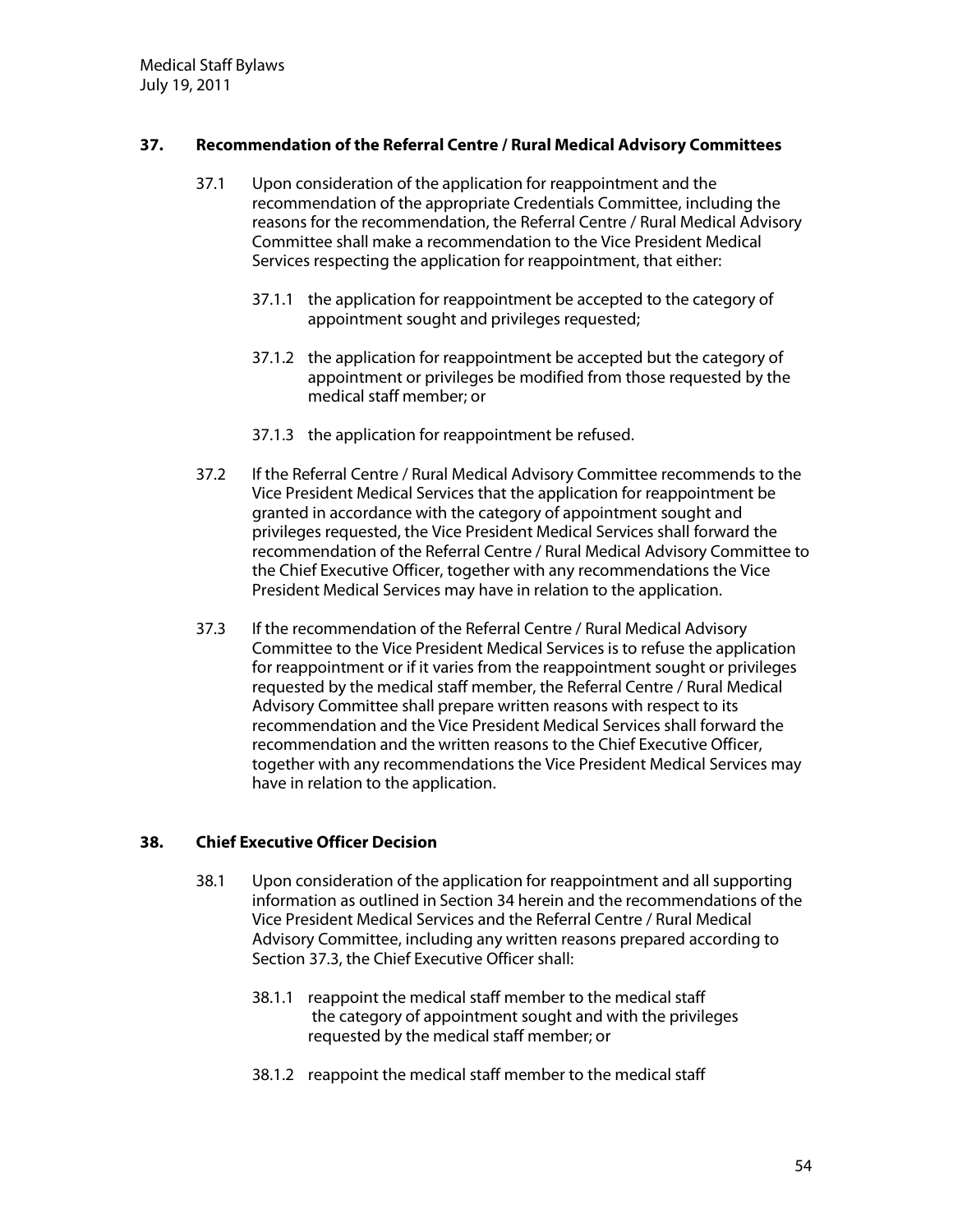# **37. Recom m endation ofthe ReferralCentre /RuralM edicalAdvisory Com m ittees**

- 37.1 Upon consideration of the application for reappointment and the recommendation of the appropriate Credentials Committee, including the reasons for the recommendation, the Referral Centre / Rural Medical Advisory Committee shall make a recommendation to the Vice President Medical Services respecting the application for reappointment, that either:
	- 37.1.1 the application for reappointment be accepted to the category of appointment sought and privileges requested;
	- 37.1.2 the application for reappointment be accepted but the category of appointment or privileges be modified from those requested by the medical staff member; or
	- 37.1.3 the application for reappointment be refused.
- 37.2 If the Referral Centre / Rural Medical Advisory Committee recommends to the Vice President Medical Services that the application for reappointment be granted in accordance with the category of appointment sought and privileges requested, the Vice President Medical Services shall forward the recommendation of the Referral Centre / Rural Medical Advisory Committee to the Chief Executive Officer, together with any recommendations the Vice President Medical Services may have in relation to the application.
- 37.3 If the recommendation of the Referral Centre / Rural Medical Advisory Committee to the Vice President Medical Services is to refuse the application for reappointment or if it varies from the reappointment sought or privileges requested by the medical staff member, the Referral Centre / Rural Medical Advisory Committee shall prepare written reasons with respect to its recommendation and the Vice President Medical Services shall forward the recommendation and the written reasons to the Chief Executive Officer, together with any recommendations the Vice President Medical Services may have in relation to the application.

# **38. ChiefExecutive O fficerD ecision**

- 38.1 Upon consideration of the application for reappointment and all supporting information as outlined in Section 34 herein and the recommendations of the Vice President Medical Services and the Referral Centre / Rural Medical Advisory Committee, including any written reasons prepared according to Section 37.3, the Chief Executive Officer shall:
	- 38.1.1 reappoint the medical staff member to the medical staff the category of appointment sought and with the privileges requested by the medical staff member; or
	- 38.1.2 reappoint the medical staff member to the medical staff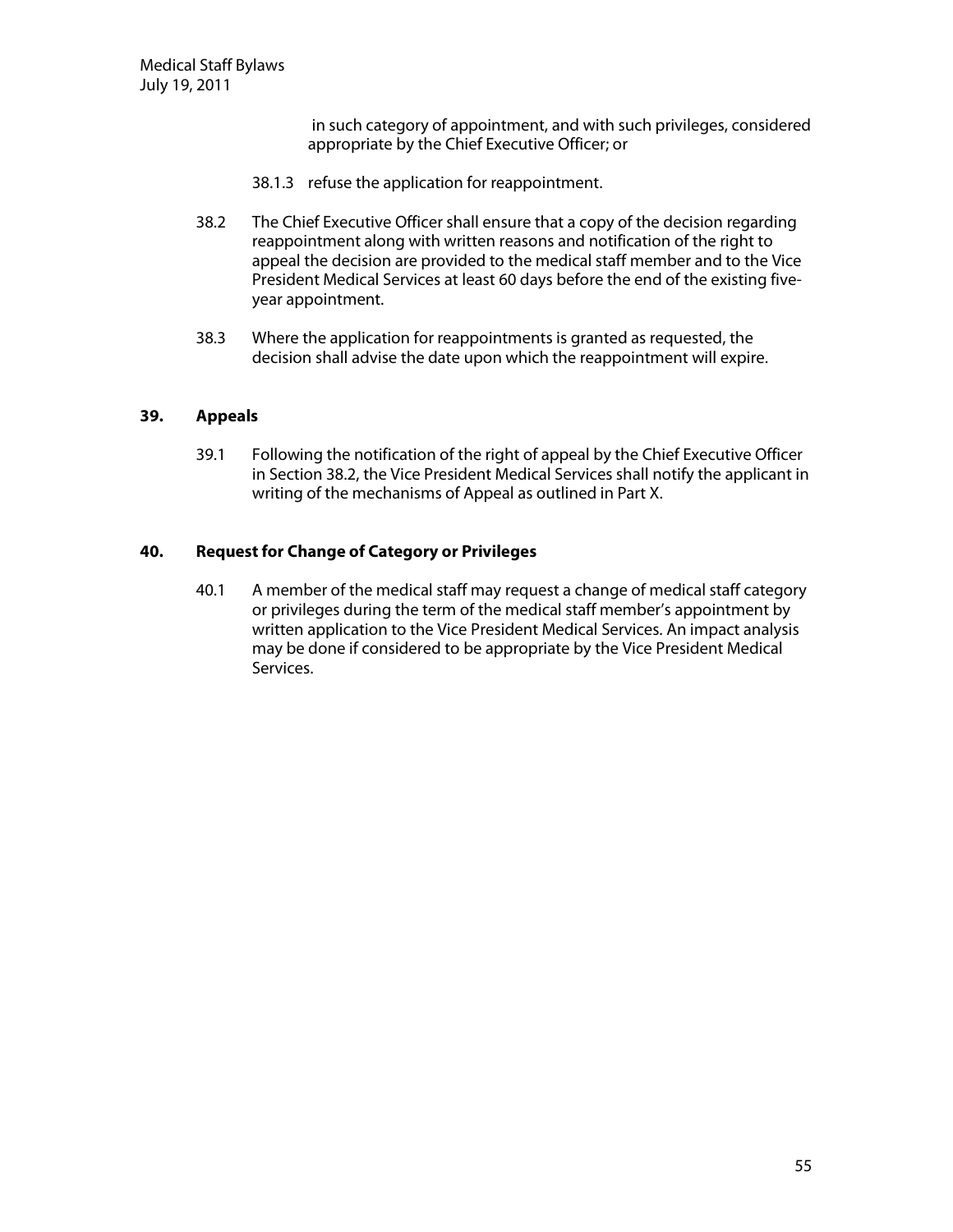in such category of appointment, and with such privileges, considered appropriate by the Chief Executive Officer; or

- 38.1.3 refuse the application for reappointment.
- 38.2 The Chief Executive Officer shall ensure that a copy of the decision regarding reappointment along with written reasons and notification of the right to appeal the decision are provided to the medical staff member and to the Vice President Medical Services at least 60 days before the end of the existing fiveyear appointment.
- 38.3 Where the application for reappointments is granted as requested, the decision shall advise the date upon which the reappointment will expire.

### **39. Appeals**

39.1 Following the notification of the right of appeal by the Chief Executive Officer in Section 38.2, the Vice President Medical Services shall notify the applicant in writing of the mechanisms of Appeal as outlined in Part X.

## **40. Request forChange ofCategory orPrivileges**

40.1 A member of the medical staff may request a change of medical staff category or privileges during the term of the medical staff member's appointment by written application to the Vice President Medical Services. An impact analysis may be done if considered to be appropriate by the Vice President Medical Services.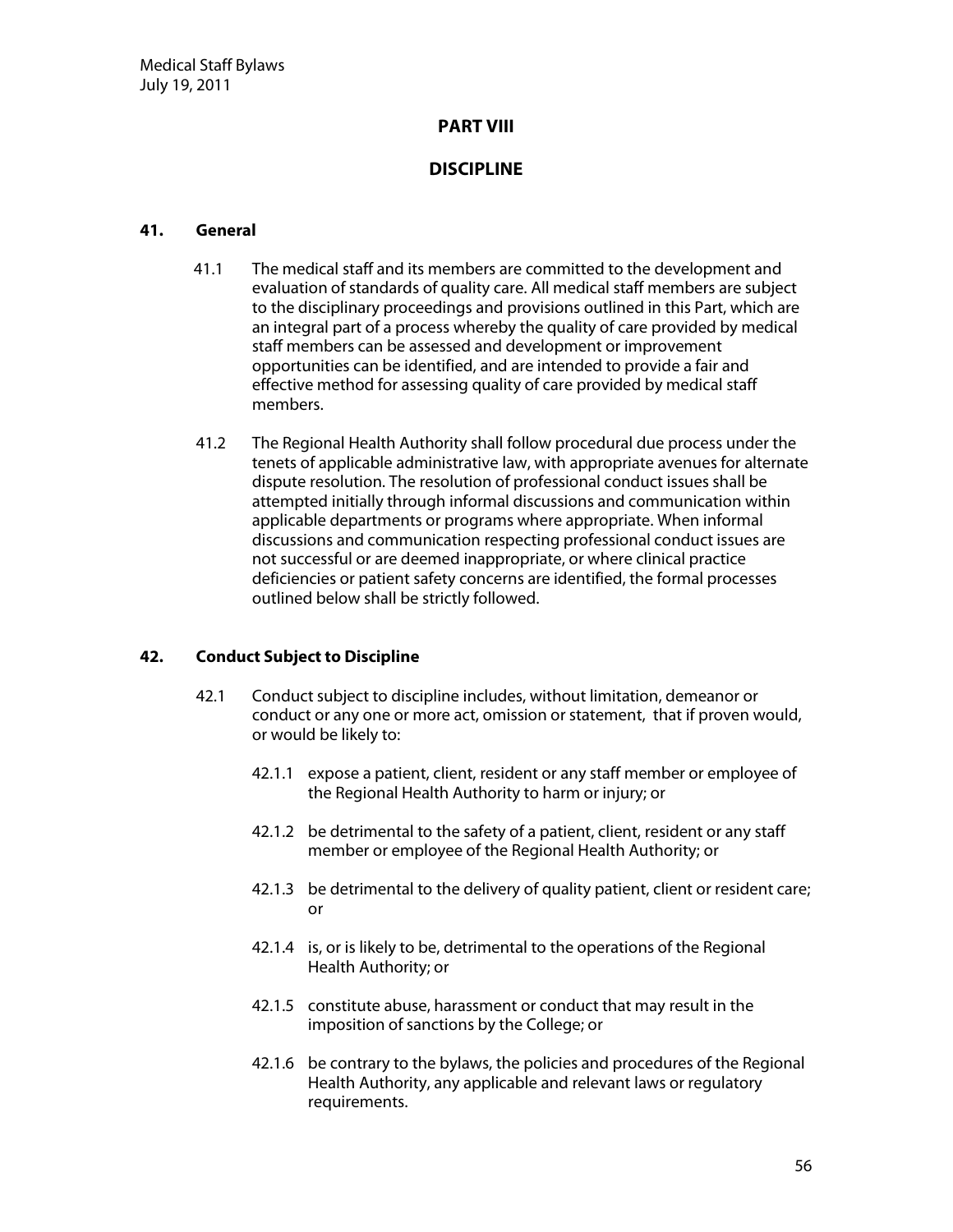# **PART V III**

# **D ISCIPLIN E**

### **41. G eneral**

- 41.1 The medical staff and its members are committed to the development and evaluation of standards of quality care. All medical staff members are subject to the disciplinary proceedings and provisions outlined in this Part, which are an integral part of a process whereby the quality of care provided by medical staff members can be assessed and development or improvement opportunities can be identified, and are intended to provide a fair and effective method for assessing quality of care provided by medical staff members.
- 41.2 The Regional Health Authority shall follow procedural due process under the tenets of applicable administrative law, with appropriate avenues for alternate dispute resolution. The resolution of professional conduct issues shall be attempted initially through informal discussions and communication within applicable departments or programs where appropriate. When informal discussions and communication respecting professional conduct issues are not successful or are deemed inappropriate, or where clinical practice deficiencies or patient safety concerns are identified, the formal processes outlined below shall be strictly followed.

### **42. Conduct Subject to D iscipline**

- 42.1 Conduct subject to discipline includes, without limitation, demeanor or conduct or any one or more act, omission or statement, that if proven would, or would be likely to:
	- 42.1.1 expose a patient, client, resident or any staff member or employee of the Regional Health Authority to harm or injury; or
	- 42.1.2 be detrimental to the safety of a patient, client, resident or any staff member or employee of the Regional Health Authority; or
	- 42.1.3 be detrimental to the delivery of quality patient, client or resident care; or
	- 42.1.4 is, or is likely to be, detrimental to the operations of the Regional Health Authority; or
	- 42.1.5 constitute abuse, harassment or conduct that may result in the imposition of sanctions by the College; or
	- 42.1.6 be contrary to the bylaws, the policies and procedures of the Regional Health Authority, any applicable and relevant laws or regulatory requirements.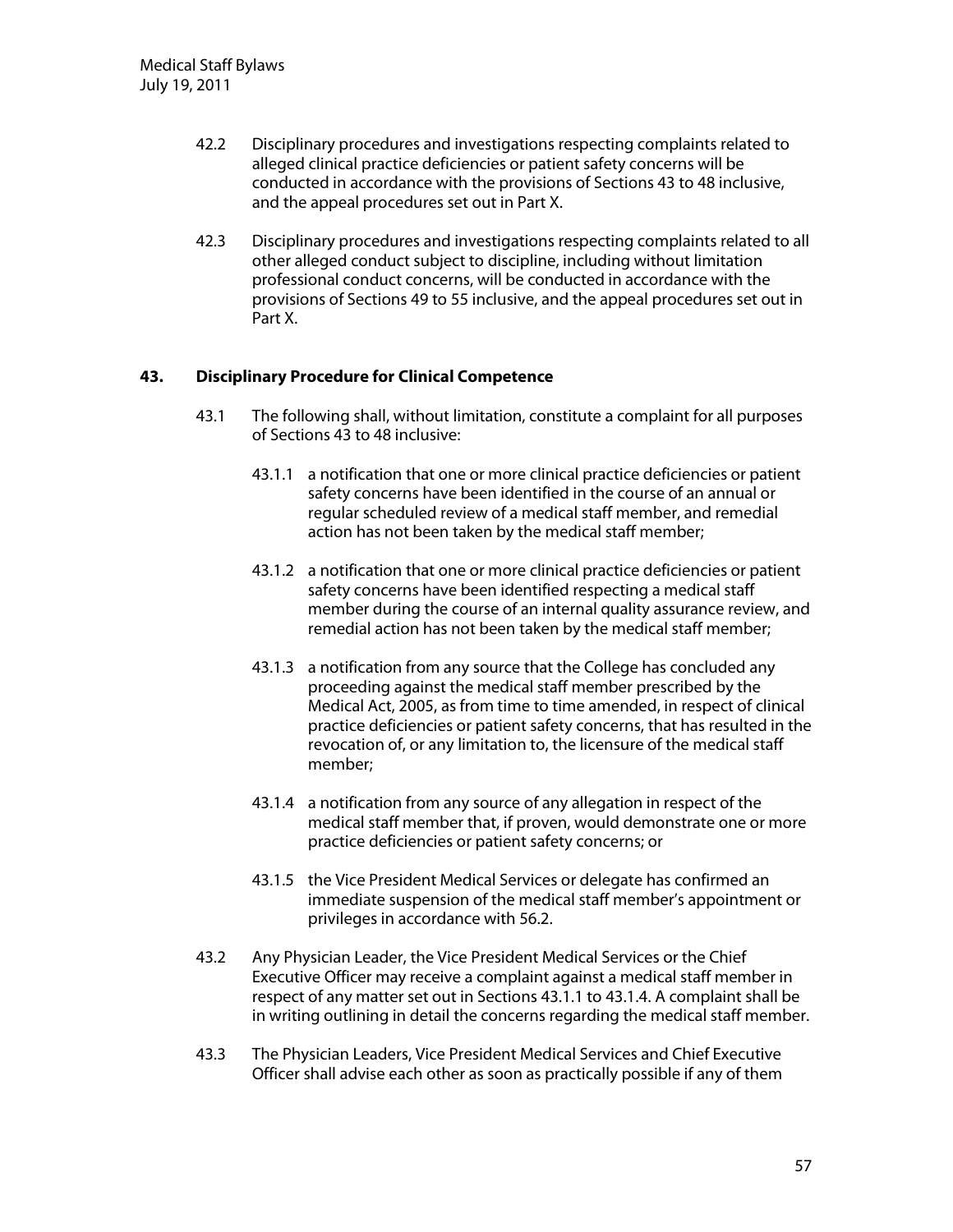- 42.2 Disciplinary procedures and investigations respecting complaints related to alleged clinical practice deficiencies or patient safety concerns will be conducted in accordance with the provisions of Sections 43 to 48 inclusive, and the appeal procedures set out in Part X.
- 42.3 Disciplinary procedures and investigations respecting complaints related to all other alleged conduct subject to discipline, including without limitation professional conduct concerns, will be conducted in accordance with the provisions of Sections 49 to 55 inclusive, and the appeal procedures set out in Part X.

# **43. D isciplinary Procedure forClinicalCom petence**

- 43.1 The following shall, without limitation, constitute a complaint for all purposes of Sections 43 to 48 inclusive:
	- 43.1.1 a notification that one or more clinical practice deficiencies or patient safety concerns have been identified in the course of an annual or regular scheduled review of a medical staff member, and remedial action has not been taken by the medical staff member;
	- 43.1.2 a notification that one or more clinical practice deficiencies or patient safety concerns have been identified respecting a medical staff member during the course of an internal quality assurance review, and remedial action has not been taken by the medical staff member;
	- 43.1.3 a notification from any source that the College has concluded any proceeding against the medical staff member prescribed by the Medical Act, 2005, as from time to time amended, in respect of clinical practice deficiencies or patient safety concerns, that has resulted in the revocation of, or any limitation to, the licensure of the medical staff member;
	- 43.1.4 a notification from any source of any allegation in respect of the medical staff member that, if proven, would demonstrate one or more practice deficiencies or patient safety concerns; or
	- 43.1.5 the Vice President Medical Services or delegate has confirmed an immediate suspension of the medical staff member's appointment or privileges in accordance with 56.2.
- 43.2 Any Physician Leader, the Vice President Medical Services or the Chief Executive Officer may receive a complaint against a medical staff member in respect of any matter set out in Sections 43.1.1 to 43.1.4. A complaint shall be in writing outlining in detail the concerns regarding the medical staff member.
- 43.3 The Physician Leaders, Vice President Medical Services and Chief Executive Officer shall advise each other as soon as practically possible if any of them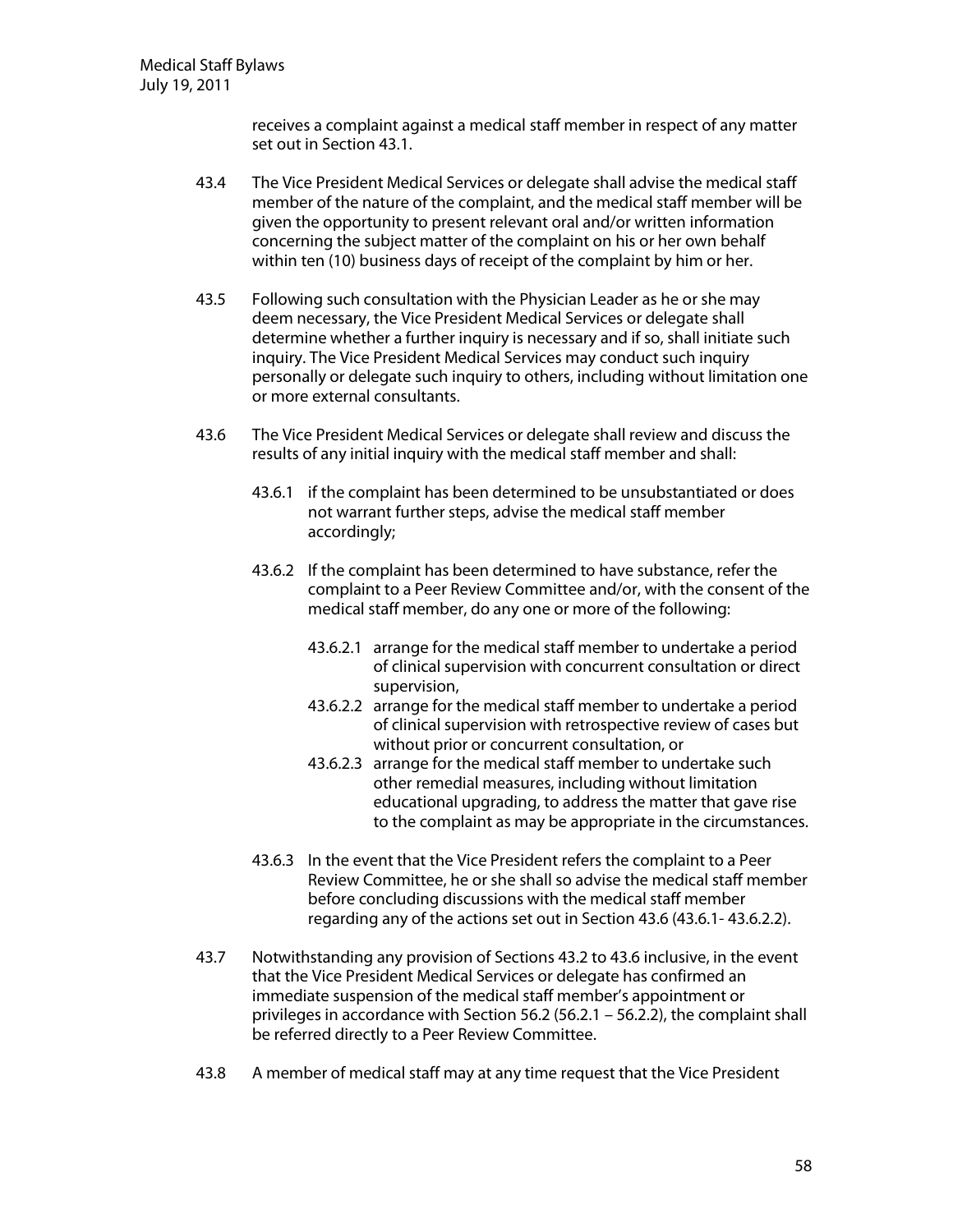receives a complaint against a medical staff member in respect of any matter set out in Section 43.1.

- 43.4 The Vice President Medical Services or delegate shall advise the medical staff member of the nature of the complaint, and the medical staff member will be given the opportunity to present relevant oral and/or written information concerning the subject matter of the complaint on his or her own behalf within ten (10) business days of receipt of the complaint by him or her.
- 43.5 Following such consultation with the Physician Leader as he or she may deem necessary, the Vice President Medical Services or delegate shall determine whether a further inquiry is necessary and if so, shall initiate such inquiry. The Vice President Medical Services may conduct such inquiry personally or delegate such inquiry to others, including without limitation one or more external consultants.
- 43.6 The Vice President Medical Services or delegate shall review and discuss the results of any initial inquiry with the medical staff member and shall:
	- 43.6.1 if the complaint has been determined to be unsubstantiated or does not warrant further steps, advise the medical staff member accordingly;
	- 43.6.2 If the complaint has been determined to have substance, refer the complaint to a Peer Review Committee and/or, with the consent of the medical staff member, do any one or more of the following:
		- 43.6.2.1 arrange for the medical staff member to undertake a period of clinical supervision with concurrent consultation or direct supervision,
		- 43.6.2.2 arrange for the medical staff member to undertake a period of clinical supervision with retrospective review of cases but without prior or concurrent consultation, or
		- 43.6.2.3 arrange for the medical staff member to undertake such other remedial measures, including without limitation educational upgrading, to address the matter that gave rise to the complaint as may be appropriate in the circumstances.
	- 43.6.3 In the event that the Vice President refers the complaint to a Peer Review Committee, he or she shall so advise the medical staff member before concluding discussions with the medical staff member regarding any of the actions set out in Section 43.6 (43.6.1- 43.6.2.2).
- 43.7 Notwithstanding any provision of Sections 43.2 to 43.6 inclusive, in the event that the Vice President Medical Services or delegate has confirmed an immediate suspension of the medical staff member's appointment or privileges in accordance with Section 56.2 (56.2.1 – 56.2.2), the complaint shall be referred directly to a Peer Review Committee.
- 43.8 A member of medical staff may at any time request that the Vice President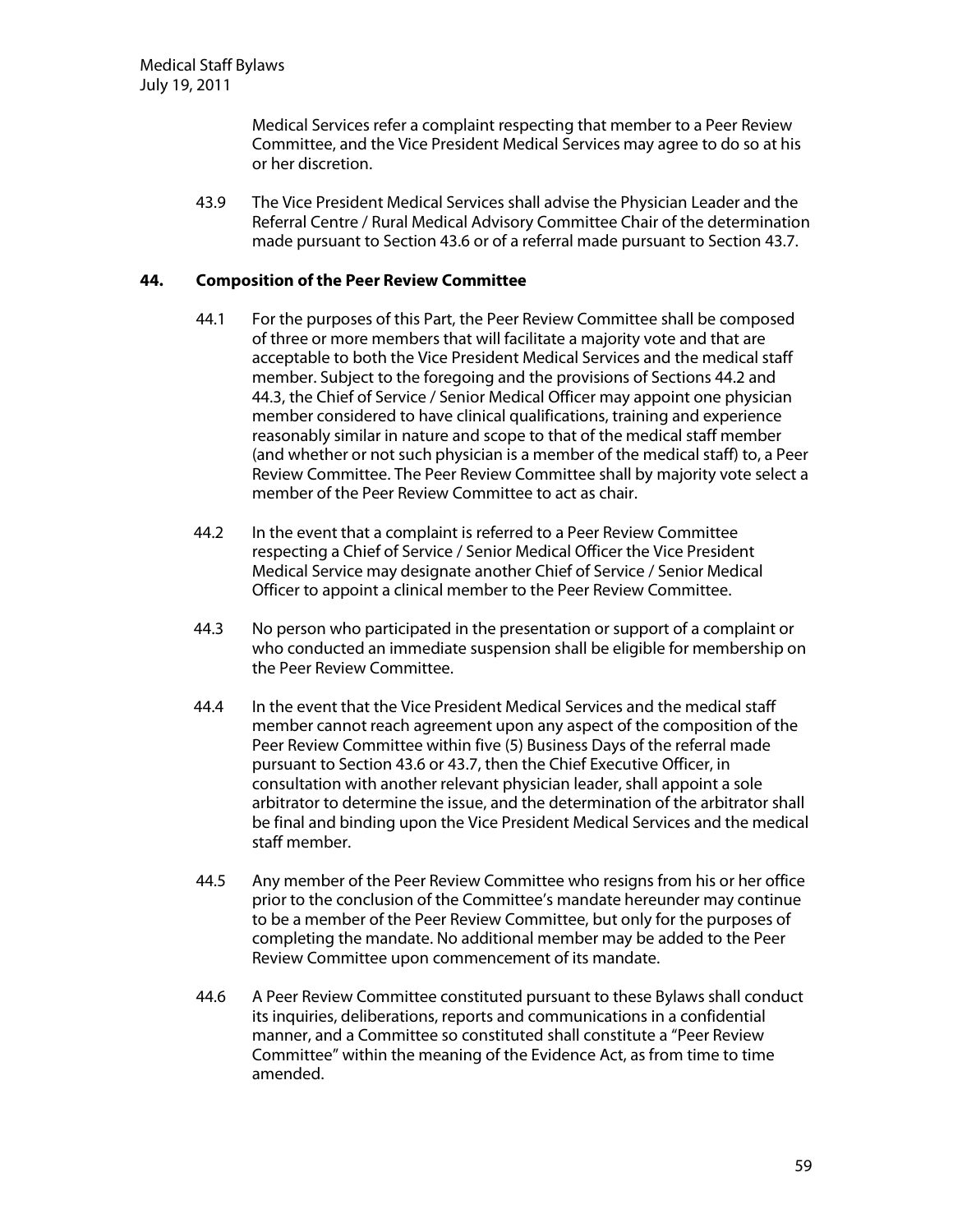Medical Services refer a complaint respecting that member to a Peer Review Committee, and the Vice President Medical Services may agree to do so at his or her discretion.

43.9 The Vice President Medical Services shall advise the Physician Leader and the Referral Centre / Rural Medical Advisory Committee Chair of the determination made pursuant to Section 43.6 or of a referral made pursuant to Section 43.7.

### **44. Com position ofthe PeerReview Com m ittee**

- 44.1 For the purposes of this Part, the Peer Review Committee shall be composed of three or more members that will facilitate a majority vote and that are acceptable to both the Vice President Medical Services and the medical staff member. Subject to the foregoing and the provisions of Sections 44.2 and 44.3, the Chief of Service / Senior Medical Officer may appoint one physician member considered to have clinical qualifications, training and experience reasonably similar in nature and scope to that of the medical staff member (and whether or not such physician is a member of the medical staff) to, a Peer Review Committee. The Peer Review Committee shall by majority vote select a member of the Peer Review Committee to act as chair.
- 44.2 In the event that a complaint is referred to a Peer Review Committee respecting a Chief of Service / Senior Medical Officer the Vice President Medical Service may designate another Chief of Service / Senior Medical Officer to appoint a clinical member to the Peer Review Committee.
- 44.3 No person who participated in the presentation or support of a complaint or who conducted an immediate suspension shall be eligible for membership on the Peer Review Committee.
- 44.4 In the event that the Vice President Medical Services and the medical staff member cannot reach agreement upon any aspect of the composition of the Peer Review Committee within five (5) Business Days of the referral made pursuant to Section 43.6 or 43.7, then the Chief Executive Officer, in consultation with another relevant physician leader, shall appoint a sole arbitrator to determine the issue, and the determination of the arbitrator shall be final and binding upon the Vice President Medical Services and the medical staff member.
- 44.5 Any member of the Peer Review Committee who resigns from his or her office prior to the conclusion of the Committee's mandate hereunder may continue to be a member of the Peer Review Committee, but only for the purposes of completing the mandate. No additional member may be added to the Peer Review Committee upon commencement of its mandate.
- 44.6 A Peer Review Committee constituted pursuant to these Bylaws shall conduct its inquiries, deliberations, reports and communications in a confidential manner, and a Committee so constituted shall constitute a "Peer Review Committee" within the meaning of the Evidence Act, as from time to time amended.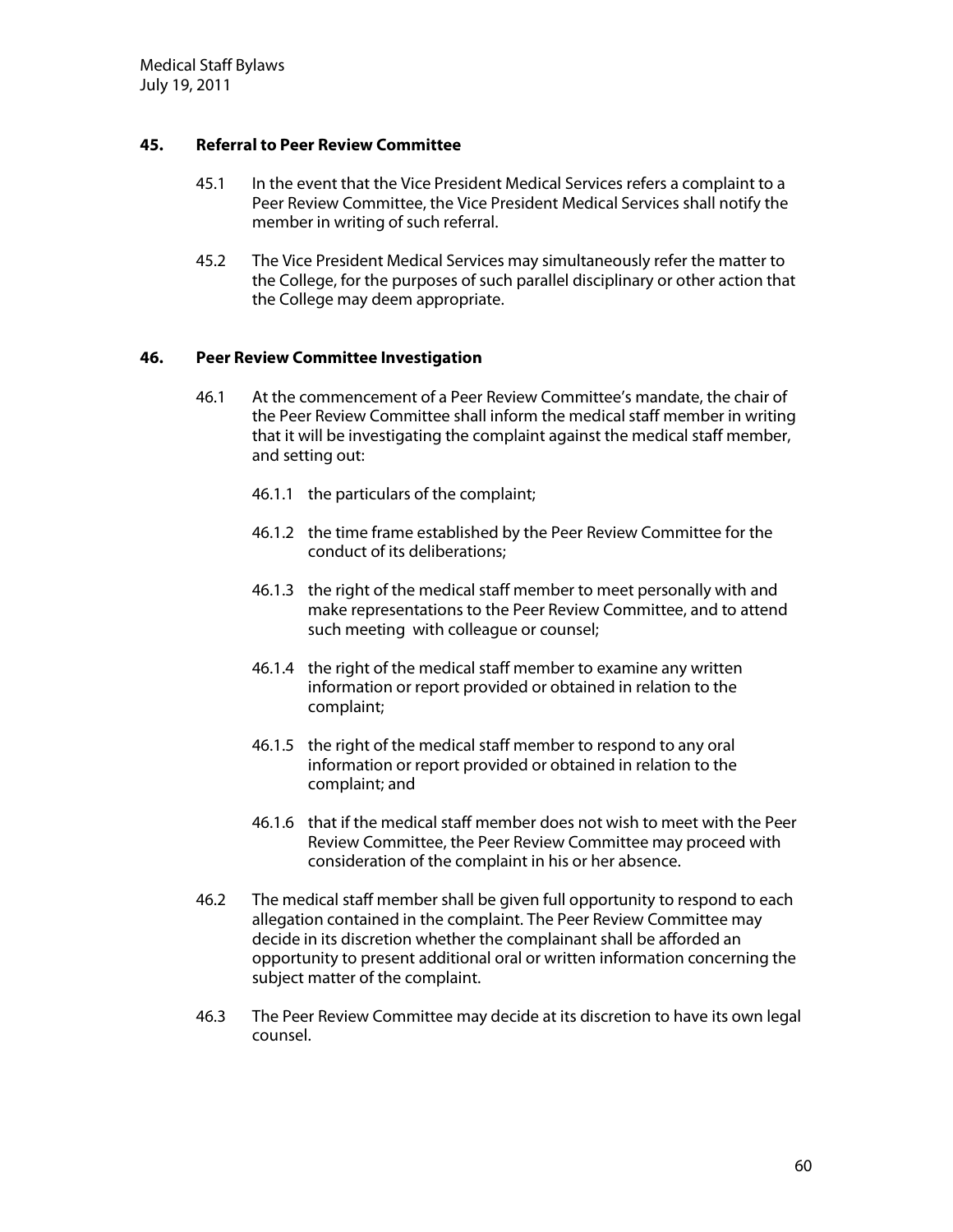# **45. Referralto PeerReview Com m ittee**

- 45.1 In the event that the Vice President Medical Services refers a complaint to a Peer Review Committee, the Vice President Medical Services shall notify the member in writing of such referral.
- 45.2 The Vice President Medical Services may simultaneously refer the matter to the College, for the purposes of such parallel disciplinary or other action that the College may deem appropriate.

## **46. PeerReview Com m ittee Investigation**

- 46.1 At the commencement of a Peer Review Committee's mandate, the chair of the Peer Review Committee shall inform the medical staff member in writing that it will be investigating the complaint against the medical staff member, and setting out:
	- 46.1.1 the particulars of the complaint;
	- 46.1.2 the time frame established by the Peer Review Committee for the conduct of its deliberations;
	- 46.1.3 the right of the medical staff member to meet personally with and make representations to the Peer Review Committee, and to attend such meeting with colleague or counsel;
	- 46.1.4 the right of the medical staff member to examine any written information or report provided or obtained in relation to the complaint;
	- 46.1.5 the right of the medical staff member to respond to any oral information or report provided or obtained in relation to the complaint; and
	- 46.1.6 that if the medical staff member does not wish to meet with the Peer Review Committee, the Peer Review Committee may proceed with consideration of the complaint in his or her absence.
- 46.2 The medical staff member shall be given full opportunity to respond to each allegation contained in the complaint. The Peer Review Committee may decide in its discretion whether the complainant shall be afforded an opportunity to present additional oral or written information concerning the subject matter of the complaint.
- 46.3 The Peer Review Committee may decide at its discretion to have its own legal counsel.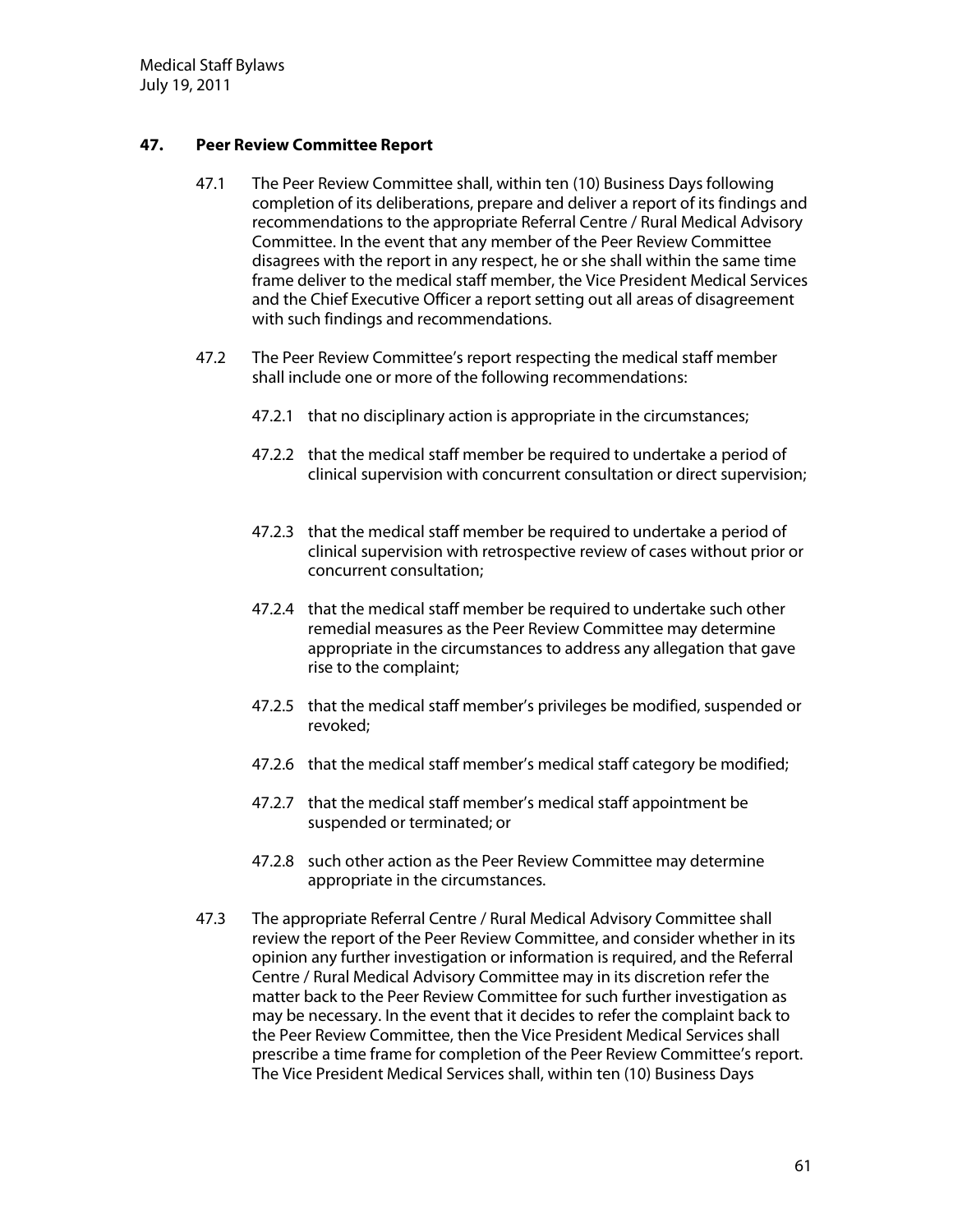Medical Staff Bylaws July 19, 2011

# **47. PeerReview Com m ittee Report**

- 47.1 The Peer Review Committee shall, within ten (10) Business Days following completion of its deliberations, prepare and deliver a report of its findings and recommendations to the appropriate Referral Centre / Rural Medical Advisory Committee. In the event that any member of the Peer Review Committee disagrees with the report in any respect, he or she shall within the same time frame deliver to the medical staff member, the Vice President Medical Services and the Chief Executive Officer a report setting out all areas of disagreement with such findings and recommendations.
- 47.2 The Peer Review Committee's report respecting the medical staff member shall include one or more of the following recommendations:
	- 47.2.1 that no disciplinary action is appropriate in the circumstances;
	- 47.2.2 that the medical staff member be required to undertake a period of clinical supervision with concurrent consultation or direct supervision;
	- 47.2.3 that the medical staff member be required to undertake a period of clinical supervision with retrospective review of cases without prior or concurrent consultation;
	- 47.2.4 that the medical staff member be required to undertake such other remedial measures as the Peer Review Committee may determine appropriate in the circumstances to address any allegation that gave rise to the complaint;
	- 47.2.5 that the medical staff member's privileges be modified, suspended or revoked;
	- 47.2.6 that the medical staff member's medical staff category be modified;
	- 47.2.7 that the medical staff member's medical staff appointment be suspended or terminated; or
	- 47.2.8 such other action as the Peer Review Committee may determine appropriate in the circumstances.
- 47.3 The appropriate Referral Centre / Rural Medical Advisory Committee shall review the report of the Peer Review Committee, and consider whether in its opinion any further investigation or information is required, and the Referral Centre / Rural Medical Advisory Committee may in its discretion refer the matter back to the Peer Review Committee for such further investigation as may be necessary. In the event that it decides to refer the complaint back to the Peer Review Committee, then the Vice President Medical Services shall prescribe a time frame for completion of the Peer Review Committee's report. The Vice President Medical Services shall, within ten (10) Business Days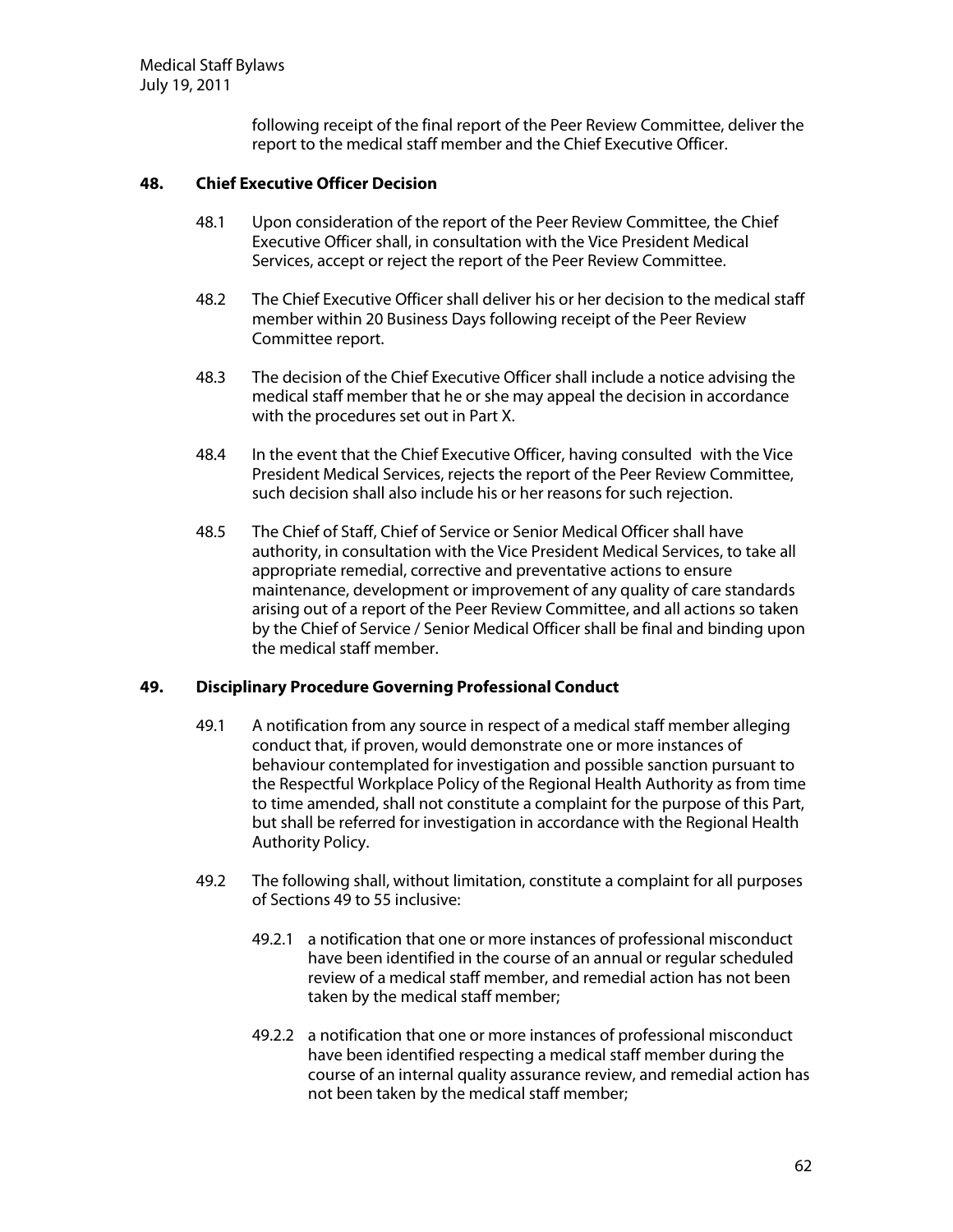following receipt of the final report of the Peer Review Committee, deliver the report to the medical staff member and the Chief Executive Officer.

## **48. ChiefExecutive O fficerD ecision**

- 48.1 Upon consideration of the report of the Peer Review Committee, the Chief Executive Officer shall, in consultation with the Vice President Medical Services, accept or reject the report of the Peer Review Committee.
- 48.2 The Chief Executive Officer shall deliver his or her decision to the medical staff member within 20 Business Days following receipt of the Peer Review Committee report.
- 48.3 The decision of the Chief Executive Officer shall include a notice advising the medical staff member that he or she may appeal the decision in accordance with the procedures set out in Part X.
- 48.4 In the event that the Chief Executive Officer, having consulted with the Vice President Medical Services, rejects the report of the Peer Review Committee, such decision shall also include his or her reasons for such rejection.
- 48.5 The Chief of Staff, Chief of Service or Senior Medical Officer shall have authority, in consultation with the Vice President Medical Services, to take all appropriate remedial, corrective and preventative actions to ensure maintenance, development or improvement of any quality of care standards arising out of a report of the Peer Review Committee, and all actions so taken by the Chief of Service / Senior Medical Officer shall be final and binding upon the medical staff member.

### **49. D isciplinary Procedure G overning ProfessionalConduct**

- 49.1 A notification from any source in respect of a medical staff member alleging conduct that, if proven, would demonstrate one or more instances of behaviour contemplated for investigation and possible sanction pursuant to the Respectful Workplace Policy of the Regional Health Authority as from time to time amended, shall not constitute a complaint for the purpose of this Part, but shall be referred for investigation in accordance with the Regional Health Authority Policy.
- 49.2 The following shall, without limitation, constitute a complaint for all purposes of Sections 49 to 55 inclusive:
	- 49.2.1 a notification that one or more instances of professional misconduct have been identified in the course of an annual or regular scheduled review of a medical staff member, and remedial action has not been taken by the medical staff member;
	- 49.2.2 a notification that one or more instances of professional misconduct have been identified respecting a medical staff member during the course of an internal quality assurance review, and remedial action has not been taken by the medical staff member;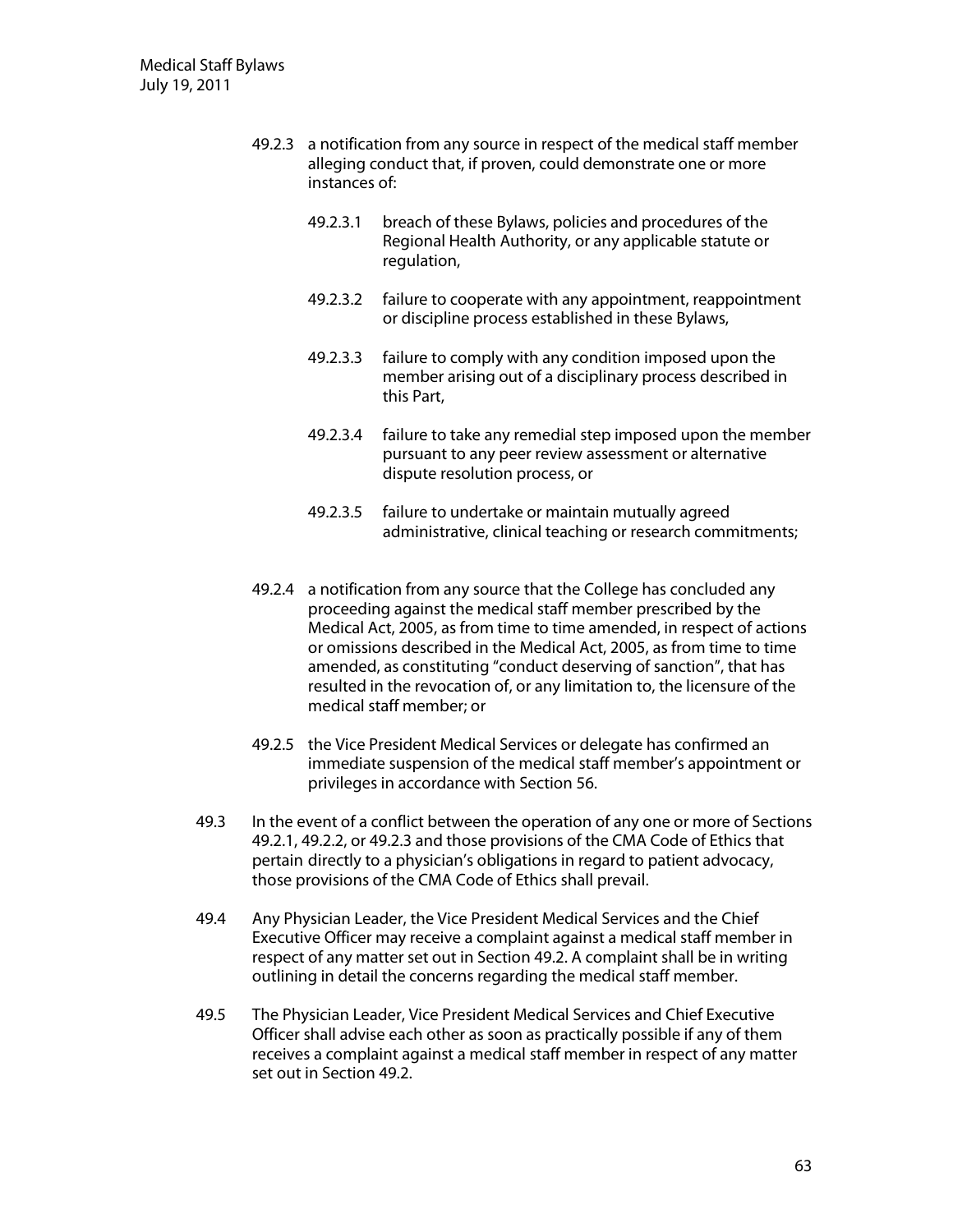- 49.2.3 a notification from any source in respect of the medical staff member alleging conduct that, if proven, could demonstrate one or more instances of:
	- 49.2.3.1 breach of these Bylaws, policies and procedures of the Regional Health Authority, or any applicable statute or regulation,
	- 49.2.3.2 failure to cooperate with any appointment, reappointment or discipline process established in these Bylaws,
	- 49.2.3.3 failure to comply with any condition imposed upon the member arising out of a disciplinary process described in this Part,
	- 49.2.3.4 failure to take any remedial step imposed upon the member pursuant to any peer review assessment or alternative dispute resolution process, or
	- 49.2.3.5 failure to undertake or maintain mutually agreed administrative, clinical teaching or research commitments;
- 49.2.4 a notification from any source that the College has concluded any proceeding against the medical staff member prescribed by the Medical Act, 2005, as from time to time amended, in respect of actions or omissions described in the Medical Act, 2005, as from time to time amended, as constituting "conduct deserving of sanction", that has resulted in the revocation of, or any limitation to, the licensure of the medical staff member; or
- 49.2.5 the Vice President Medical Services or delegate has confirmed an immediate suspension of the medical staff member's appointment or privileges in accordance with Section 56.
- 49.3 In the event of a conflict between the operation of any one or more of Sections 49.2.1, 49.2.2, or 49.2.3 and those provisions of the CMA Code of Ethics that pertain directly to a physician's obligations in regard to patient advocacy, those provisions of the CMA Code of Ethics shall prevail.
- 49.4 Any Physician Leader, the Vice President Medical Services and the Chief Executive Officer may receive a complaint against a medical staff member in respect of any matter set out in Section 49.2. A complaint shall be in writing outlining in detail the concerns regarding the medical staff member.
- 49.5 The Physician Leader, Vice President Medical Services and Chief Executive Officer shall advise each other as soon as practically possible if any of them receives a complaint against a medical staff member in respect of any matter set out in Section 49.2.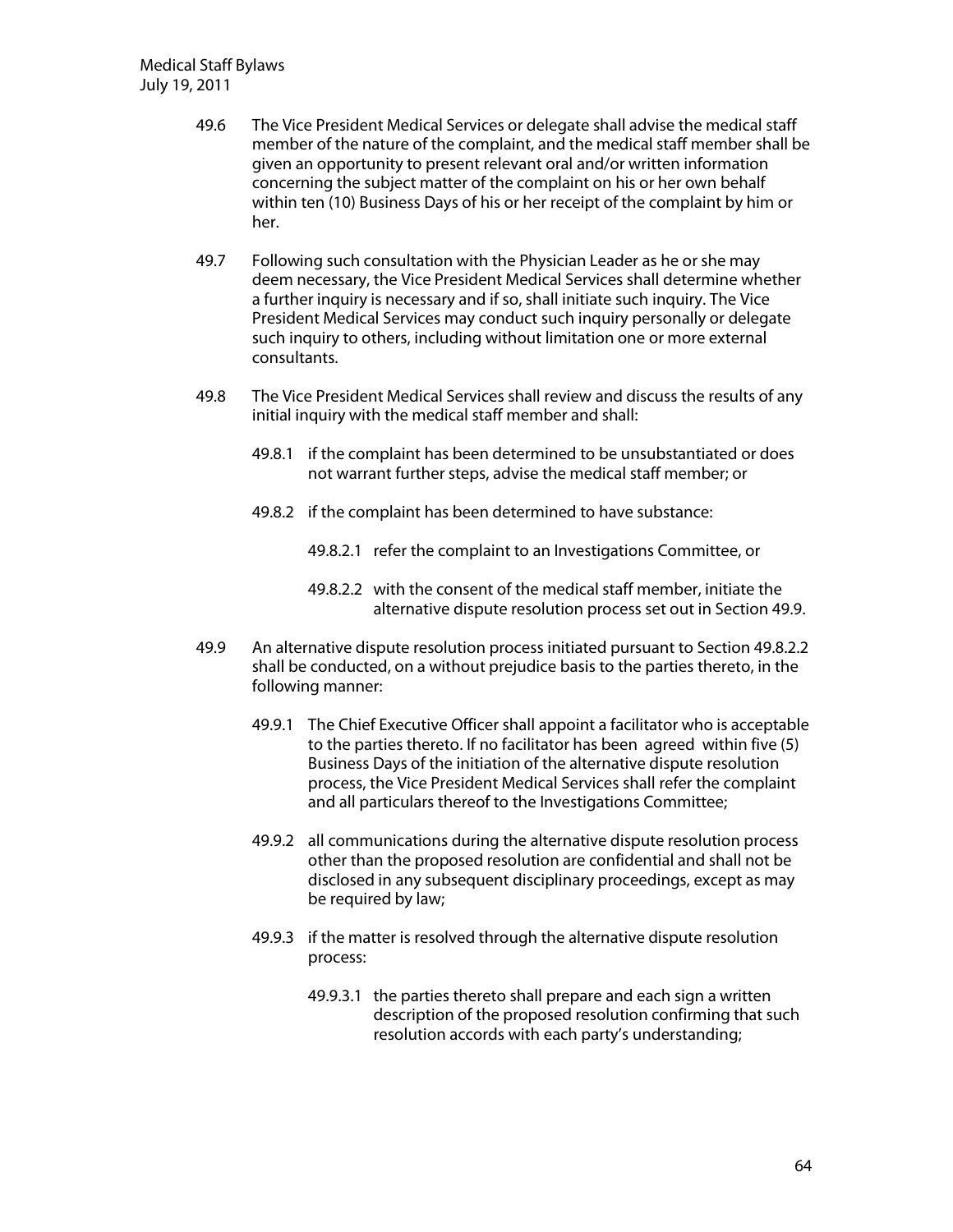- 49.6 The Vice President Medical Services or delegate shall advise the medical staff member of the nature of the complaint, and the medical staff member shall be given an opportunity to present relevant oral and/or written information concerning the subject matter of the complaint on his or her own behalf within ten (10) Business Days of his or her receipt of the complaint by him or her.
- 49.7 Following such consultation with the Physician Leader as he or she may deem necessary, the Vice President Medical Services shall determine whether a further inquiry is necessary and if so, shall initiate such inquiry. The Vice President Medical Services may conduct such inquiry personally or delegate such inquiry to others, including without limitation one or more external consultants.
- 49.8 The Vice President Medical Services shall review and discuss the results of any initial inquiry with the medical staff member and shall:
	- 49.8.1 if the complaint has been determined to be unsubstantiated or does not warrant further steps, advise the medical staff member; or
	- 49.8.2 if the complaint has been determined to have substance:
		- 49.8.2.1 refer the complaint to an Investigations Committee, or
		- 49.8.2.2 with the consent of the medical staff member, initiate the alternative dispute resolution process set out in Section 49.9.
- 49.9 An alternative dispute resolution process initiated pursuant to Section 49.8.2.2 shall be conducted, on a without prejudice basis to the parties thereto, in the following manner:
	- 49.9.1 The Chief Executive Officer shall appoint a facilitator who is acceptable to the parties thereto. If no facilitator has been agreed within five (5) Business Days of the initiation of the alternative dispute resolution process, the Vice President Medical Services shall refer the complaint and all particulars thereof to the Investigations Committee;
	- 49.9.2 all communications during the alternative dispute resolution process other than the proposed resolution are confidential and shall not be disclosed in any subsequent disciplinary proceedings, except as may be required by law;
	- 49.9.3 if the matter is resolved through the alternative dispute resolution process:
		- 49.9.3.1 the parties thereto shall prepare and each sign a written description of the proposed resolution confirming that such resolution accords with each party's understanding;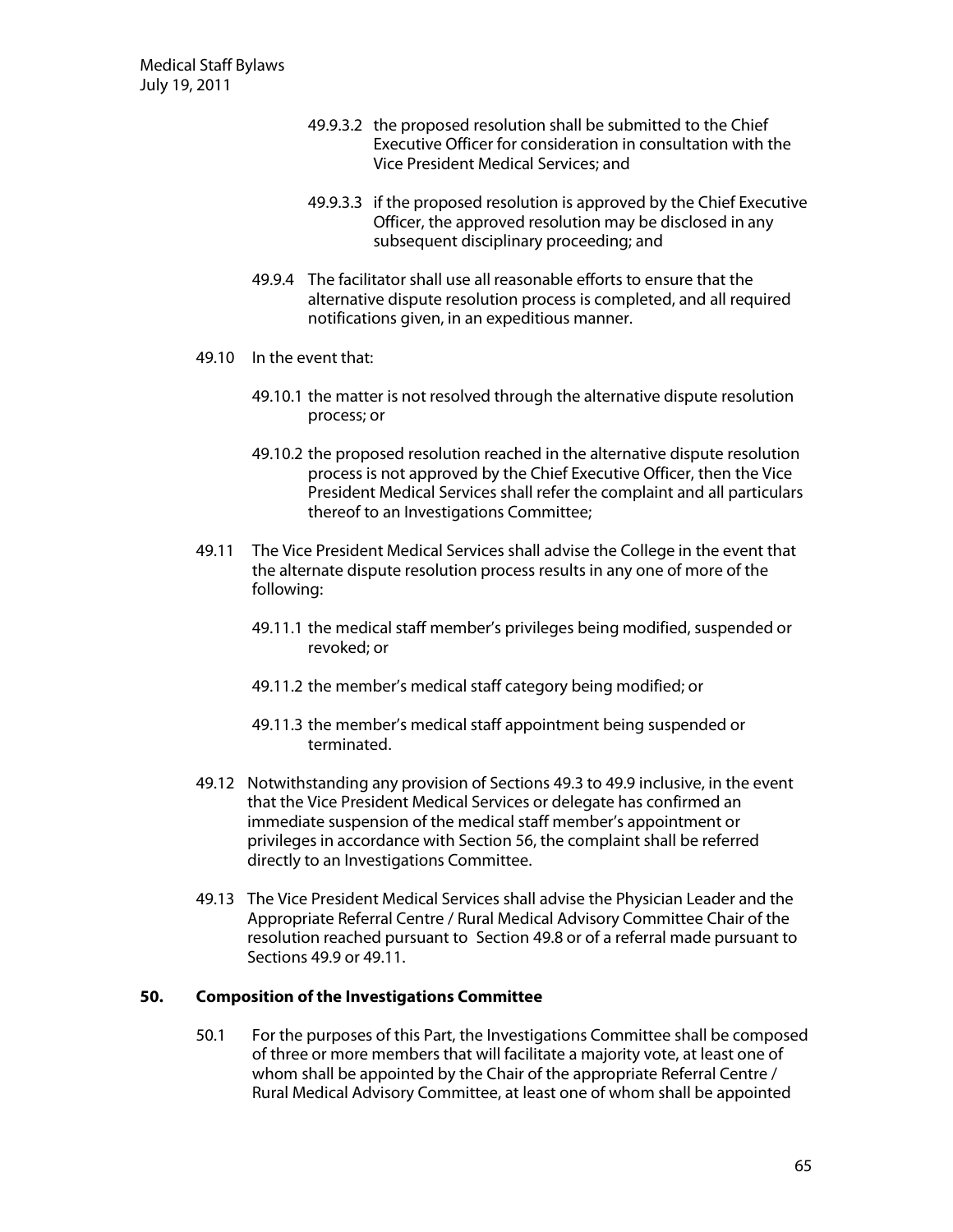- 49.9.3.2 the proposed resolution shall be submitted to the Chief Executive Officer for consideration in consultation with the Vice President Medical Services; and
- 49.9.3.3 if the proposed resolution is approved by the Chief Executive Officer, the approved resolution may be disclosed in any subsequent disciplinary proceeding; and
- 49.9.4 The facilitator shall use all reasonable efforts to ensure that the alternative dispute resolution process is completed, and all required notifications given, in an expeditious manner.
- 49.10 In the event that:
	- 49.10.1 the matter is not resolved through the alternative dispute resolution process; or
	- 49.10.2 the proposed resolution reached in the alternative dispute resolution process is not approved by the Chief Executive Officer, then the Vice President Medical Services shall refer the complaint and all particulars thereof to an Investigations Committee;
- 49.11 The Vice President Medical Services shall advise the College in the event that the alternate dispute resolution process results in any one of more of the following:
	- 49.11.1 the medical staff member's privileges being modified, suspended or revoked; or
	- 49.11.2 the member's medical staff category being modified; or
	- 49.11.3 the member's medical staff appointment being suspended or terminated.
- 49.12 Notwithstanding any provision of Sections 49.3 to 49.9 inclusive, in the event that the Vice President Medical Services or delegate has confirmed an immediate suspension of the medical staff member's appointment or privileges in accordance with Section 56, the complaint shall be referred directly to an Investigations Committee.
- 49.13 The Vice President Medical Services shall advise the Physician Leader and the Appropriate Referral Centre / Rural Medical Advisory Committee Chair of the resolution reached pursuant to Section 49.8 or of a referral made pursuant to Sections 49.9 or 49.11.

### **50. Com position ofthe Investigations Com m ittee**

50.1 For the purposes of this Part, the Investigations Committee shall be composed of three or more members that will facilitate a majority vote, at least one of whom shall be appointed by the Chair of the appropriate Referral Centre / Rural Medical Advisory Committee, at least one of whom shall be appointed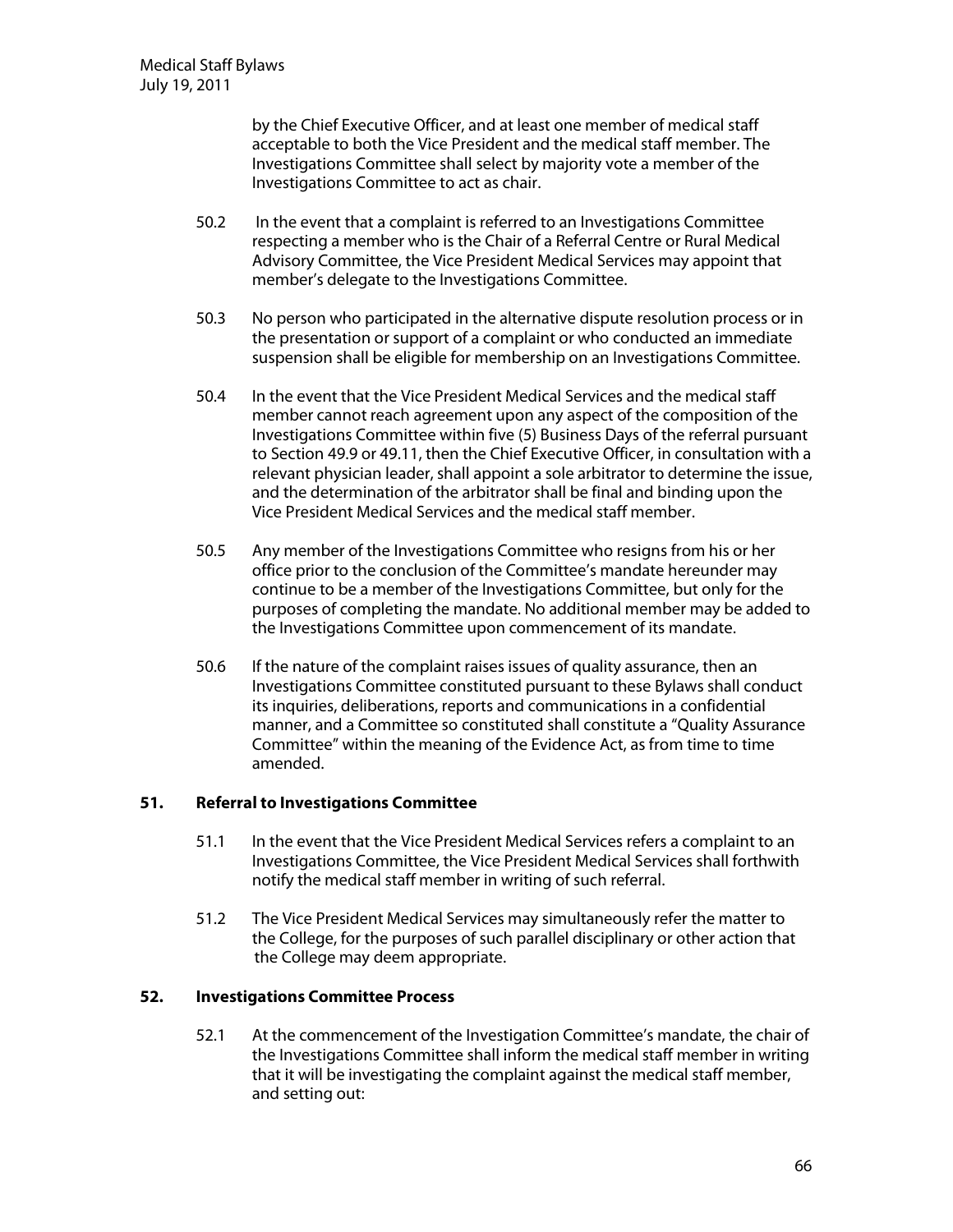by the Chief Executive Officer, and at least one member of medical staff acceptable to both the Vice President and the medical staff member. The Investigations Committee shall select by majority vote a member of the Investigations Committee to act as chair.

- 50.2 In the event that a complaint is referred to an Investigations Committee respecting a member who is the Chair of a Referral Centre or Rural Medical Advisory Committee, the Vice President Medical Services may appoint that member's delegate to the Investigations Committee.
- 50.3 No person who participated in the alternative dispute resolution process or in the presentation or support of a complaint or who conducted an immediate suspension shall be eligible for membership on an Investigations Committee.
- 50.4 In the event that the Vice President Medical Services and the medical staff member cannot reach agreement upon any aspect of the composition of the Investigations Committee within five (5) Business Days of the referral pursuant to Section 49.9 or 49.11, then the Chief Executive Officer, in consultation with a relevant physician leader, shall appoint a sole arbitrator to determine the issue, and the determination of the arbitrator shall be final and binding upon the Vice President Medical Services and the medical staff member.
- 50.5 Any member of the Investigations Committee who resigns from his or her office prior to the conclusion of the Committee's mandate hereunder may continue to be a member of the Investigations Committee, but only for the purposes of completing the mandate. No additional member may be added to the Investigations Committee upon commencement of its mandate.
- 50.6 If the nature of the complaint raises issues of quality assurance, then an Investigations Committee constituted pursuant to these Bylaws shall conduct its inquiries, deliberations, reports and communications in a confidential manner, and a Committee so constituted shall constitute a "Quality Assurance" Committee" within the meaning of the Evidence Act, as from time to time amended.

### **51. Referralto Investigations Com m ittee**

- 51.1 In the event that the Vice President Medical Services refers a complaint to an Investigations Committee, the Vice President Medical Services shall forthwith notify the medical staff member in writing of such referral.
- 51.2 The Vice President Medical Services may simultaneously refer the matter to the College, for the purposes of such parallel disciplinary or other action that the College may deem appropriate.

### **52. Investigations Com m ittee Process**

52.1 At the commencement of the Investigation Committee's mandate, the chair of the Investigations Committee shall inform the medical staff member in writing that it will be investigating the complaint against the medical staff member, and setting out: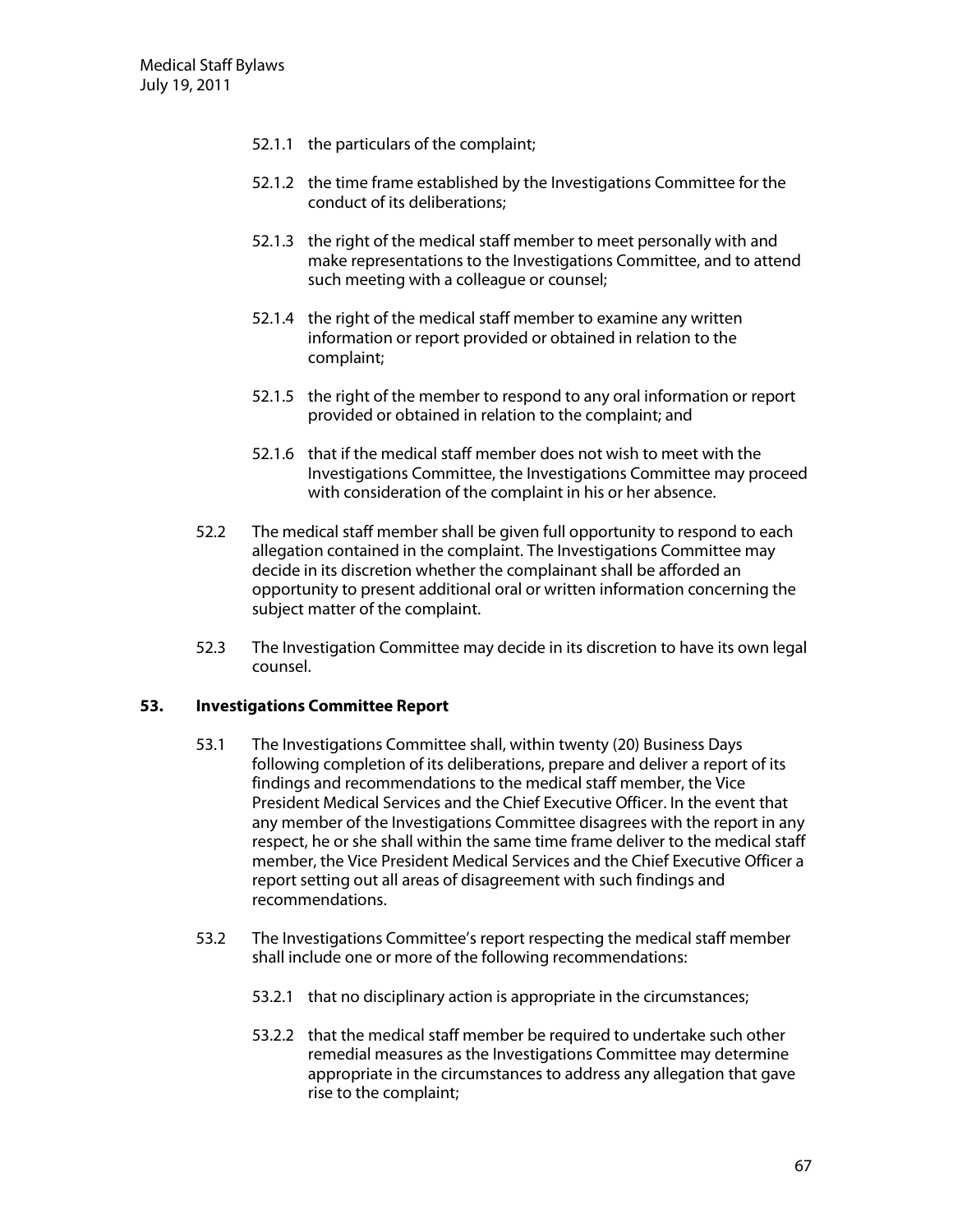- 52.1.1 the particulars of the complaint;
- 52.1.2 the time frame established by the Investigations Committee for the conduct of its deliberations;
- 52.1.3 the right of the medical staff member to meet personally with and make representations to the Investigations Committee, and to attend such meeting with a colleague or counsel;
- 52.1.4 the right of the medical staff member to examine any written information or report provided or obtained in relation to the complaint;
- 52.1.5 the right of the member to respond to any oral information or report provided or obtained in relation to the complaint; and
- 52.1.6 that if the medical staff member does not wish to meet with the Investigations Committee, the Investigations Committee may proceed with consideration of the complaint in his or her absence.
- 52.2 The medical staff member shall be given full opportunity to respond to each allegation contained in the complaint. The Investigations Committee may decide in its discretion whether the complainant shall be afforded an opportunity to present additional oral or written information concerning the subject matter of the complaint.
- 52.3 The Investigation Committee may decide in its discretion to have its own legal counsel.

### **53. Investigations Com m ittee Report**

- 53.1 The Investigations Committee shall, within twenty (20) Business Days following completion of its deliberations, prepare and deliver a report of its findings and recommendations to the medical staff member, the Vice President Medical Services and the Chief Executive Officer. In the event that any member of the Investigations Committee disagrees with the report in any respect, he or she shall within the same time frame deliver to the medical staff member, the Vice President Medical Services and the Chief Executive Officer a report setting out all areas of disagreement with such findings and recommendations.
- 53.2 The Investigations Committee's report respecting the medical staff member shall include one or more of the following recommendations:
	- 53.2.1 that no disciplinary action is appropriate in the circumstances;
	- 53.2.2 that the medical staff member be required to undertake such other remedial measures as the Investigations Committee may determine appropriate in the circumstances to address any allegation that gave rise to the complaint;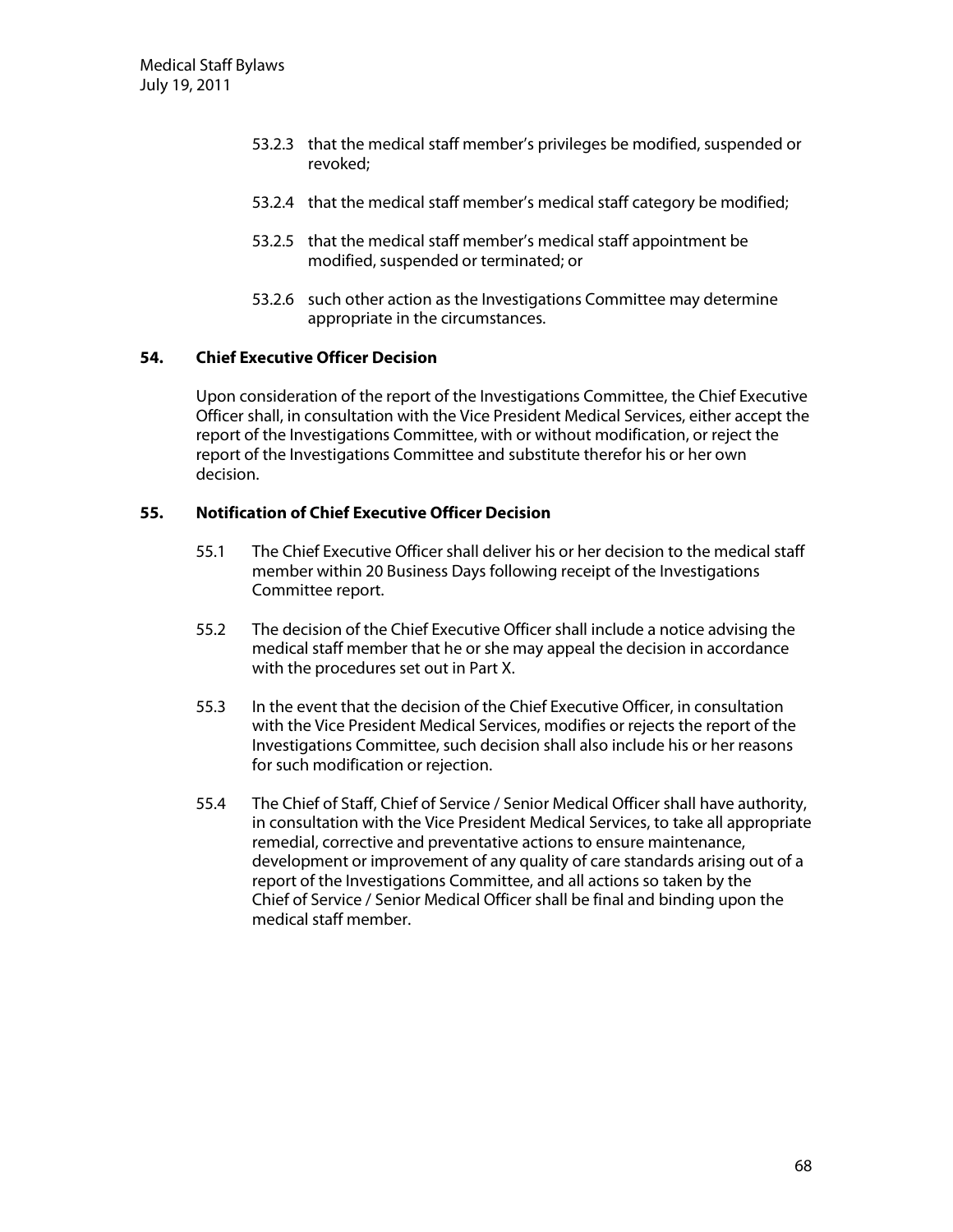- 53.2.3 that the medical staff member's privileges be modified, suspended or revoked;
- 53.2.4 that the medical staff member's medical staff category be modified;
- 53.2.5 that the medical staff member's medical staff appointment be modified, suspended or terminated; or
- 53.2.6 such other action as the Investigations Committee may determine appropriate in the circumstances.

### **54. ChiefExecutive O fficerD ecision**

U pon consideration of the report of the Investigations Committee, the Chief Executive Officer shall, in consultation with the Vice President Medical Services, either accept the report of the Investigations Committee, with or without modification, or reject the report of the Investigations Committee and substitute therefor his or her own decision.

# **55. N otification ofChiefExecutive O fficerD ecision**

- 55.1 The Chief Executive Officer shall deliver his or her decision to the medical staff member within 20 Business Days following receipt of the Investigations Committee report.
- 55.2 The decision of the Chief Executive Officer shall include a notice advising the medical staff member that he or she may appeal the decision in accordance with the procedures set out in Part X.
- 55.3 In the event that the decision of the Chief Executive O fficer, in consultation with the Vice President Medical Services, modifies or rejects the report of the Investigations Committee, such decision shall also include his or her reasons for such modification or rejection.
- 55.4 The Chief of Staff, Chief of Service / Senior Medical Officer shall have authority, in consultation with the Vice President Medical Services, to take all appropriate remedial, corrective and preventative actions to ensure maintenance, development or improvement of any quality of care standards arising out of a report of the Investigations Committee, and all actions so taken by the Chief of Service / Senior Medical Officer shall be final and binding upon the medical staff member.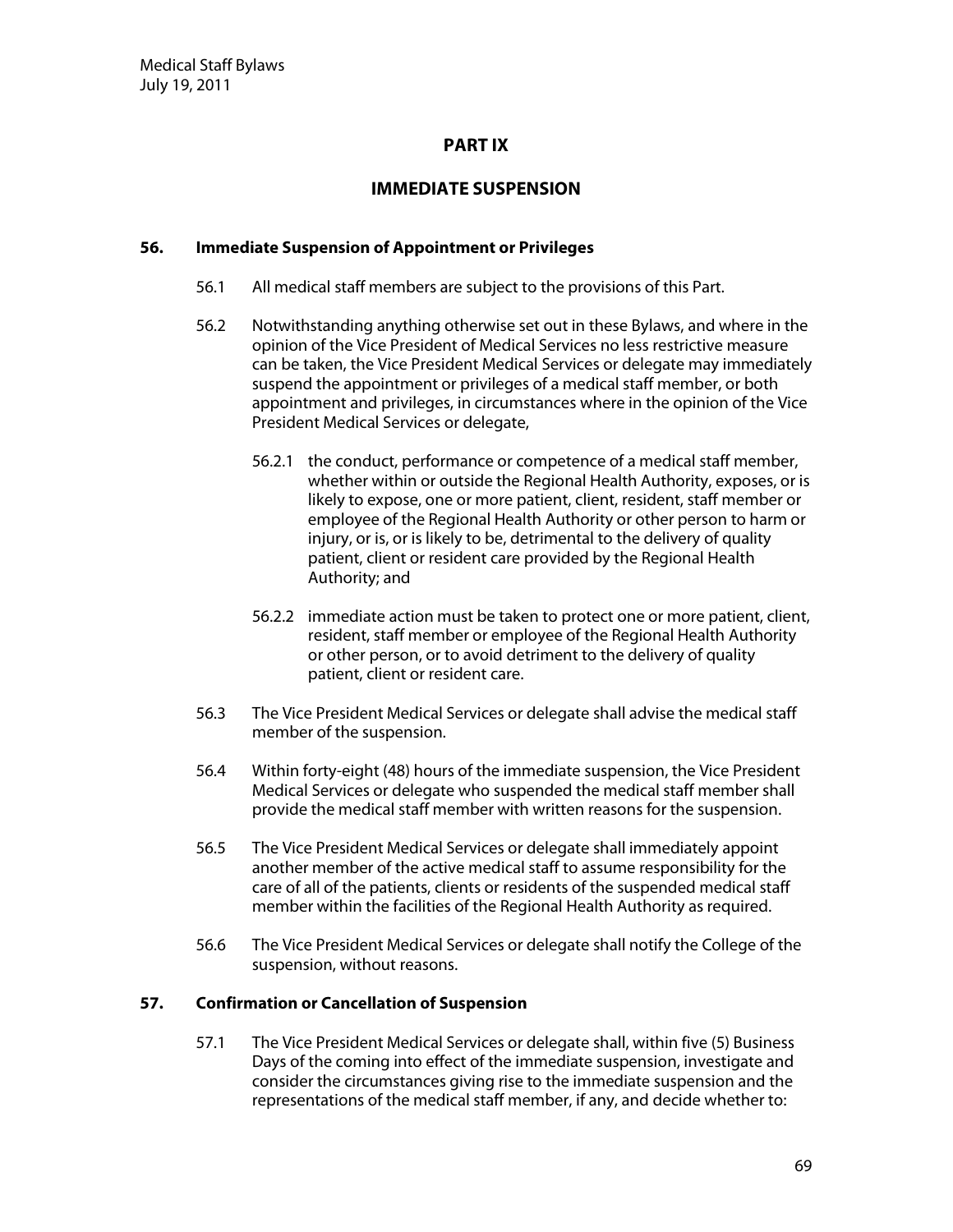# **PART IX**

# **IMMEDIATE SUSPENSION**

### **56. Im m ediate Suspension ofAppointm ent orPrivileges**

- 56.1 All medical staff members are subject to the provisions of this Part.
- 56.2 Notwithstanding anything otherwise set out in these Bylaws, and where in the opinion of the Vice President of Medical Services no less restrictive measure can be taken, the Vice President Medical Services or delegate may immediately suspend the appointment or privileges of a medical staff member, or both appointment and privileges, in circumstances where in the opinion of the Vice President Medical Services or delegate,
	- 56.2.1 the conduct, performance or competence of a medical staff member, whether within or outside the Regional Health Authority, exposes, or is likely to expose, one or more patient, client, resident, staff member or employee of the Regional Health Authority or other person to harm or injury, or is, or is likely to be, detrimental to the delivery of quality patient, client or resident care provided by the Regional Health Authority; and
	- 56.2.2 immediate action must be taken to protect one or more patient, client, resident, staff member or employee of the Regional Health Authority or other person, or to avoid detriment to the delivery of quality patient, client or resident care.
- 56.3 The Vice President Medical Services or delegate shall advise the medical staff member of the suspension.
- 56.4 W ithin forty-eight (48) hours of the immediate suspension, the Vice President Medical Services or delegate who suspended the medical staff member shall provide the medical staff member with written reasons for the suspension.
- 56.5 The Vice President Medical Services or delegate shall immediately appoint another member of the active medical staff to assume responsibility for the care of all of the patients, clients or residents of the suspended medical staff member within the facilities of the Regional Health Authority as required.
- 56.6 The Vice President Medical Services or delegate shall notify the College of the suspension, without reasons.

### **57.** Confirmation or Cancellation of Suspension

57.1 The Vice President Medical Services or delegate shall, within five (5) Business Days of the coming into effect of the immediate suspension, investigate and consider the circumstances giving rise to the immediate suspension and the representations of the medical staff member, if any, and decide whether to: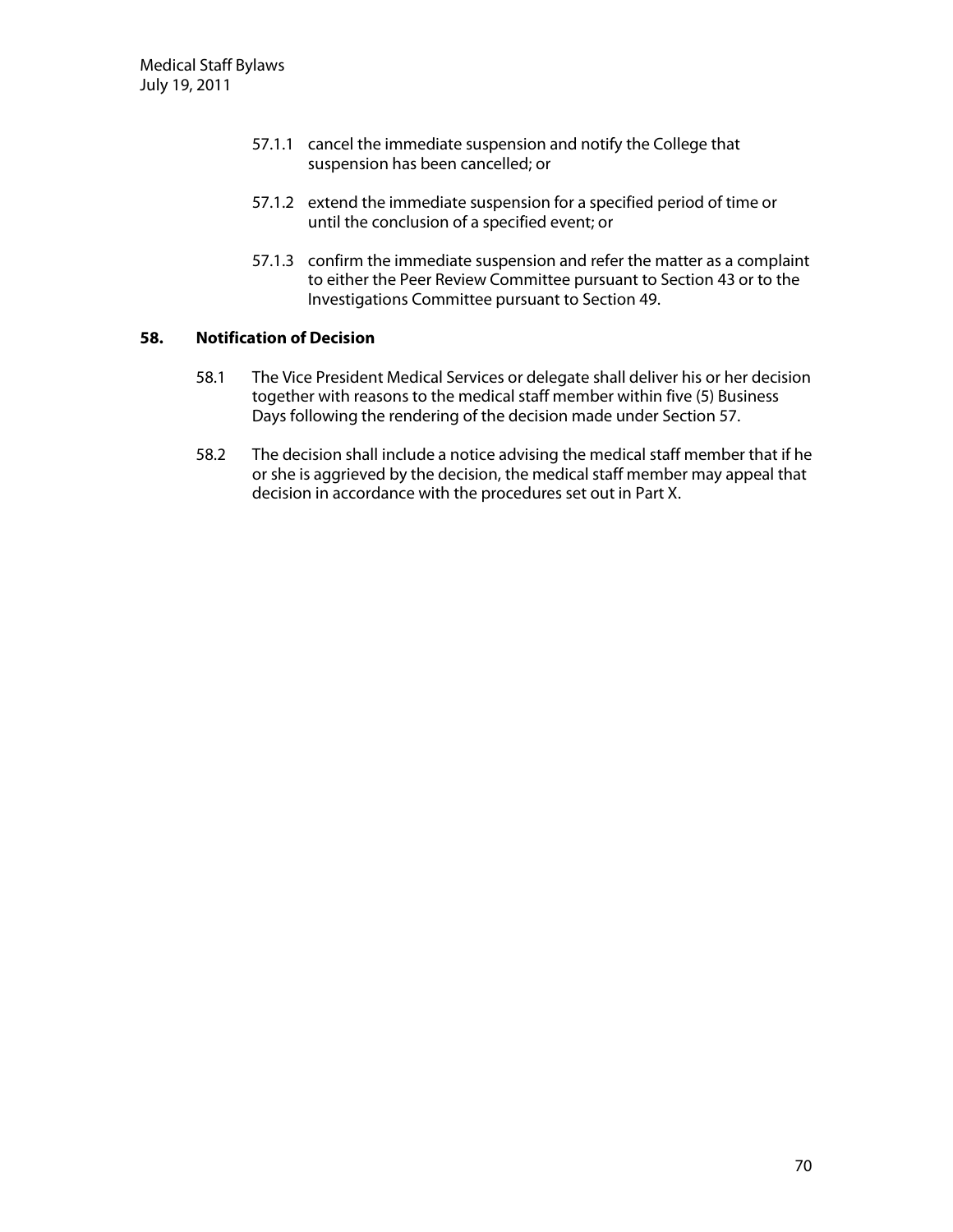- 57.1.1 cancel the immediate suspension and notify the College that suspension has been cancelled; or
- 57.1.2 extend the immediate suspension for a specified period of time or until the conclusion of a specified event; or
- 57.1.3 confirm the immediate suspension and refer the matter as a complaint to either the Peer Review Committee pursuant to Section 43 or to the Investigations Committee pursuant to Section 49.

# **58. N otification ofD ecision**

- 58.1 The Vice President Medical Services or delegate shall deliver his or her decision together with reasons to the medical staff member within five (5) Business Days following the rendering of the decision made under Section 57.
- 58.2 The decision shall include a notice advising the medical staff member that if he or she is aggrieved by the decision, the medical staff member may appeal that decision in accordance with the procedures set out in Part X.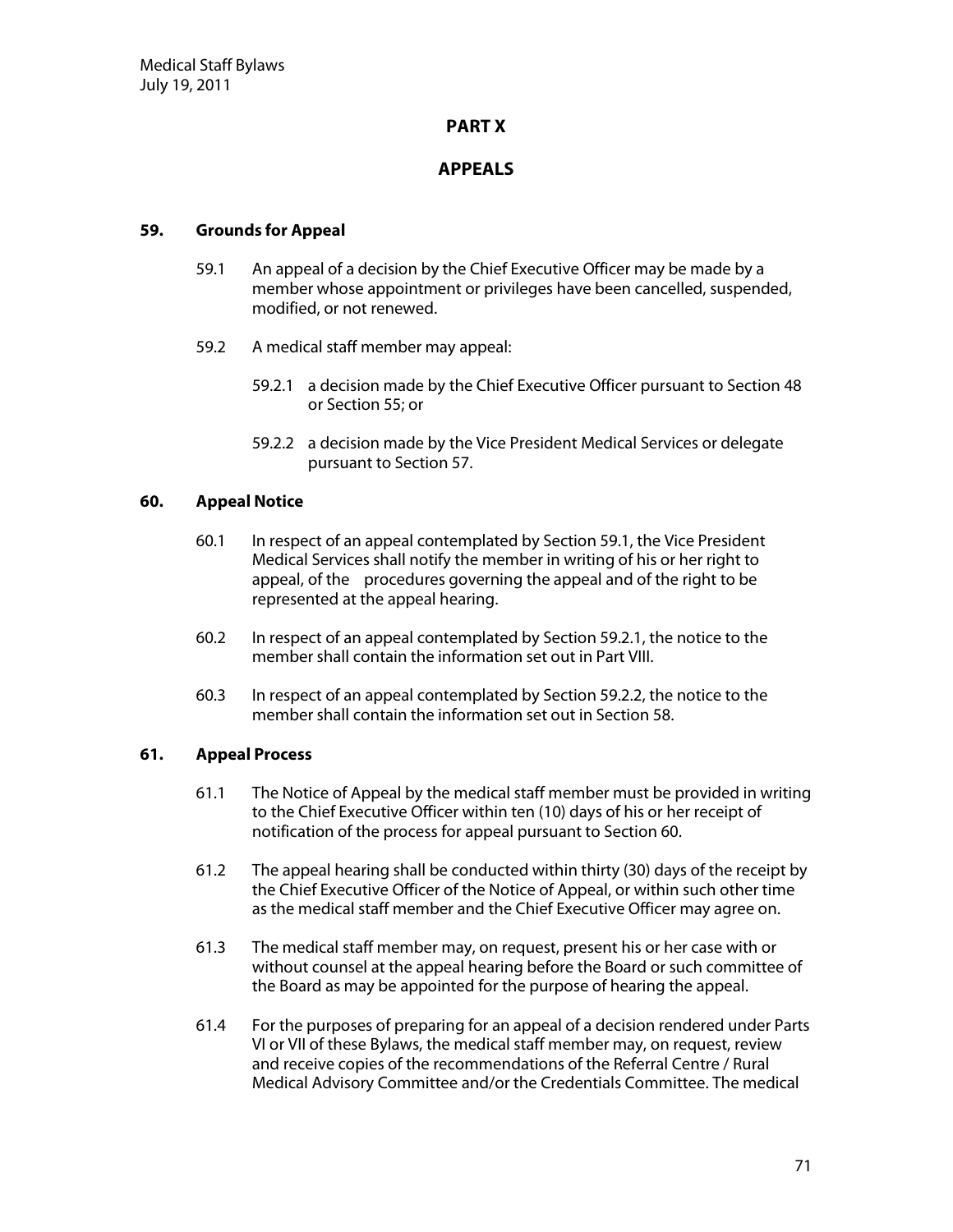# **PART X**

# **APPEALS**

### **59. G rounds forAppeal**

- 59.1 An appeal of a decision by the Chief Executive Officer may be made by a member whose appointment or privileges have been cancelled, suspended, modified, or not renewed.
- 59.2 A medical staff member may appeal:
	- 59.2.1 a decision made by the Chief Executive Officer pursuant to Section 48 or Section 55; or
	- 59.2.2 a decision made by the Vice President Medical Services or delegate pursuant to Section 57.

## **60. AppealN otice**

- 60.1 In respect of an appeal contemplated by Section 59.1, the Vice President Medical Services shall notify the member in writing of his or her right to appeal, of the procedures governing the appeal and of the right to be represented at the appeal hearing.
- 60.2 In respect of an appeal contemplated by Section 59.2.1, the notice to the member shall contain the information set out in Part VIII.
- 60.3 In respect of an appeal contemplated by Section 59.2.2, the notice to the member shall contain the information set out in Section 58.

### **61. AppealProcess**

- 61.1 The Notice of Appeal by the medical staff member must be provided in writing to the Chief Executive Officer within ten (10) days of his or her receipt of notification of the process for appeal pursuant to Section 60.
- 61.2 The appeal hearing shall be conducted within thirty (30) days of the receipt by the Chief Executive Officer of the Notice of Appeal, or within such other time as the medical staff member and the Chief Executive Officer may agree on.
- 61.3 The medical staff member may, on request, present his or her case with or without counsel at the appeal hearing before the Board or such committee of the Board as may be appointed for the purpose of hearing the appeal.
- 61.4 For the purposes of preparing for an appeal of a decision rendered under Parts VI or VII of these Bylaws, the medical staff member may, on request, review and receive copies of the recommendations of the Referral Centre / Rural Medical Advisory Committee and/or the Credentials Committee. The medical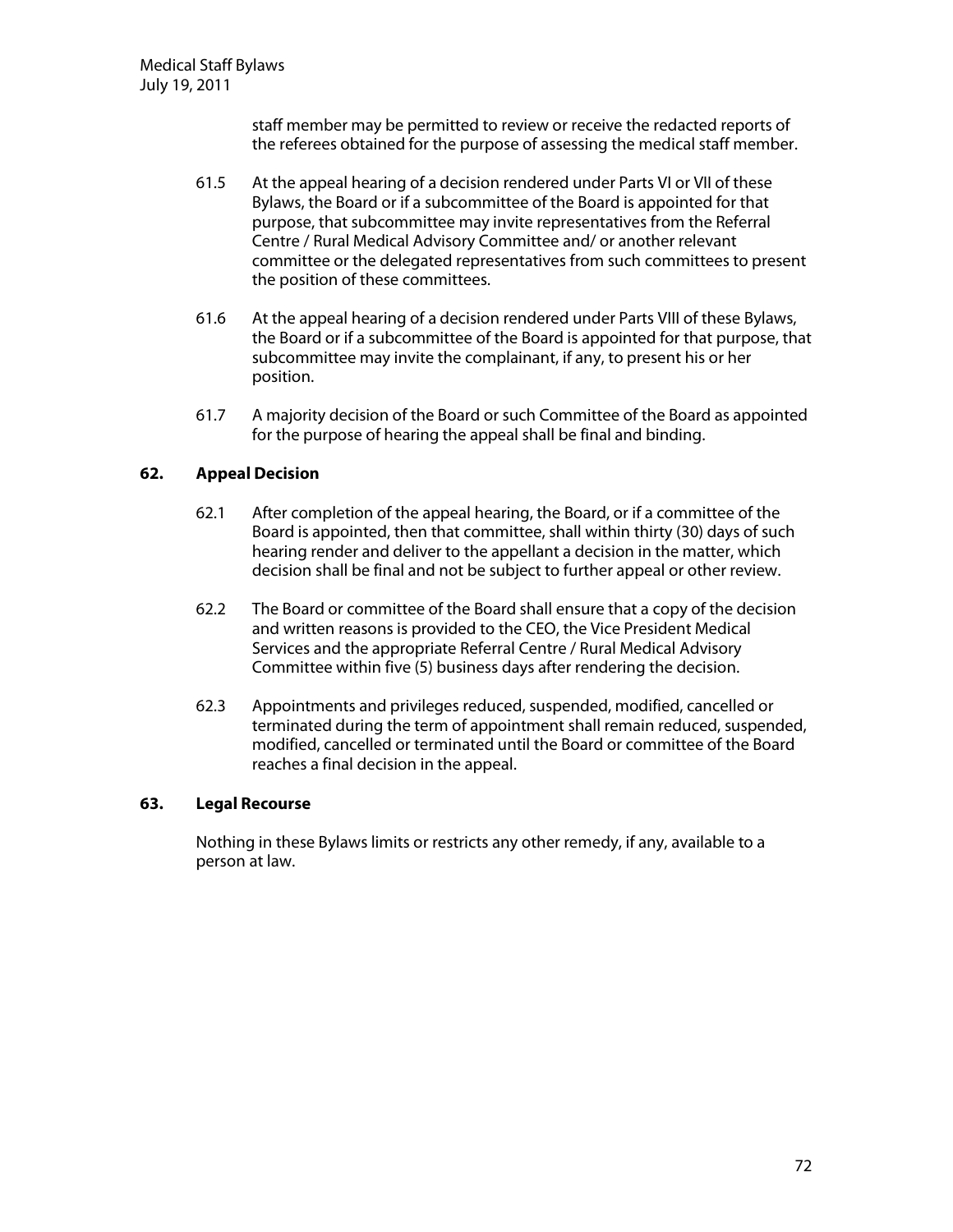staff member may be permitted to review or receive the redacted reports of the referees obtained for the purpose of assessing the medical staff member.

- 61.5 At the appeal hearing of a decision rendered under Parts VI or VII of these Bylaws, the Board or if a subcommittee of the Board is appointed for that purpose, that subcommittee may invite representatives from the Referral Centre / Rural Medical Advisory Committee and/ or another relevant committee or the delegated representatives from such committees to present the position of these committees.
- 61.6 At the appeal hearing of a decision rendered under Parts VIII of these Bylaws, the Board or if a subcommittee of the Board is appointed for that purpose, that subcommittee may invite the complainant, if any, to present his or her position.
- 61.7 A majority decision of the Board or such Committee of the Board as appointed for the purpose of hearing the appeal shall be final and binding.

## **62. AppealD ecision**

- 62.1 After completion of the appeal hearing, the Board, or if a committee of the Board is appointed, then that committee, shall within thirty (30) days of such hearing render and deliver to the appellant a decision in the matter, which decision shall be final and not be subject to further appeal or other review.
- 62.2 The Board or committee of the Board shall ensure that a copy of the decision and written reasons is provided to the CEO , the Vice President Medical Services and the appropriate Referral Centre / Rural Medical Advisory Committee within five (5) business days after rendering the decision.
- 62.3 Appointments and privileges reduced, suspended, modified, cancelled or terminated during the term of appointment shall remain reduced, suspended, modified, cancelled or terminated until the Board or committee of the Board reaches a final decision in the appeal.

### **63. LegalRecourse**

Nothing in these Bylaws limits or restricts any other remedy, if any, available to a person at law.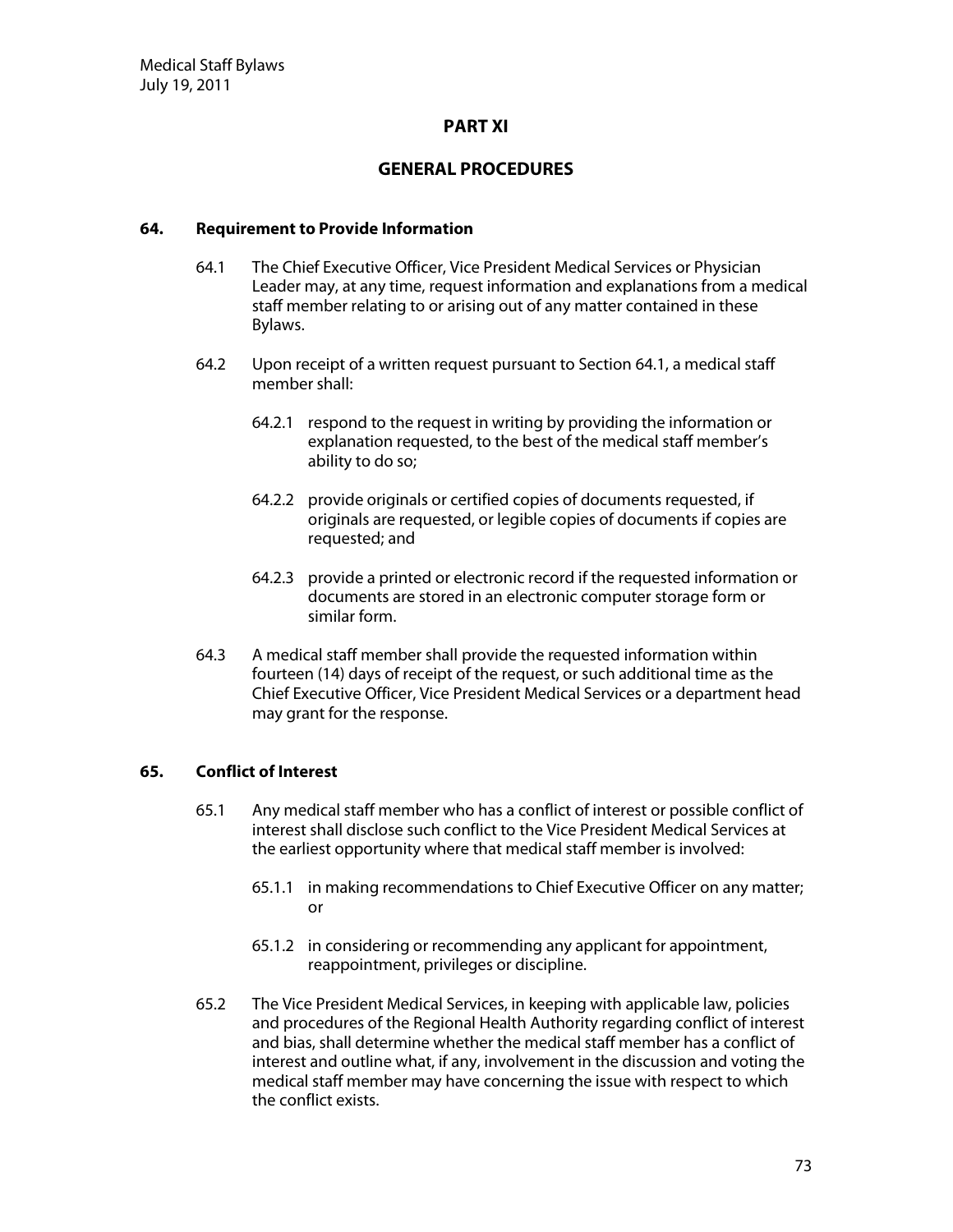#### **PART XI**

# **G EN ERAL PRO CED U RES**

#### **64.** Requirement to Provide Information

- 64.1 The Chief Executive Officer, Vice President Medical Services or Physician Leader may, at any time, request information and explanations from a medical staff member relating to or arising out of any matter contained in these Bylaws.
- 64.2 U pon receipt of a written request pursuant to Section 64.1, a medical staff member shall:
	- 64.2.1 respond to the request in writing by providing the information or explanation requested, to the best of the medical staff member's ability to do so;
	- 64.2.2 provide originals or certified copies of documents requested, if originals are requested, or legible copies of documents if copies are requested; and
	- 64.2.3 provide a printed or electronic record if the requested information or documents are stored in an electronic computer storage form or similar form.
- 64.3 A medical staff member shall provide the requested information within fourteen (14) days of receipt of the request, or such additional time as the Chief Executive Officer, Vice President Medical Services or a department head may grant for the response.

# **65.** Conflict of Interest

- 65.1 Any medical staff member who has a conflict of interest or possible conflict of interest shall disclose such conflict to the Vice President Medical Services at the earliest opportunity where that medical staff member is involved:
	- 65.1.1 in making recommendations to Chief Executive Officer on any matter; or
	- 65.1.2 in considering or recommending any applicant for appointment, reappointment, privileges or discipline.
- 65.2 The Vice President Medical Services, in keeping with applicable law, policies and procedures of the Regional Health Authority regarding conflict of interest and bias, shall determine whether the medical staff member has a conflict of interest and outline what, if any, involvement in the discussion and voting the medical staff member may have concerning the issue with respect to which the conflict exists.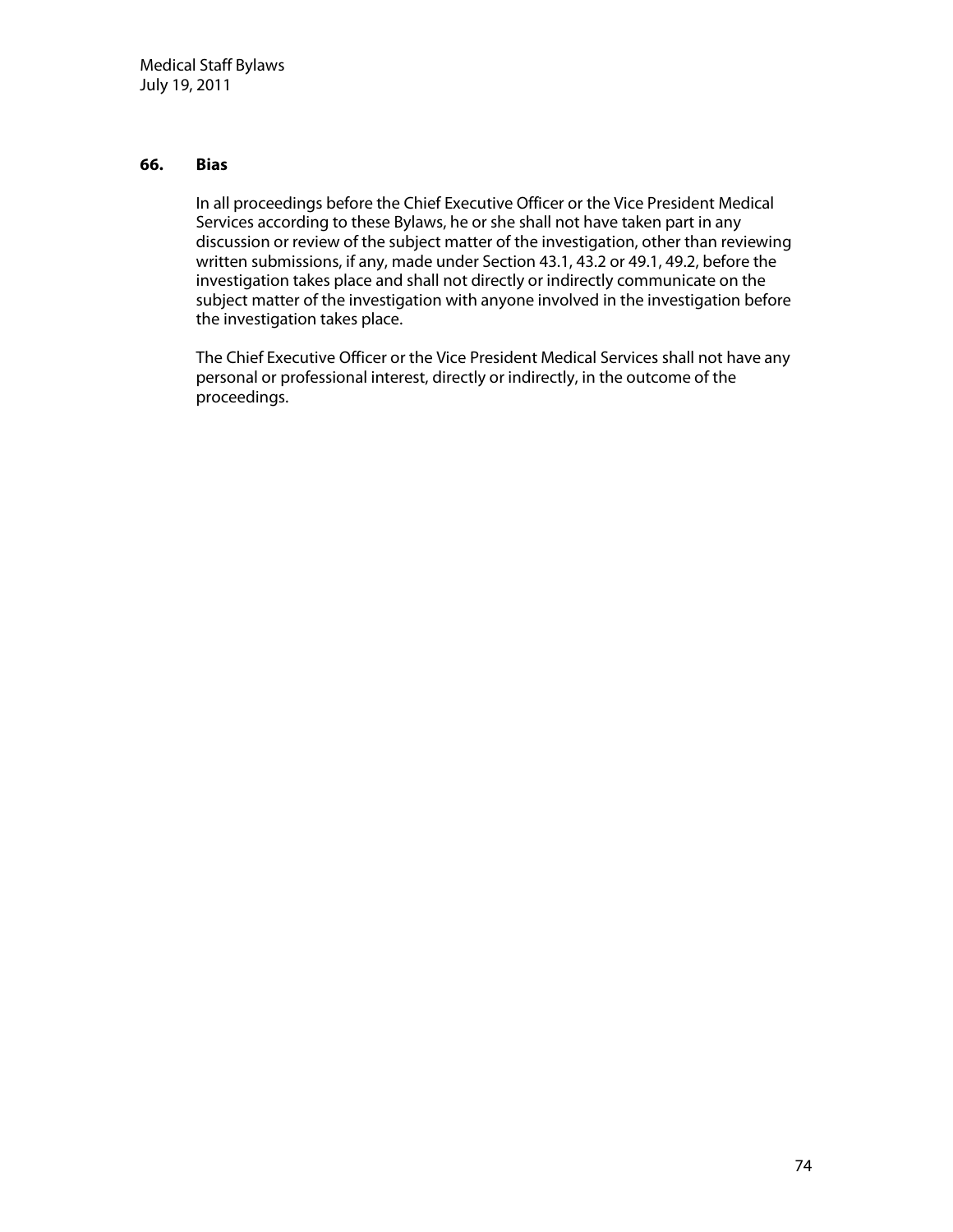#### **66. Bias**

In all proceedings before the Chief Executive Officer or the Vice President Medical Services according to these Bylaws, he or she shall not have taken part in any discussion or review of the subject matter of the investigation, other than reviewing written submissions, if any, made under Section 43.1, 43.2 or 49.1, 49.2, before the investigation takes place and shall not directly or indirectly communicate on the subject matter of the investigation with anyone involved in the investigation before the investigation takes place.

The Chief Executive Officer or the Vice President Medical Services shall not have any personal or professional interest, directly or indirectly, in the outcome of the proceedings.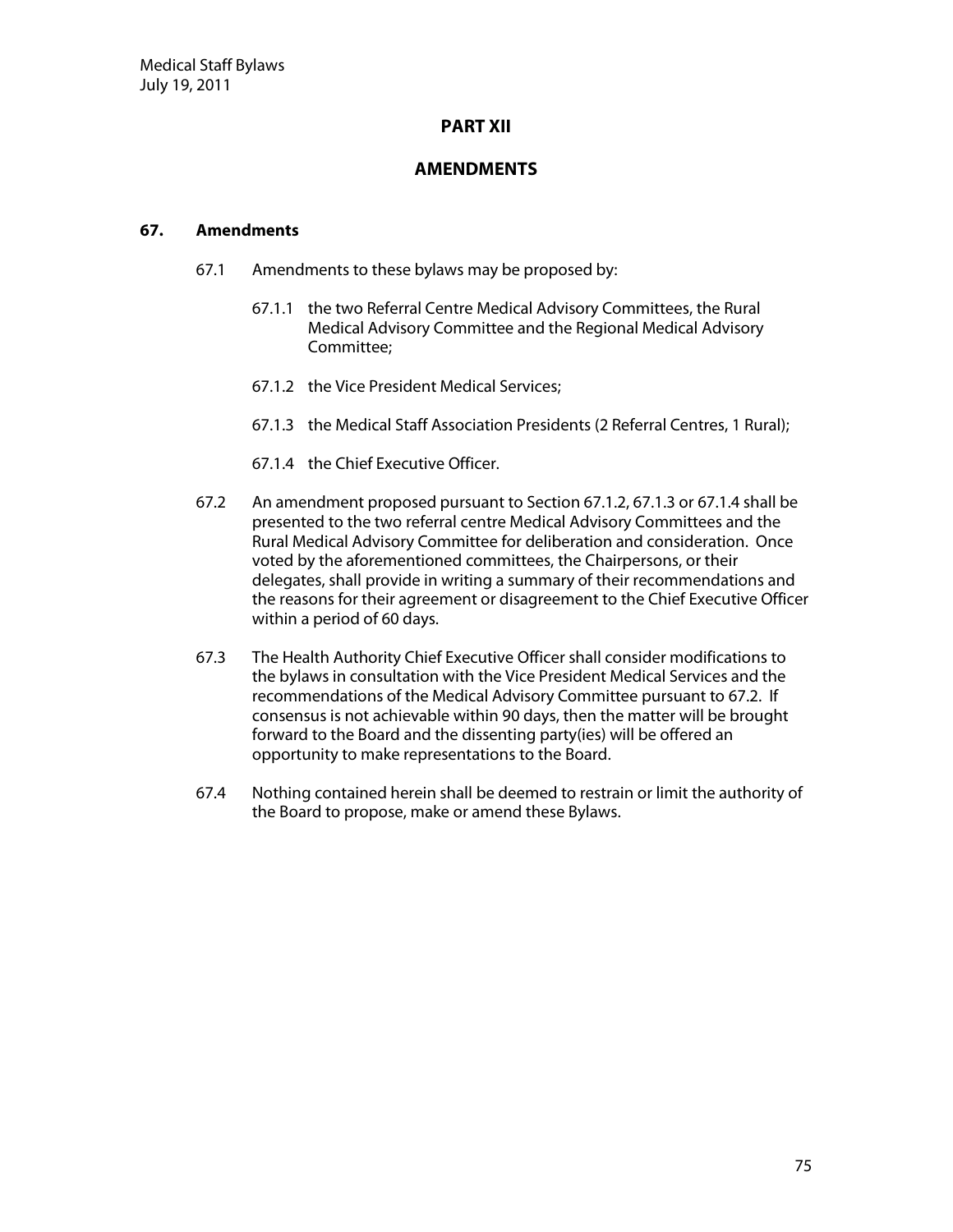# **PART XII**

## **AM EN D M EN TS**

#### **67. Am endm ents**

- 67.1 Amendments to these bylaws may be proposed by:
	- 67.1.1 the two Referral Centre Medical Advisory Committees, the Rural Medical Advisory Committee and the Regional Medical Advisory Committee;
	- 67.1.2 the Vice President Medical Services;
	- 67.1.3 the Medical Staff Association Presidents (2 Referral Centres, 1 Rural);
	- 67.1.4 the Chief Executive Officer.
- 67.2 An amendment proposed pursuant to Section 67.1.2, 67.1.3 or 67.1.4 shall be presented to the two referral centre Medical Advisory Committees and the Rural Medical Advisory Committee for deliberation and consideration. Once voted by the aforementioned committees, the Chairpersons, or their delegates, shall provide in writing a summary of their recommendations and the reasons for their agreement or disagreement to the Chief Executive Officer within a period of 60 days.
- 67.3 The Health Authority Chief Executive Officer shall consider modifications to the bylaws in consultation with the Vice President Medical Services and the recommendations of the Medical Advisory Committee pursuant to 67.2. If consensus is not achievable within 90 days, then the matter will be brought forward to the Board and the dissenting party(ies) will be offered an opportunity to make representations to the Board.
- 67.4 N othing contained herein shall be deemed to restrain or limit the authority of the Board to propose, make or amend these Bylaws.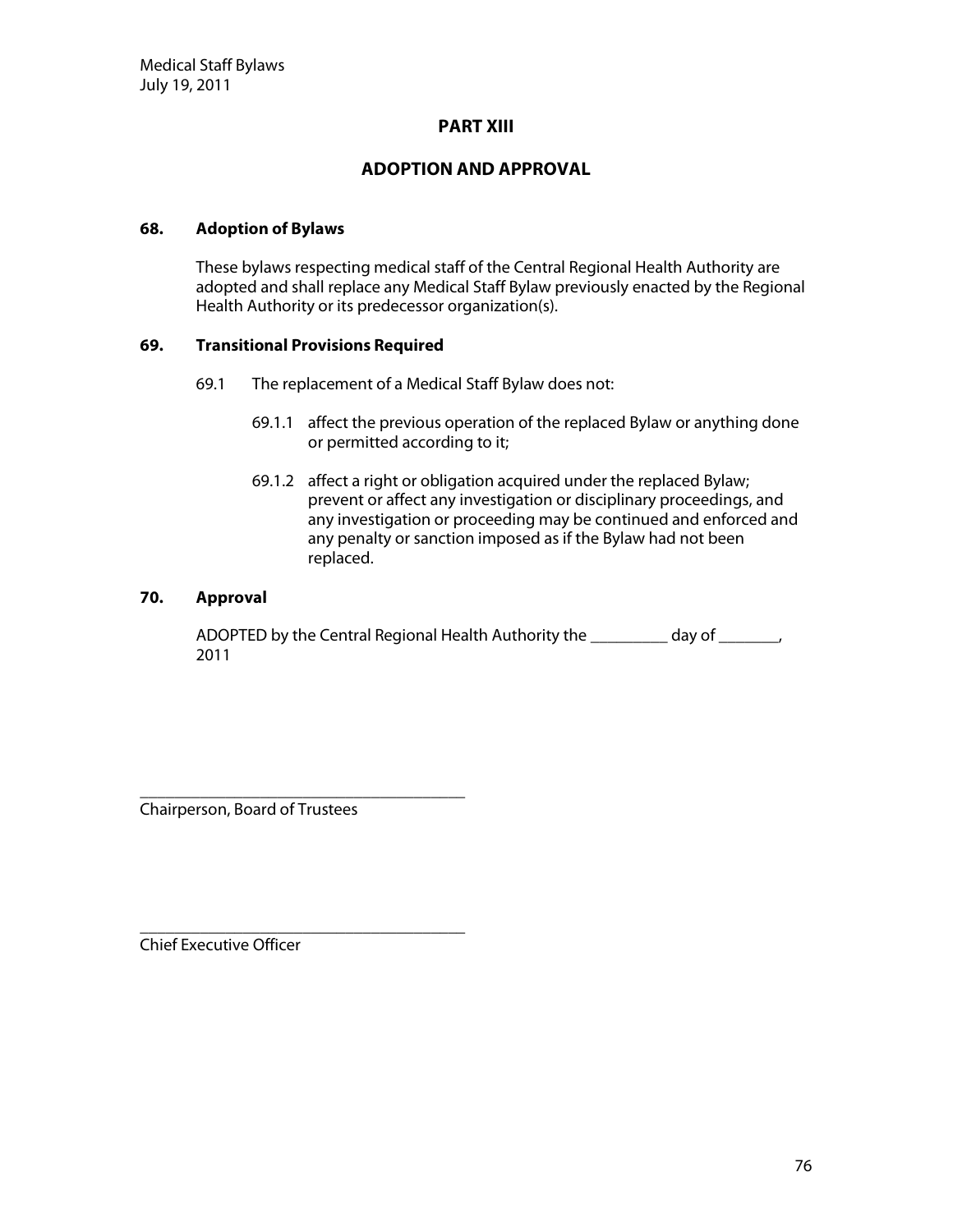#### **PART XIII**

# **AD O PTIO N AN D APPRO VAL**

#### **68. Adoption ofBylaw s**

These bylaws respecting medical staff of the Central Regional Health Authority are adopted and shall replace any Medical Staff Bylaw previously enacted by the Regional Health Authority or its predecessor organization(s).

#### **69. TransitionalProvisions Required**

- 69.1 The replacement of a Medical Staff Bylaw does not:
	- 69.1.1 affect the previous operation of the replaced Bylaw or anything done or permitted according to it;
	- 69.1.2 affect a right or obligation acquired under the replaced Bylaw; prevent or affect any investigation or disciplinary proceedings, and any investigation or proceeding may be continued and enforced and any penalty or sanction imposed as if the Bylaw had not been replaced.

#### **70. Approval**

AD OP TED by the Central Regional Health Authority the day of  $\qquad \qquad$ 2011

\_\_\_\_\_\_\_\_\_\_\_\_\_\_\_\_\_\_\_\_\_\_\_\_\_\_\_\_\_\_\_\_\_\_\_\_\_\_ Chairperson, Board of Trustees

\_\_\_\_\_\_\_\_\_\_\_\_\_\_\_\_\_\_\_\_\_\_\_\_\_\_\_\_\_\_\_\_\_\_\_\_\_\_ Chief Executive Officer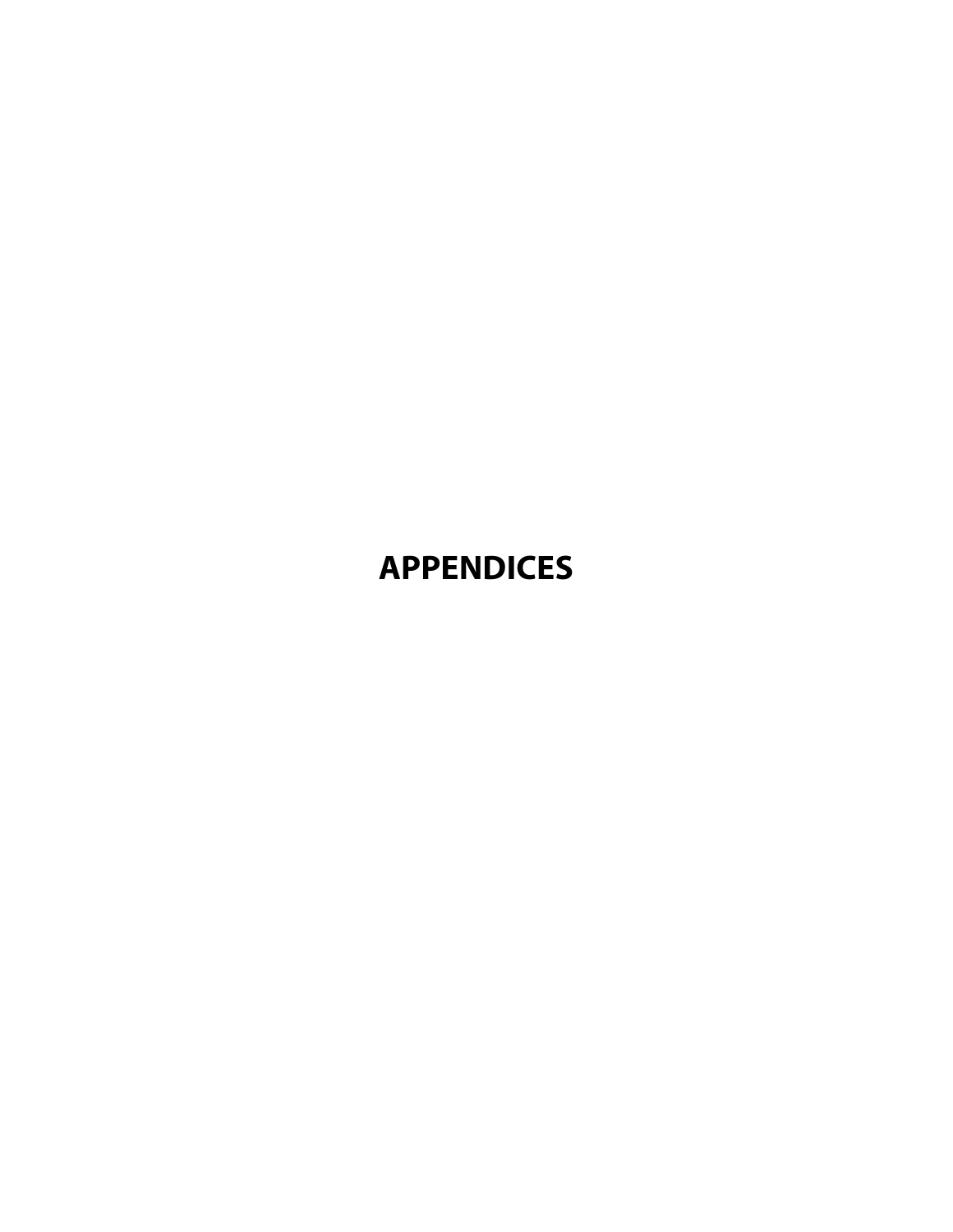# **APPEN D ICES**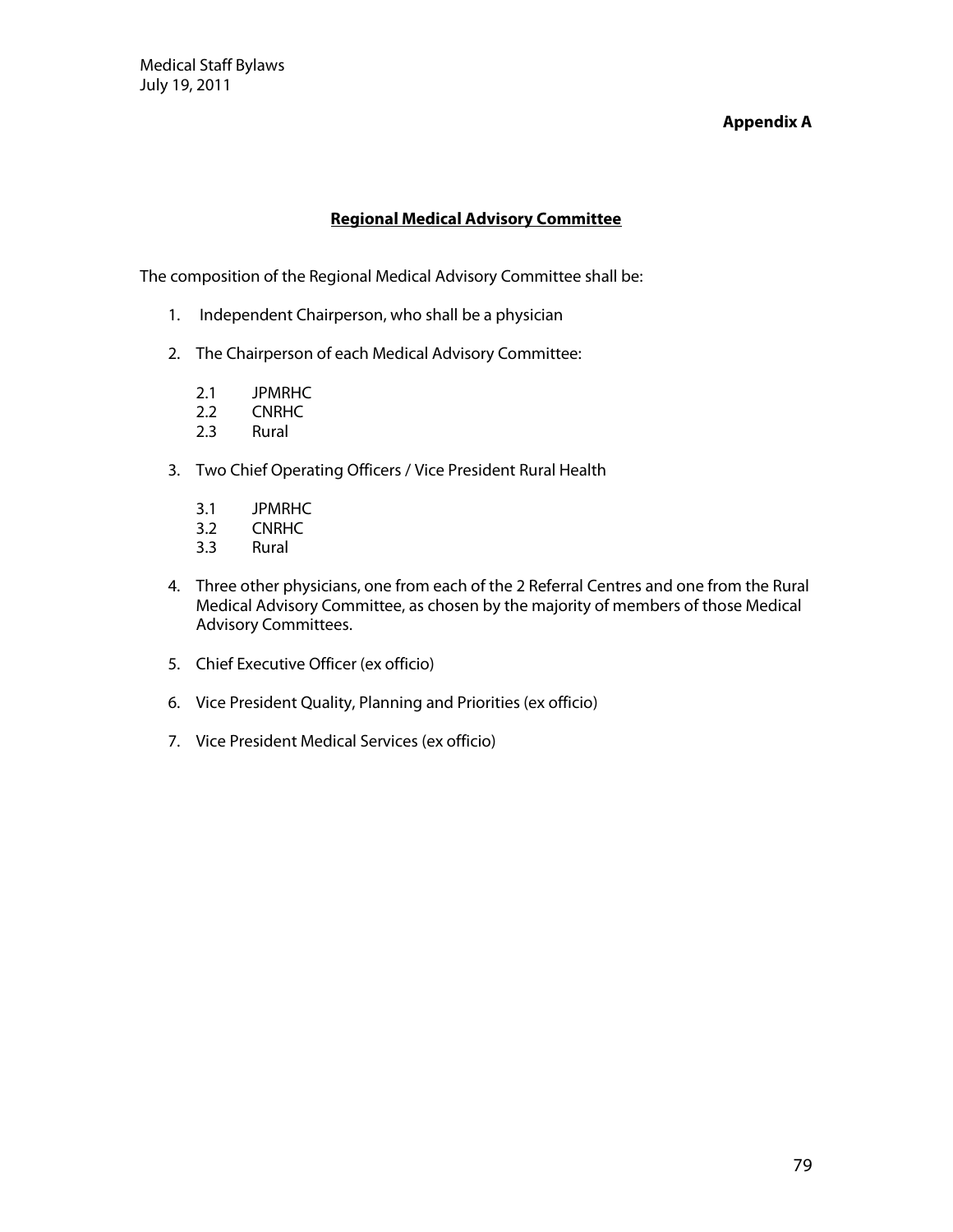Medical Staff Bylaws July 19, 2011

#### **Appendix A**

## **Regional Medical Advisory Committee**

The composition of the Regional Medical Advisory Committee shall be:

- 1. Independent Chairperson, who shall be a physician
- 2. The Chairperson of each Medical Advisory Committee:
	- 2.1 JPMRHC
	- 2.2 CNRHC
	- 2.3 Rural
- 3. Two Chief Operating Officers / Vice President Rural Health
	- 3.1 JPMRHC
	- 3.2 CNRHC<br>3.3 Rural
	- **Rural**
- 4. Three other physicians, one from each of the 2 Referral Centres and one from the Rural Medical Advisory Committee, as chosen by the majority of members of those Medical Advisory Committees.
- 5. Chief Executive Officer (ex officio)
- 6. Vice President Quality, Planning and Priorities (ex officio)
- 7. Vice President Medical Services (ex officio)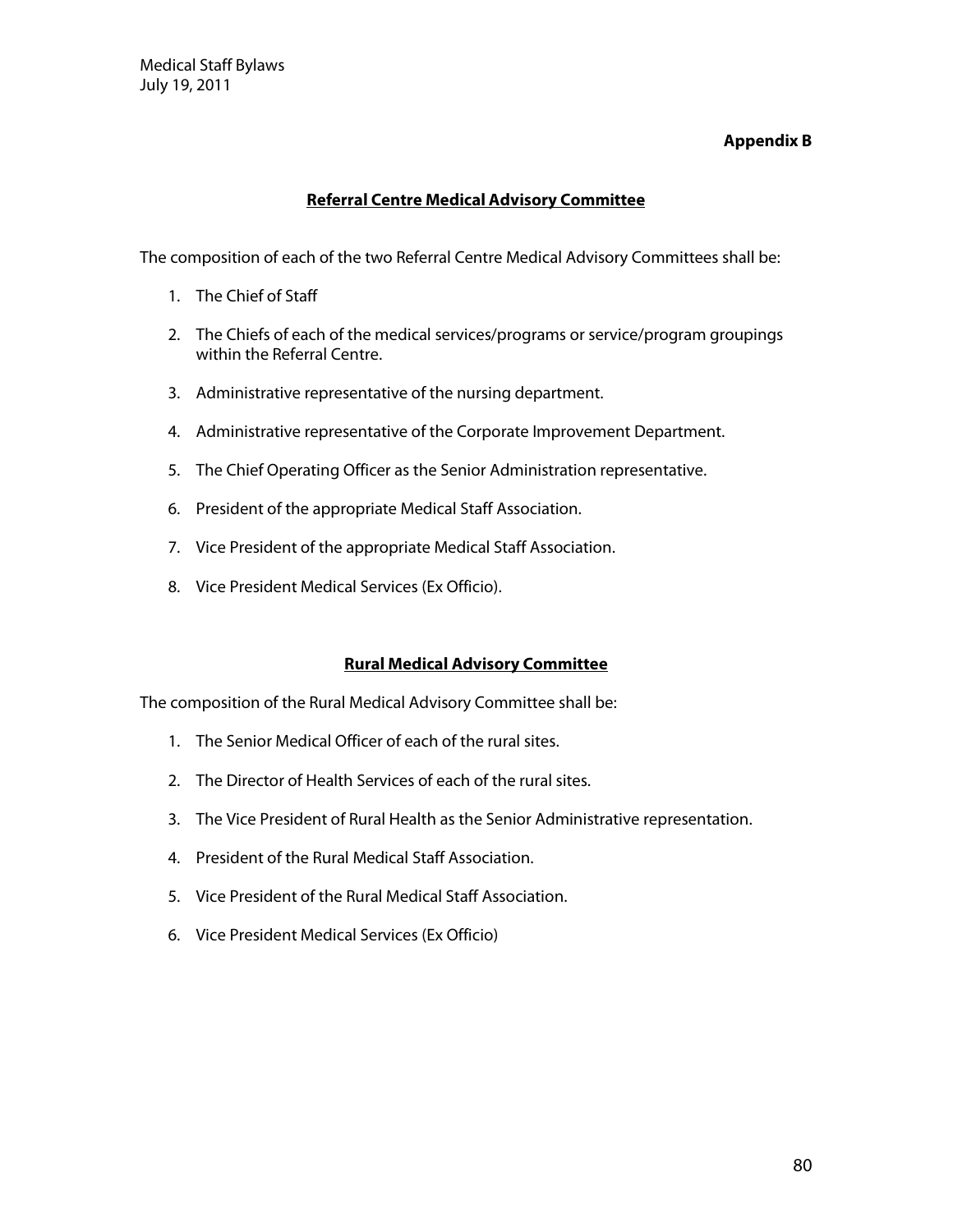# **Appendix B**

# **Referral Centre Medical Advisory Committee**

The composition of each of the two Referral Centre Medical Advisory Committees shall be:

- 1. The Chief of Staff
- 2. The Chiefs of each of the medical services/programs or service/program groupings within the Referral Centre.
- 3. Administrative representative of the nursing department.
- 4. Administrative representative of the Corporate Improvement Department.
- 5. The Chief Operating Officer as the Senior Administration representative.
- 6. President of the appropriate Medical Staff Association.
- 7. Vice President of the appropriate Medical Staff Association.
- 8. Vice President Medical Services (Ex Officio).

# **Rural Medical Advisory Committee**

The composition of the Rural Medical Advisory Committee shall be:

- 1. The Senior Medical Officer of each of the rural sites.
- 2. The Director of Health Services of each of the rural sites.
- 3. The Vice President of Rural Health as the Senior Administrative representation.
- 4. President of the Rural Medical Staff Association.
- 5. Vice President of the Rural Medical Staff Association.
- 6. Vice President Medical Services (Ex Officio)